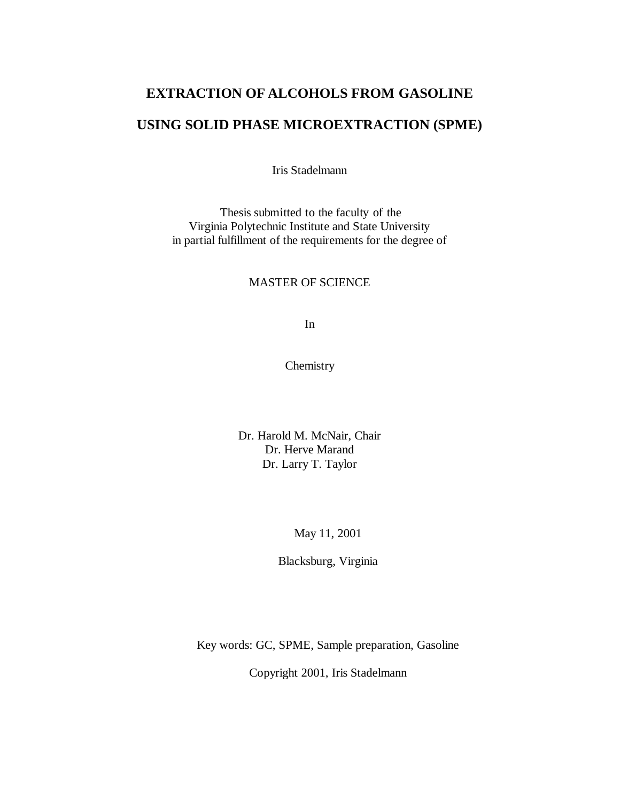### **EXTRACTION OF ALCOHOLS FROM GASOLINE**

### **USING SOLID PHASE MICROEXTRACTION (SPME)**

Iris Stadelmann

Thesis submitted to the faculty of the Virginia Polytechnic Institute and State University in partial fulfillment of the requirements for the degree of

### MASTER OF SCIENCE

In

Chemistry

Dr. Harold M. McNair, Chair Dr. Herve Marand Dr. Larry T. Taylor

May 11, 2001

Blacksburg, Virginia

Key words: GC, SPME, Sample preparation, Gasoline

Copyright 2001, Iris Stadelmann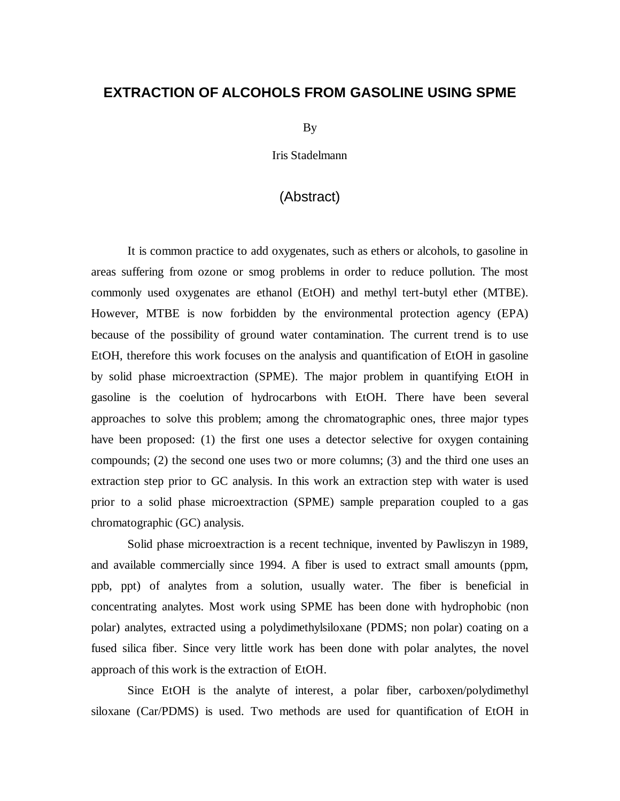### <span id="page-1-0"></span>**EXTRACTION OF ALCOHOLS FROM GASOLINE USING SPME**

By

Iris Stadelmann

### (Abstract)

 It is common practice to add oxygenates, such as ethers or alcohols, to gasoline in areas suffering from ozone or smog problems in order to reduce pollution. The most commonly used oxygenates are ethanol (EtOH) and methyl tert-butyl ether (MTBE). However, MTBE is now forbidden by the environmental protection agency (EPA) because of the possibility of ground water contamination. The current trend is to use EtOH, therefore this work focuses on the analysis and quantification of EtOH in gasoline by solid phase microextraction (SPME). The major problem in quantifying EtOH in gasoline is the coelution of hydrocarbons with EtOH. There have been several approaches to solve this problem; among the chromatographic ones, three major types have been proposed: (1) the first one uses a detector selective for oxygen containing compounds; (2) the second one uses two or more columns; (3) and the third one uses an extraction step prior to GC analysis. In this work an extraction step with water is used prior to a solid phase microextraction (SPME) sample preparation coupled to a gas chromatographic (GC) analysis.

Solid phase microextraction is a recent technique, invented by Pawliszyn in 1989, and available commercially since 1994. A fiber is used to extract small amounts (ppm, ppb, ppt) of analytes from a solution, usually water. The fiber is beneficial in concentrating analytes. Most work using SPME has been done with hydrophobic (non polar) analytes, extracted using a polydimethylsiloxane (PDMS; non polar) coating on a fused silica fiber. Since very little work has been done with polar analytes, the novel approach of this work is the extraction of EtOH.

Since EtOH is the analyte of interest, a polar fiber, carboxen/polydimethyl siloxane (Car/PDMS) is used. Two methods are used for quantification of EtOH in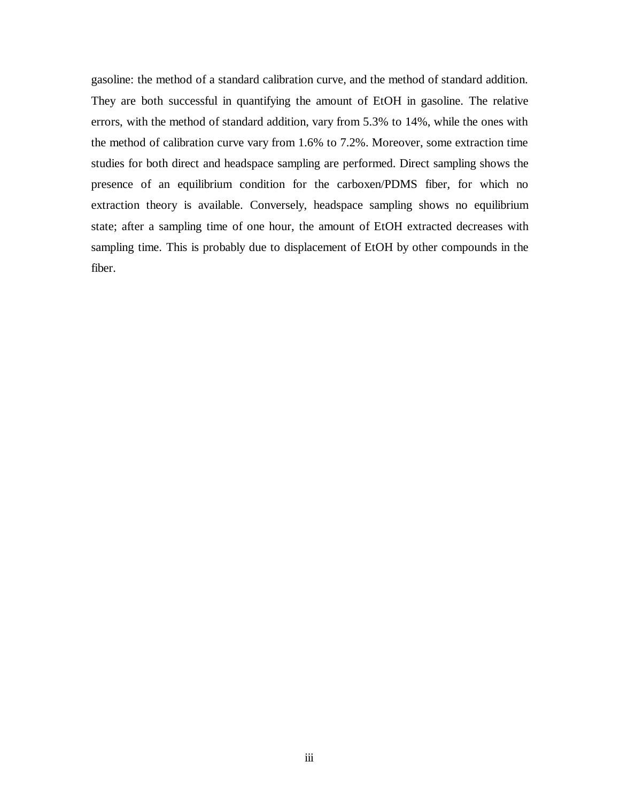gasoline: the method of a standard calibration curve, and the method of standard addition. They are both successful in quantifying the amount of EtOH in gasoline. The relative errors, with the method of standard addition, vary from 5.3% to 14%, while the ones with the method of calibration curve vary from 1.6% to 7.2%. Moreover, some extraction time studies for both direct and headspace sampling are performed. Direct sampling shows the presence of an equilibrium condition for the carboxen/PDMS fiber, for which no extraction theory is available. Conversely, headspace sampling shows no equilibrium state; after a sampling time of one hour, the amount of EtOH extracted decreases with sampling time. This is probably due to displacement of EtOH by other compounds in the fiber.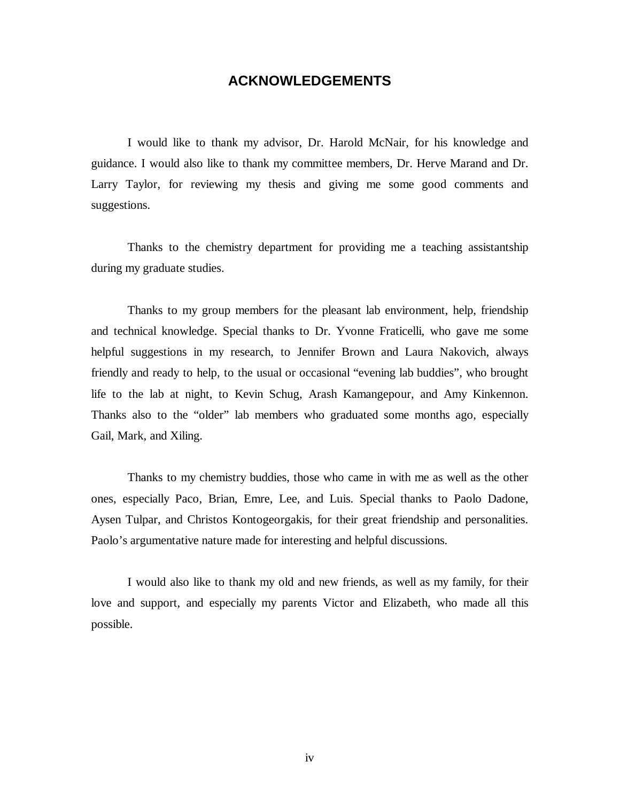### **ACKNOWLEDGEMENTS**

<span id="page-3-0"></span> I would like to thank my advisor, Dr. Harold McNair, for his knowledge and guidance. I would also like to thank my committee members, Dr. Herve Marand and Dr. Larry Taylor, for reviewing my thesis and giving me some good comments and suggestions.

Thanks to the chemistry department for providing me a teaching assistantship during my graduate studies.

 Thanks to my group members for the pleasant lab environment, help, friendship and technical knowledge. Special thanks to Dr. Yvonne Fraticelli, who gave me some helpful suggestions in my research, to Jennifer Brown and Laura Nakovich, always friendly and ready to help, to the usual or occasional "evening lab buddies", who brought life to the lab at night, to Kevin Schug, Arash Kamangepour, and Amy Kinkennon. Thanks also to the "older" lab members who graduated some months ago, especially Gail, Mark, and Xiling.

 Thanks to my chemistry buddies, those who came in with me as well as the other ones, especially Paco, Brian, Emre, Lee, and Luis. Special thanks to Paolo Dadone, Aysen Tulpar, and Christos Kontogeorgakis, for their great friendship and personalities. Paolo's argumentative nature made for interesting and helpful discussions.

 I would also like to thank my old and new friends, as well as my family, for their love and support, and especially my parents Victor and Elizabeth, who made all this possible.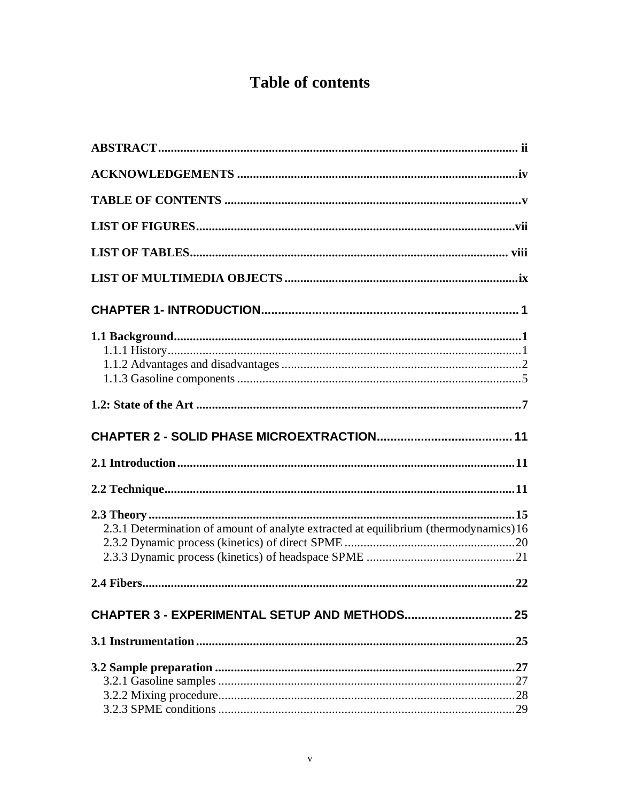# **Table of contents**

| 2.3.1 Determination of amount of analyte extracted at equilibrium (thermodynamics)16 |  |
|--------------------------------------------------------------------------------------|--|
|                                                                                      |  |
|                                                                                      |  |
|                                                                                      |  |
|                                                                                      |  |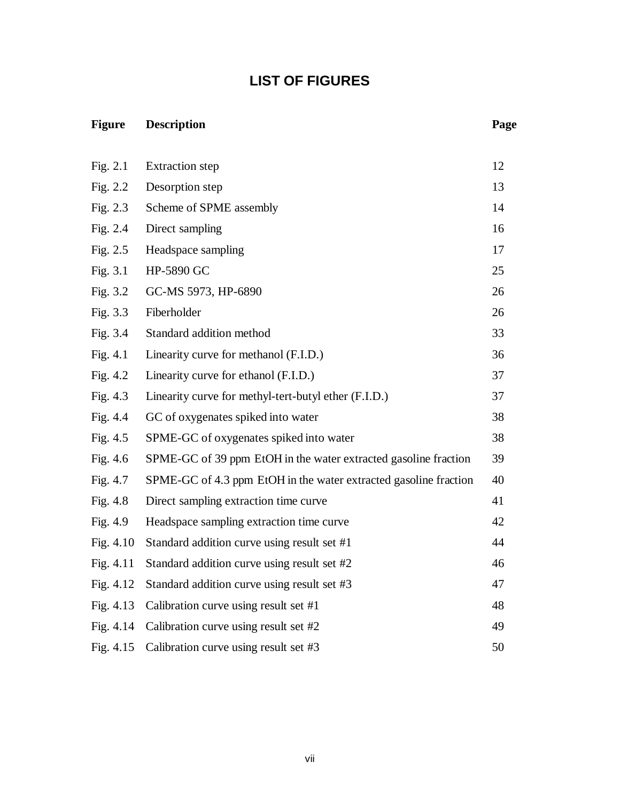# **LIST OF FIGURES**

## <span id="page-6-0"></span>**Figure Description Page**

| Fig. $2.1$  | <b>Extraction</b> step                                           | 12 |
|-------------|------------------------------------------------------------------|----|
| Fig. $2.2$  | Desorption step                                                  | 13 |
| Fig. $2.3$  | Scheme of SPME assembly                                          | 14 |
| Fig. $2.4$  | Direct sampling                                                  | 16 |
| Fig. $2.5$  | Headspace sampling                                               | 17 |
| Fig. $3.1$  | HP-5890 GC                                                       | 25 |
| Fig. $3.2$  | GC-MS 5973, HP-6890                                              | 26 |
| Fig. 3.3    | Fiberholder                                                      | 26 |
| Fig. 3.4    | Standard addition method                                         | 33 |
| Fig. $4.1$  | Linearity curve for methanol (F.I.D.)                            | 36 |
| Fig. $4.2$  | Linearity curve for ethanol (F.I.D.)                             | 37 |
| Fig. 4.3    | Linearity curve for methyl-tert-butyl ether (F.I.D.)             | 37 |
| Fig. 4.4    | GC of oxygenates spiked into water                               | 38 |
| Fig. $4.5$  | SPME-GC of oxygenates spiked into water                          | 38 |
| Fig. 4.6    | SPME-GC of 39 ppm EtOH in the water extracted gasoline fraction  | 39 |
| Fig. 4.7    | SPME-GC of 4.3 ppm EtOH in the water extracted gasoline fraction | 40 |
| Fig. 4.8    | Direct sampling extraction time curve                            | 41 |
| Fig. $4.9$  | Headspace sampling extraction time curve                         | 42 |
| Fig. $4.10$ | Standard addition curve using result set #1                      | 44 |
| Fig. 4.11   | Standard addition curve using result set #2                      | 46 |
| Fig. $4.12$ | Standard addition curve using result set #3                      | 47 |
| Fig. 4.13   | Calibration curve using result set #1                            | 48 |
| Fig. 4.14   | Calibration curve using result set #2                            | 49 |
| Fig. $4.15$ | Calibration curve using result set #3                            | 50 |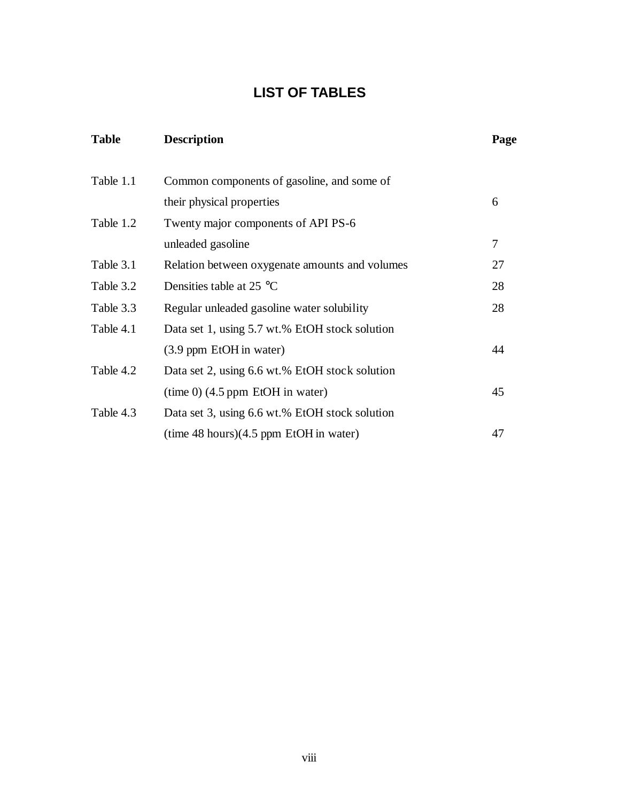# **LIST OF TABLES**

<span id="page-7-0"></span>

| <b>Table</b> | <b>Description</b>                             | Page |
|--------------|------------------------------------------------|------|
| Table 1.1    | Common components of gasoline, and some of     |      |
|              | their physical properties                      | 6    |
| Table 1.2    | Twenty major components of API PS-6            |      |
|              | unleaded gasoline                              | 7    |
| Table 3.1    | Relation between oxygenate amounts and volumes | 27   |
| Table 3.2    | Densities table at 25 $^{\circ}$ C             | 28   |
| Table 3.3    | Regular unleaded gasoline water solubility     | 28   |
| Table 4.1    | Data set 1, using 5.7 wt.% EtOH stock solution |      |
|              | (3.9 ppm EtOH in water)                        | 44   |
| Table 4.2    | Data set 2, using 6.6 wt.% EtOH stock solution |      |
|              | $time\ 0)$ (4.5 ppm EtOH in water)             | 45   |
| Table 4.3    | Data set 3, using 6.6 wt.% EtOH stock solution |      |
|              | $(time 48 hours)(4.5 ppm EtOH in water)$       | 47   |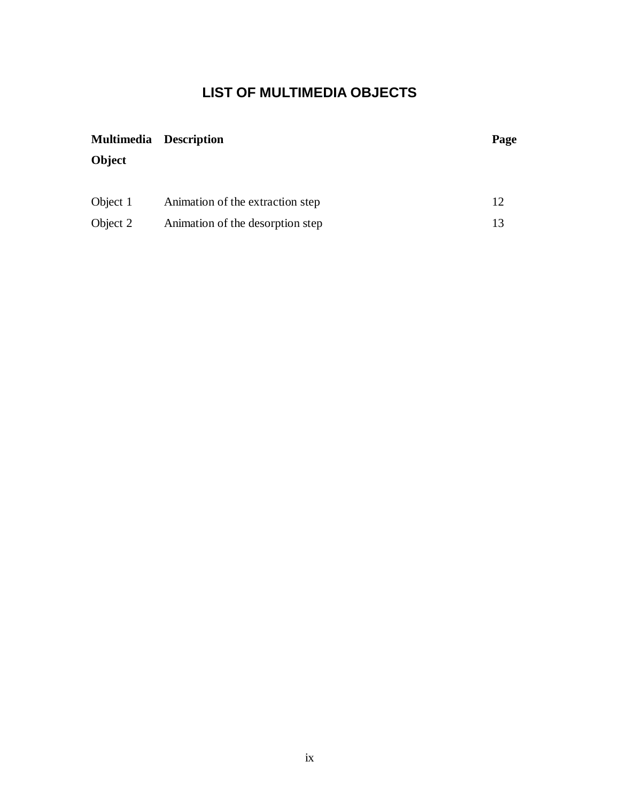# **LIST OF MULTIMEDIA OBJECTS**

<span id="page-8-0"></span>

| <b>Multimedia Description</b> |                                  | Page |
|-------------------------------|----------------------------------|------|
| Object                        |                                  |      |
|                               |                                  |      |
| Object 1                      | Animation of the extraction step | 12   |
| Object 2                      | Animation of the desorption step | 13   |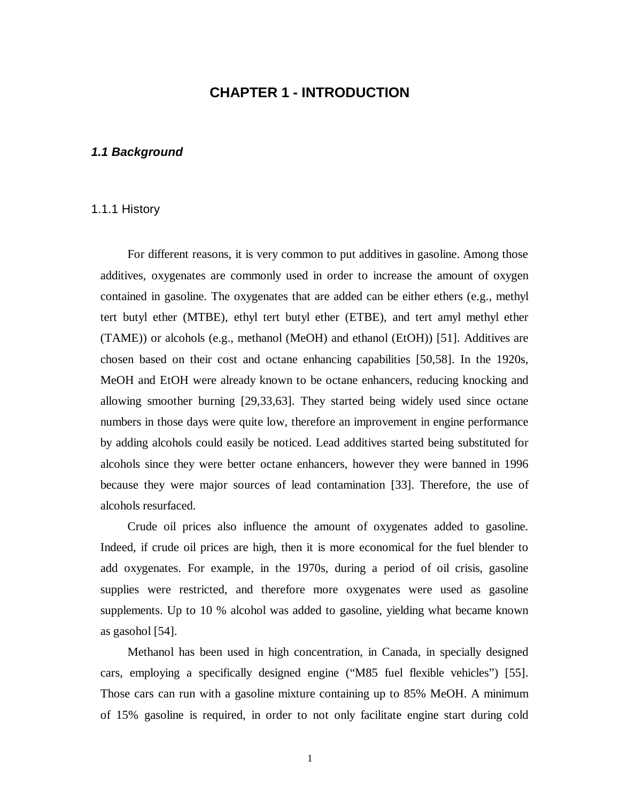### **CHAPTER 1 - INTRODUCTION**

### <span id="page-9-0"></span>**1.1 Background**

#### 1.1.1 History

For different reasons, it is very common to put additives in gasoline. Among those additives, oxygenates are commonly used in order to increase the amount of oxygen contained in gasoline. The oxygenates that are added can be either ethers (e.g., methyl tert butyl ether (MTBE), ethyl tert butyl ether (ETBE), and tert amyl methyl ether (TAME)) or alcohols (e.g., methanol (MeOH) and ethanol (EtOH)) [51]. Additives are chosen based on their cost and octane enhancing capabilities [50,58]. In the 1920s, MeOH and EtOH were already known to be octane enhancers, reducing knocking and allowing smoother burning [29,33,63]. They started being widely used since octane numbers in those days were quite low, therefore an improvement in engine performance by adding alcohols could easily be noticed. Lead additives started being substituted for alcohols since they were better octane enhancers, however they were banned in 1996 because they were major sources of lead contamination [33]. Therefore, the use of alcohols resurfaced.

Crude oil prices also influence the amount of oxygenates added to gasoline. Indeed, if crude oil prices are high, then it is more economical for the fuel blender to add oxygenates. For example, in the 1970s, during a period of oil crisis, gasoline supplies were restricted, and therefore more oxygenates were used as gasoline supplements. Up to 10 % alcohol was added to gasoline, yielding what became known as gasohol [54].

Methanol has been used in high concentration, in Canada, in specially designed cars, employing a specifically designed engine ("M85 fuel flexible vehicles") [55]. Those cars can run with a gasoline mixture containing up to 85% MeOH. A minimum of 15% gasoline is required, in order to not only facilitate engine start during cold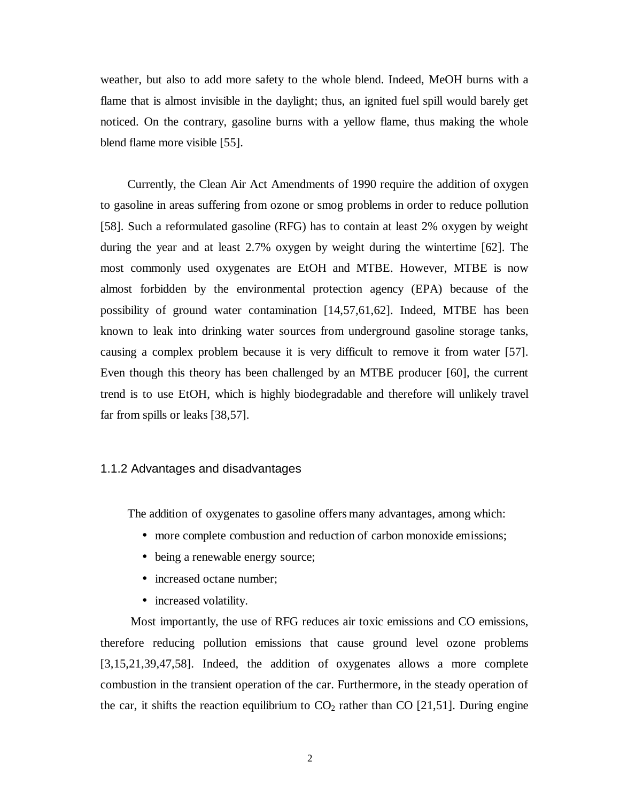<span id="page-10-0"></span>weather, but also to add more safety to the whole blend. Indeed, MeOH burns with a flame that is almost invisible in the daylight; thus, an ignited fuel spill would barely get noticed. On the contrary, gasoline burns with a yellow flame, thus making the whole blend flame more visible [55].

Currently, the Clean Air Act Amendments of 1990 require the addition of oxygen to gasoline in areas suffering from ozone or smog problems in order to reduce pollution [58]. Such a reformulated gasoline (RFG) has to contain at least 2% oxygen by weight during the year and at least 2.7% oxygen by weight during the wintertime [62]. The most commonly used oxygenates are EtOH and MTBE. However, MTBE is now almost forbidden by the environmental protection agency (EPA) because of the possibility of ground water contamination [14,57,61,62]. Indeed, MTBE has been known to leak into drinking water sources from underground gasoline storage tanks, causing a complex problem because it is very difficult to remove it from water [57]. Even though this theory has been challenged by an MTBE producer [60], the current trend is to use EtOH, which is highly biodegradable and therefore will unlikely travel far from spills or leaks [38,57].

### 1.1.2 Advantages and disadvantages

The addition of oxygenates to gasoline offers many advantages, among which:

- more complete combustion and reduction of carbon monoxide emissions;
- being a renewable energy source;
- increased octane number;
- increased volatility.

 Most importantly, the use of RFG reduces air toxic emissions and CO emissions, therefore reducing pollution emissions that cause ground level ozone problems [3,15,21,39,47,58]. Indeed, the addition of oxygenates allows a more complete combustion in the transient operation of the car. Furthermore, in the steady operation of the car, it shifts the reaction equilibrium to  $CO<sub>2</sub>$  rather than CO [21,51]. During engine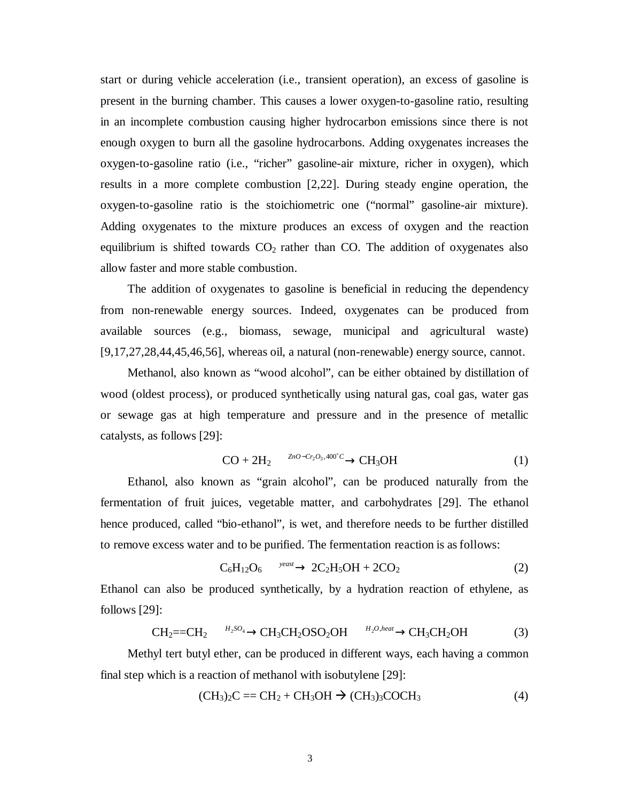start or during vehicle acceleration (i.e., transient operation), an excess of gasoline is present in the burning chamber. This causes a lower oxygen-to-gasoline ratio, resulting in an incomplete combustion causing higher hydrocarbon emissions since there is not enough oxygen to burn all the gasoline hydrocarbons. Adding oxygenates increases the oxygen-to-gasoline ratio (i.e., "richer" gasoline-air mixture, richer in oxygen), which results in a more complete combustion [2,22]. During steady engine operation, the oxygen-to-gasoline ratio is the stoichiometric one ("normal" gasoline-air mixture). Adding oxygenates to the mixture produces an excess of oxygen and the reaction equilibrium is shifted towards  $CO<sub>2</sub>$  rather than CO. The addition of oxygenates also allow faster and more stable combustion.

The addition of oxygenates to gasoline is beneficial in reducing the dependency from non-renewable energy sources. Indeed, oxygenates can be produced from available sources (e.g., biomass, sewage, municipal and agricultural waste) [9,17,27,28,44,45,46,56], whereas oil, a natural (non-renewable) energy source, cannot.

Methanol, also known as "wood alcohol", can be either obtained by distillation of wood (oldest process), or produced synthetically using natural gas, coal gas, water gas or sewage gas at high temperature and pressure and in the presence of metallic catalysts, as follows [29]:

$$
CO + 2H_2 \xrightarrow{ZnO - Cr_2O_3, 400^\circ C} CH_3OH
$$
 (1)

Ethanol, also known as "grain alcohol", can be produced naturally from the fermentation of fruit juices, vegetable matter, and carbohydrates [29]. The ethanol hence produced, called "bio-ethanol", is wet, and therefore needs to be further distilled to remove excess water and to be purified. The fermentation reaction is as follows:

$$
C_6H_{12}O_6 \xrightarrow{\text{yeast}} 2C_2H_5OH + 2CO_2 \tag{2}
$$

Ethanol can also be produced synthetically, by a hydration reaction of ethylene, as follows [29]:

$$
CH_2 = CH_2 \xrightarrow{H_2SO_4} CH_3CH_2OSO_2OH \xrightarrow{H_2O, heat} CH_3CH_2OH
$$
 (3)

Methyl tert butyl ether, can be produced in different ways, each having a common final step which is a reaction of methanol with isobutylene [29]:

$$
(CH3)2C = CH2 + CH3OH \rightarrow (CH3)3COCH3
$$
 (4)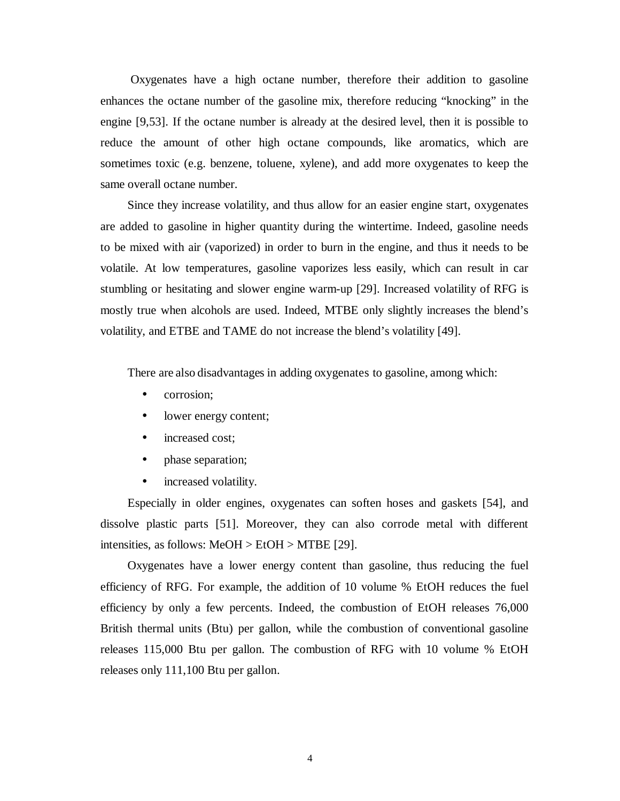Oxygenates have a high octane number, therefore their addition to gasoline enhances the octane number of the gasoline mix, therefore reducing "knocking" in the engine [9,53]. If the octane number is already at the desired level, then it is possible to reduce the amount of other high octane compounds, like aromatics, which are sometimes toxic (e.g. benzene, toluene, xylene), and add more oxygenates to keep the same overall octane number.

Since they increase volatility, and thus allow for an easier engine start, oxygenates are added to gasoline in higher quantity during the wintertime. Indeed, gasoline needs to be mixed with air (vaporized) in order to burn in the engine, and thus it needs to be volatile. At low temperatures, gasoline vaporizes less easily, which can result in car stumbling or hesitating and slower engine warm-up [29]. Increased volatility of RFG is mostly true when alcohols are used. Indeed, MTBE only slightly increases the blend's volatility, and ETBE and TAME do not increase the blend's volatility [49].

There are also disadvantages in adding oxygenates to gasoline, among which:

- corrosion;
- lower energy content;
- increased cost;
- phase separation;
- increased volatility.

Especially in older engines, oxygenates can soften hoses and gaskets [54], and dissolve plastic parts [51]. Moreover, they can also corrode metal with different intensities, as follows: MeOH > EtOH > MTBE [29].

Oxygenates have a lower energy content than gasoline, thus reducing the fuel efficiency of RFG. For example, the addition of 10 volume % EtOH reduces the fuel efficiency by only a few percents. Indeed, the combustion of EtOH releases 76,000 British thermal units (Btu) per gallon, while the combustion of conventional gasoline releases 115,000 Btu per gallon. The combustion of RFG with 10 volume % EtOH releases only 111,100 Btu per gallon.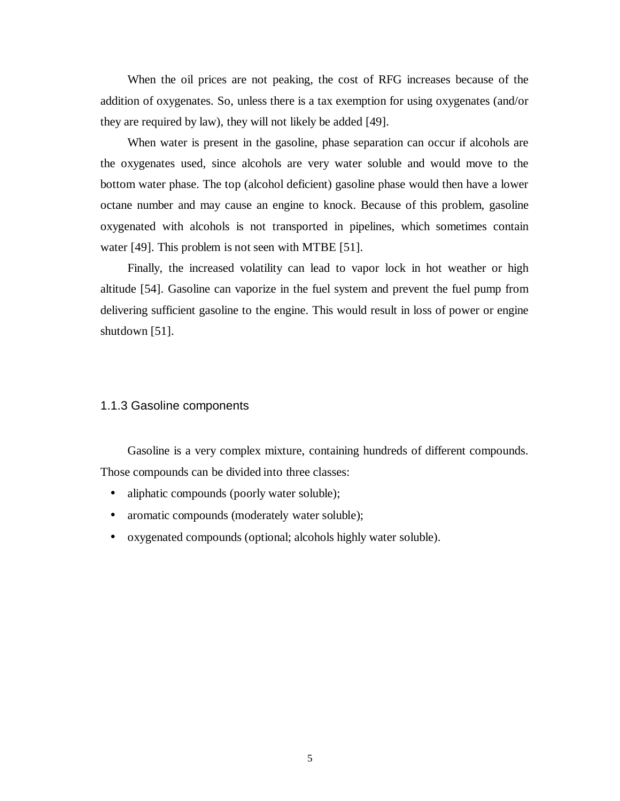<span id="page-13-0"></span>When the oil prices are not peaking, the cost of RFG increases because of the addition of oxygenates. So, unless there is a tax exemption for using oxygenates (and/or they are required by law), they will not likely be added [49].

When water is present in the gasoline, phase separation can occur if alcohols are the oxygenates used, since alcohols are very water soluble and would move to the bottom water phase. The top (alcohol deficient) gasoline phase would then have a lower octane number and may cause an engine to knock. Because of this problem, gasoline oxygenated with alcohols is not transported in pipelines, which sometimes contain water [49]. This problem is not seen with MTBE [51].

Finally, the increased volatility can lead to vapor lock in hot weather or high altitude [54]. Gasoline can vaporize in the fuel system and prevent the fuel pump from delivering sufficient gasoline to the engine. This would result in loss of power or engine shutdown [51].

#### 1.1.3 Gasoline components

Gasoline is a very complex mixture, containing hundreds of different compounds. Those compounds can be divided into three classes:

- aliphatic compounds (poorly water soluble);
- aromatic compounds (moderately water soluble);
- oxygenated compounds (optional; alcohols highly water soluble).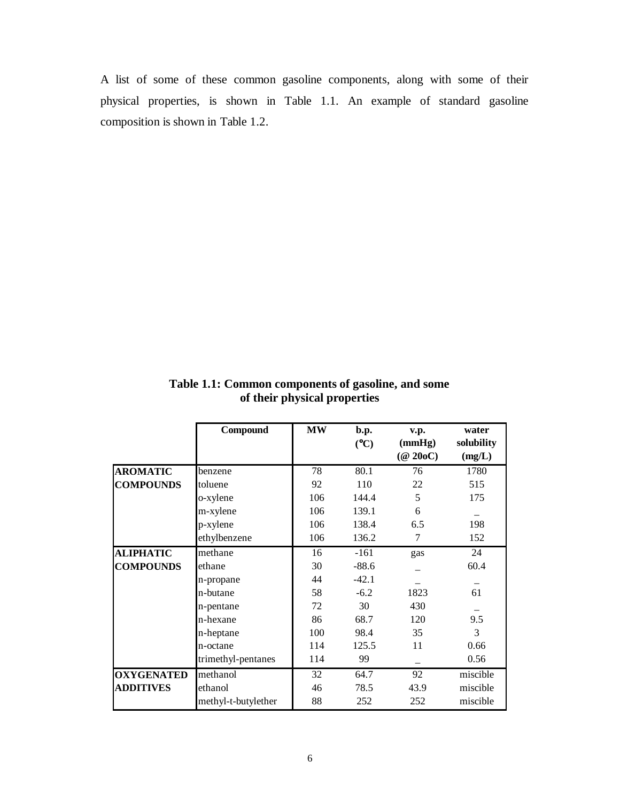<span id="page-14-0"></span>A list of some of these common gasoline components, along with some of their physical properties, is shown in Table 1.1. An example of standard gasoline composition is shown in Table 1.2.

|                   | Compound            | <b>MW</b> | $\mathbf{b}.\mathbf{p}$ . | v.p.                     | water      |
|-------------------|---------------------|-----------|---------------------------|--------------------------|------------|
|                   |                     |           | (C)                       | (mmHg)                   | solubility |
|                   |                     |           |                           | $(\textcircled{a} 20oC)$ | (mg/L)     |
| <b>AROMATIC</b>   | benzene             | 78        | 80.1                      | 76                       | 1780       |
| <b>COMPOUNDS</b>  | toluene             | 92        | 110                       | 22                       | 515        |
|                   | o-xylene            | 106       | 144.4                     | 5                        | 175        |
|                   | m-xylene            | 106       | 139.1                     | 6                        |            |
|                   | p-xylene            | 106       | 138.4                     | 6.5                      | 198        |
|                   | ethylbenzene        | 106       | 136.2                     | 7                        | 152        |
| <b>ALIPHATIC</b>  | methane             | 16        | $-161$                    | gas                      | 24         |
| <b>COMPOUNDS</b>  | ethane              | 30        | $-88.6$                   |                          | 60.4       |
|                   | n-propane           | 44        | $-42.1$                   |                          |            |
|                   | n-butane            | 58        | $-6.2$                    | 1823                     | 61         |
|                   | n-pentane           | 72        | 30                        | 430                      |            |
|                   | n-hexane            | 86        | 68.7                      | 120                      | 9.5        |
|                   | n-heptane           | 100       | 98.4                      | 35                       | 3          |
|                   | n-octane            | 114       | 125.5                     | 11                       | 0.66       |
|                   | trimethyl-pentanes  | 114       | 99                        |                          | 0.56       |
| <b>OXYGENATED</b> | methanol            | 32        | 64.7                      | 92                       | miscible   |
| <b>ADDITIVES</b>  | ethanol             | 46        | 78.5                      | 43.9                     | miscible   |
|                   | methyl-t-butylether | 88        | 252                       | 252                      | miscible   |

**Table 1.1: Common components of gasoline, and some of their physical properties**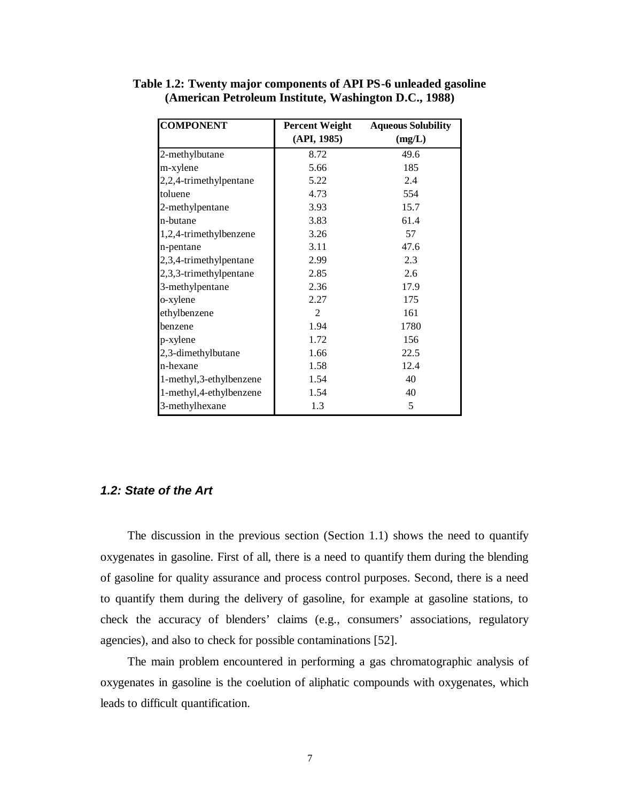| <b>COMPONENT</b>        | <b>Percent Weight</b> | <b>Aqueous Solubility</b> |
|-------------------------|-----------------------|---------------------------|
|                         | (API, 1985)           | (mg/L)                    |
| 2-methylbutane          | 8.72                  | 49.6                      |
| m-xylene                | 5.66                  | 185                       |
| 2,2,4-trimethylpentane  | 5.22                  | 2.4                       |
| toluene                 | 4.73                  | 554                       |
| 2-methylpentane         | 3.93                  | 15.7                      |
| n-butane                | 3.83                  | 61.4                      |
| 1,2,4-trimethylbenzene  | 3.26                  | 57                        |
| n-pentane               | 3.11                  | 47.6                      |
| 2,3,4-trimethylpentane  | 2.99                  | 2.3                       |
| 2,3,3-trimethylpentane  | 2.85                  | 2.6                       |
| 3-methylpentane         | 2.36                  | 17.9                      |
| o-xylene                | 2.27                  | 175                       |
| ethylbenzene            | 2                     | 161                       |
| benzene                 | 1.94                  | 1780                      |
| p-xylene                | 1.72                  | 156                       |
| 2,3-dimethylbutane      | 1.66                  | 22.5                      |
| n-hexane                | 1.58                  | 12.4                      |
| 1-methyl,3-ethylbenzene | 1.54                  | 40                        |
| 1-methyl,4-ethylbenzene | 1.54                  | 40                        |
| 3-methylhexane          | 1.3                   | 5                         |

<span id="page-15-0"></span>**Table 1.2: Twenty major components of API PS-6 unleaded gasoline (American Petroleum Institute, Washington D.C., 1988)** 

### **1.2: State of the Art**

 The discussion in the previous section (Section 1.1) shows the need to quantify oxygenates in gasoline. First of all, there is a need to quantify them during the blending of gasoline for quality assurance and process control purposes. Second, there is a need to quantify them during the delivery of gasoline, for example at gasoline stations, to check the accuracy of blenders' claims (e.g., consumers' associations, regulatory agencies), and also to check for possible contaminations [52].

The main problem encountered in performing a gas chromatographic analysis of oxygenates in gasoline is the coelution of aliphatic compounds with oxygenates, which leads to difficult quantification.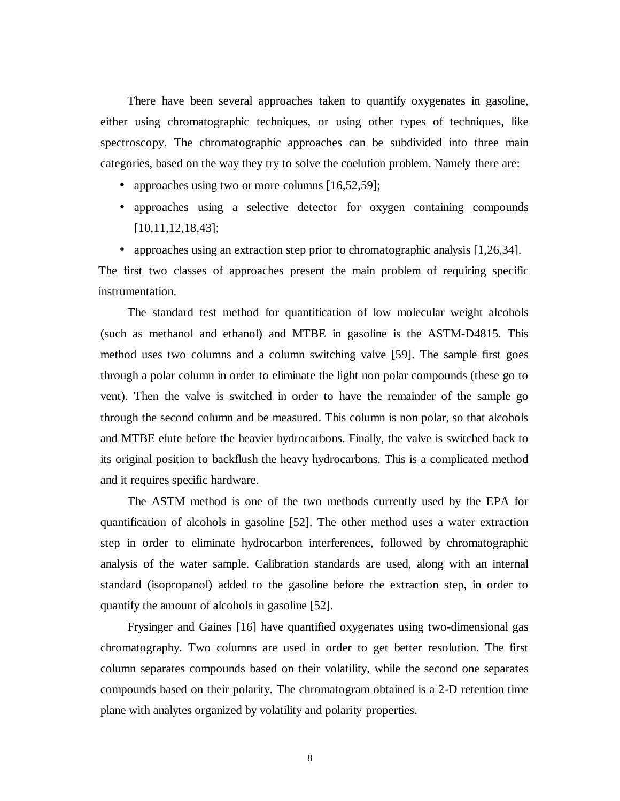There have been several approaches taken to quantify oxygenates in gasoline, either using chromatographic techniques, or using other types of techniques, like spectroscopy. The chromatographic approaches can be subdivided into three main categories, based on the way they try to solve the coelution problem. Namely there are:

- approaches using two or more columns [16,52,59];
- approaches using a selective detector for oxygen containing compounds [10,11,12,18,43];

• approaches using an extraction step prior to chromatographic analysis [1,26,34]. The first two classes of approaches present the main problem of requiring specific instrumentation.

The standard test method for quantification of low molecular weight alcohols (such as methanol and ethanol) and MTBE in gasoline is the ASTM-D4815. This method uses two columns and a column switching valve [59]. The sample first goes through a polar column in order to eliminate the light non polar compounds (these go to vent). Then the valve is switched in order to have the remainder of the sample go through the second column and be measured. This column is non polar, so that alcohols and MTBE elute before the heavier hydrocarbons. Finally, the valve is switched back to its original position to backflush the heavy hydrocarbons. This is a complicated method and it requires specific hardware.

The ASTM method is one of the two methods currently used by the EPA for quantification of alcohols in gasoline [52]. The other method uses a water extraction step in order to eliminate hydrocarbon interferences, followed by chromatographic analysis of the water sample. Calibration standards are used, along with an internal standard (isopropanol) added to the gasoline before the extraction step, in order to quantify the amount of alcohols in gasoline [52].

 Frysinger and Gaines [16] have quantified oxygenates using two-dimensional gas chromatography. Two columns are used in order to get better resolution. The first column separates compounds based on their volatility, while the second one separates compounds based on their polarity. The chromatogram obtained is a 2-D retention time plane with analytes organized by volatility and polarity properties.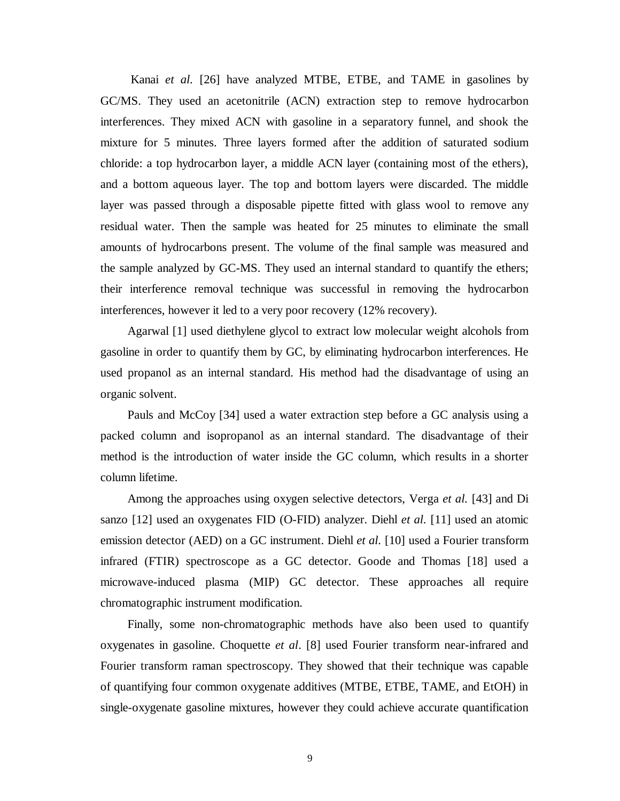Kanai *et al.* [26] have analyzed MTBE, ETBE, and TAME in gasolines by GC/MS. They used an acetonitrile (ACN) extraction step to remove hydrocarbon interferences. They mixed ACN with gasoline in a separatory funnel, and shook the mixture for 5 minutes. Three layers formed after the addition of saturated sodium chloride: a top hydrocarbon layer, a middle ACN layer (containing most of the ethers), and a bottom aqueous layer. The top and bottom layers were discarded. The middle layer was passed through a disposable pipette fitted with glass wool to remove any residual water. Then the sample was heated for 25 minutes to eliminate the small amounts of hydrocarbons present. The volume of the final sample was measured and the sample analyzed by GC-MS. They used an internal standard to quantify the ethers; their interference removal technique was successful in removing the hydrocarbon interferences, however it led to a very poor recovery (12% recovery).

Agarwal [1] used diethylene glycol to extract low molecular weight alcohols from gasoline in order to quantify them by GC, by eliminating hydrocarbon interferences. He used propanol as an internal standard. His method had the disadvantage of using an organic solvent.

Pauls and McCoy [34] used a water extraction step before a GC analysis using a packed column and isopropanol as an internal standard. The disadvantage of their method is the introduction of water inside the GC column, which results in a shorter column lifetime.

Among the approaches using oxygen selective detectors, Verga *et al.* [43] and Di sanzo [12] used an oxygenates FID (O-FID) analyzer. Diehl *et al.* [11] used an atomic emission detector (AED) on a GC instrument. Diehl *et al.* [10] used a Fourier transform infrared (FTIR) spectroscope as a GC detector. Goode and Thomas [18] used a microwave-induced plasma (MIP) GC detector. These approaches all require chromatographic instrument modification.

Finally, some non-chromatographic methods have also been used to quantify oxygenates in gasoline. Choquette *et al*. [8] used Fourier transform near-infrared and Fourier transform raman spectroscopy. They showed that their technique was capable of quantifying four common oxygenate additives (MTBE, ETBE, TAME, and EtOH) in single-oxygenate gasoline mixtures, however they could achieve accurate quantification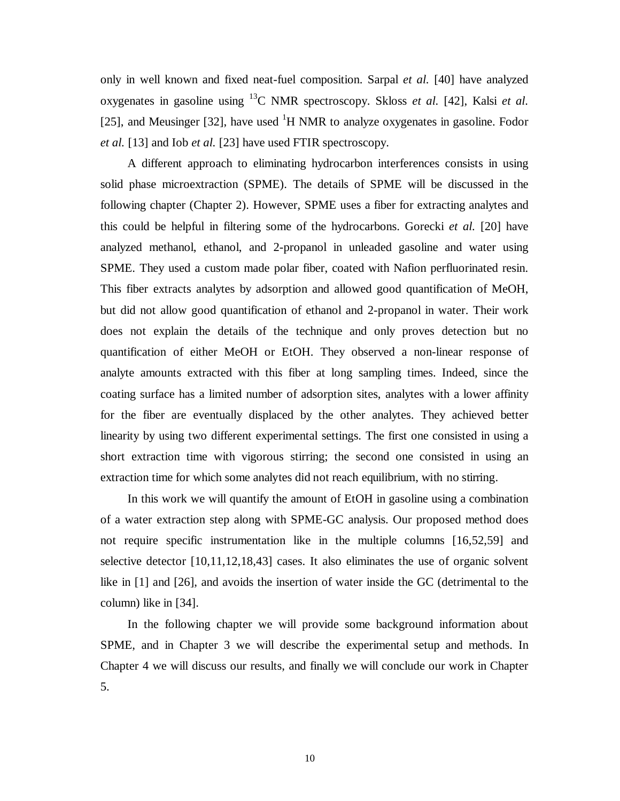only in well known and fixed neat-fuel composition. Sarpal *et al.* [40] have analyzed oxygenates in gasoline using 13C NMR spectroscopy. Skloss *et al.* [42], Kalsi *et al.* [25], and Meusinger [32], have used  ${}^{1}H$  NMR to analyze oxygenates in gasoline. Fodor *et al.* [13] and Iob *et al.* [23] have used FTIR spectroscopy.

A different approach to eliminating hydrocarbon interferences consists in using solid phase microextraction (SPME). The details of SPME will be discussed in the following chapter (Chapter 2). However, SPME uses a fiber for extracting analytes and this could be helpful in filtering some of the hydrocarbons. Gorecki *et al.* [20] have analyzed methanol, ethanol, and 2-propanol in unleaded gasoline and water using SPME. They used a custom made polar fiber, coated with Nafion perfluorinated resin. This fiber extracts analytes by adsorption and allowed good quantification of MeOH, but did not allow good quantification of ethanol and 2-propanol in water. Their work does not explain the details of the technique and only proves detection but no quantification of either MeOH or EtOH. They observed a non-linear response of analyte amounts extracted with this fiber at long sampling times. Indeed, since the coating surface has a limited number of adsorption sites, analytes with a lower affinity for the fiber are eventually displaced by the other analytes. They achieved better linearity by using two different experimental settings. The first one consisted in using a short extraction time with vigorous stirring; the second one consisted in using an extraction time for which some analytes did not reach equilibrium, with no stirring.

In this work we will quantify the amount of EtOH in gasoline using a combination of a water extraction step along with SPME-GC analysis. Our proposed method does not require specific instrumentation like in the multiple columns [16,52,59] and selective detector [10,11,12,18,43] cases. It also eliminates the use of organic solvent like in [1] and [26], and avoids the insertion of water inside the GC (detrimental to the column) like in [34].

In the following chapter we will provide some background information about SPME, and in Chapter 3 we will describe the experimental setup and methods. In Chapter 4 we will discuss our results, and finally we will conclude our work in Chapter 5.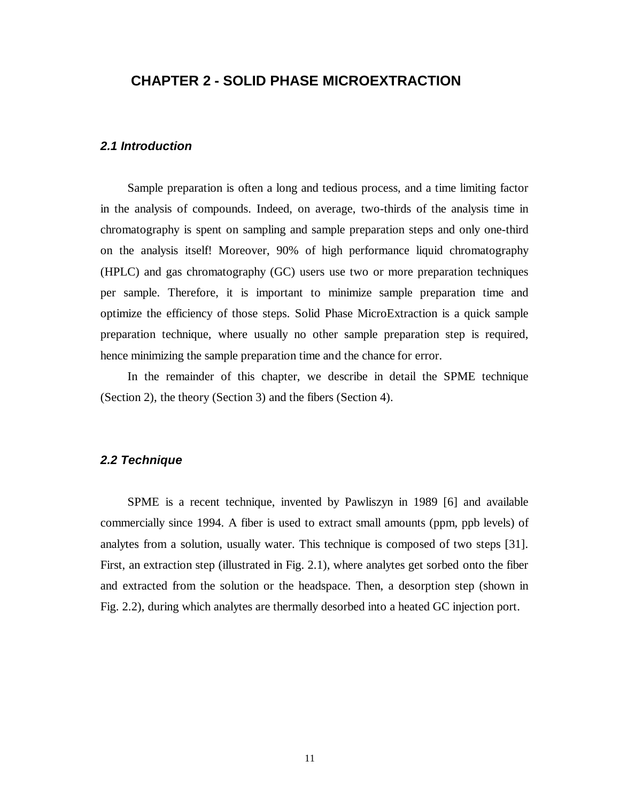### <span id="page-19-0"></span>**CHAPTER 2 - SOLID PHASE MICROEXTRACTION**

### **2.1 Introduction**

 Sample preparation is often a long and tedious process, and a time limiting factor in the analysis of compounds. Indeed, on average, two-thirds of the analysis time in chromatography is spent on sampling and sample preparation steps and only one-third on the analysis itself! Moreover, 90% of high performance liquid chromatography (HPLC) and gas chromatography (GC) users use two or more preparation techniques per sample. Therefore, it is important to minimize sample preparation time and optimize the efficiency of those steps. Solid Phase MicroExtraction is a quick sample preparation technique, where usually no other sample preparation step is required, hence minimizing the sample preparation time and the chance for error.

 In the remainder of this chapter, we describe in detail the SPME technique (Section 2), the theory (Section 3) and the fibers (Section 4).

### **2.2 Technique**

 SPME is a recent technique, invented by Pawliszyn in 1989 [6] and available commercially since 1994. A fiber is used to extract small amounts (ppm, ppb levels) of analytes from a solution, usually water. This technique is composed of two steps [31]. First, an extraction step (illustrated in Fig. 2.1), where analytes get sorbed onto the fiber and extracted from the solution or the headspace. Then, a desorption step (shown in Fig. 2.2), during which analytes are thermally desorbed into a heated GC injection port.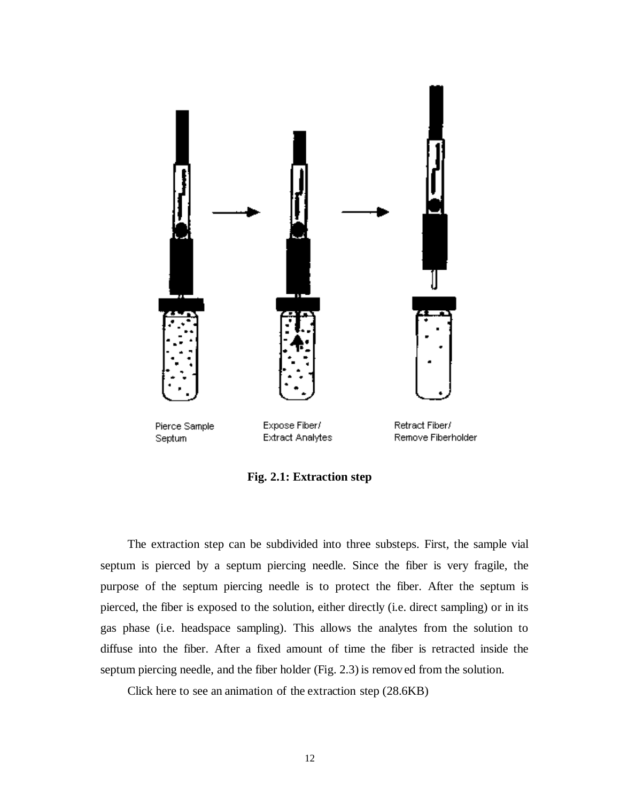<span id="page-20-0"></span>

**Fig. 2.1: Extraction step** 

The extraction step can be subdivided into three substeps. First, the sample vial septum is pierced by a septum piercing needle. Since the fiber is very fragile, the purpose of the septum piercing needle is to protect the fiber. After the septum is pierced, the fiber is exposed to the solution, either directly (i.e. direct sampling) or in its gas phase (i.e. headspace sampling). This allows the analytes from the solution to diffuse into the fiber. After a fixed amount of time the fiber is retracted inside the septum piercing needle, and the fiber holder (Fig. 2.3) is remov ed from the solution.

Click here to see an animation of the extraction step (28.6KB)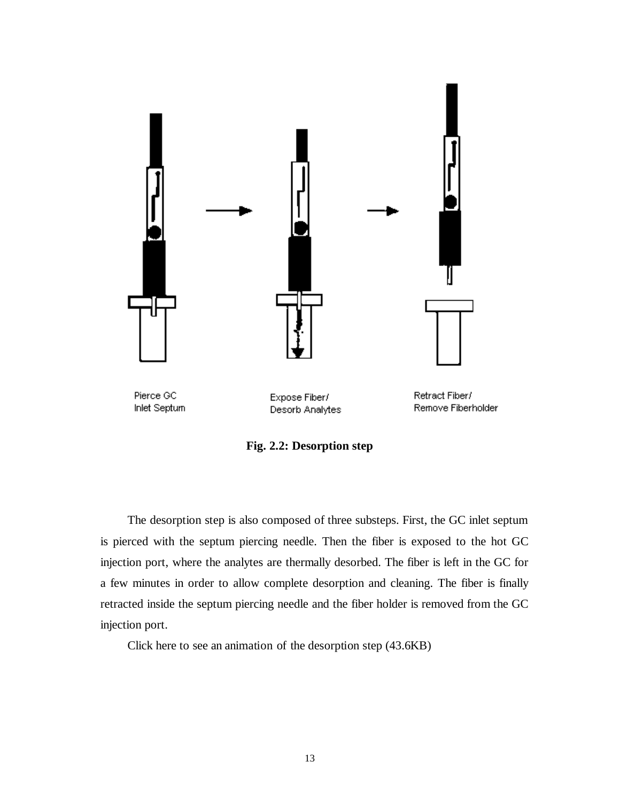<span id="page-21-0"></span>

**Fig. 2.2: Desorption step** 

The desorption step is also composed of three substeps. First, the GC inlet septum is pierced with the septum piercing needle. Then the fiber is exposed to the hot GC injection port, where the analytes are thermally desorbed. The fiber is left in the GC for a few minutes in order to allow complete desorption and cleaning. The fiber is finally retracted inside the septum piercing needle and the fiber holder is removed from the GC injection port.

Click here to see an animation of the desorption step (43.6KB)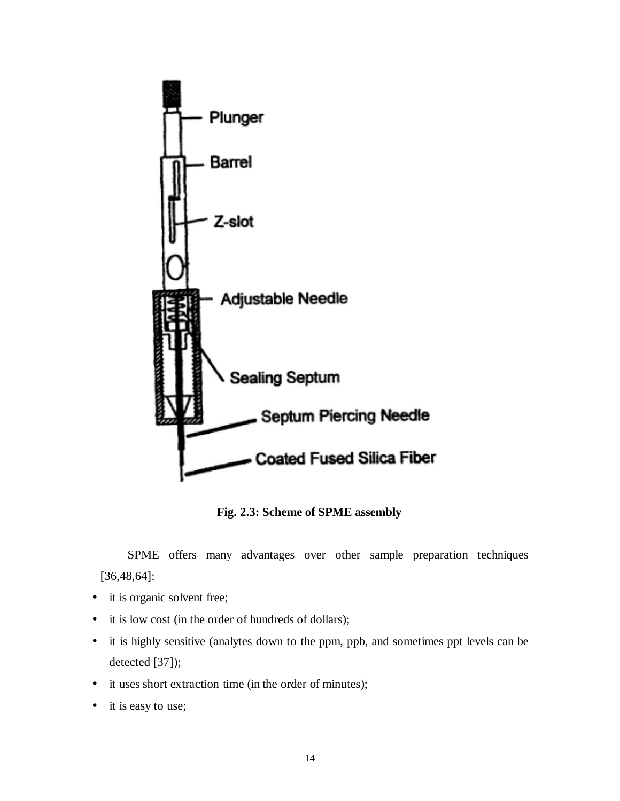<span id="page-22-0"></span>

**Fig. 2.3: Scheme of SPME assembly** 

SPME offers many advantages over other sample preparation techniques [36,48,64]:

- it is organic solvent free;
- it is low cost (in the order of hundreds of dollars);
- it is highly sensitive (analytes down to the ppm, ppb, and sometimes ppt levels can be detected [37]);
- it uses short extraction time (in the order of minutes);
- it is easy to use;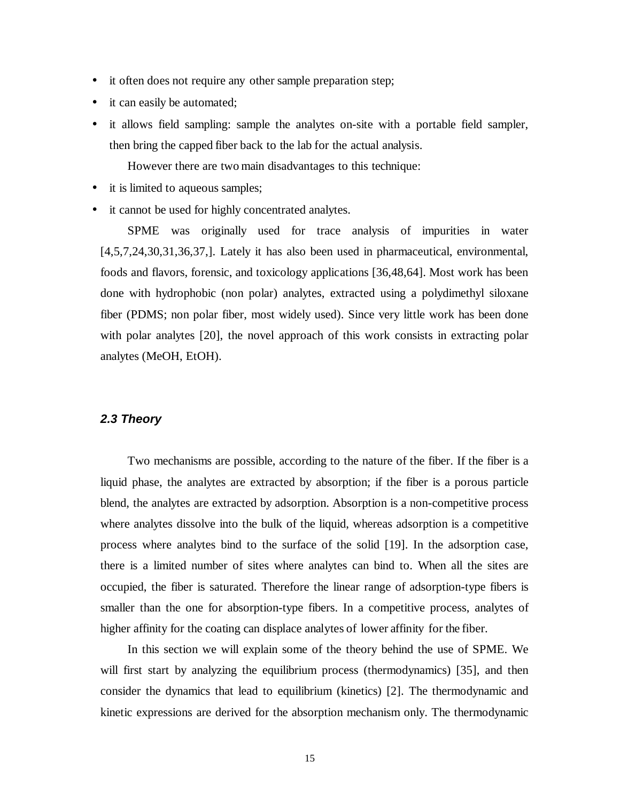- <span id="page-23-0"></span>• it often does not require any other sample preparation step;
- it can easily be automated;
- it allows field sampling: sample the analytes on-site with a portable field sampler, then bring the capped fiber back to the lab for the actual analysis.

However there are two main disadvantages to this technique:

- it is limited to aqueous samples;
- it cannot be used for highly concentrated analytes.

SPME was originally used for trace analysis of impurities in water [4,5,7,24,30,31,36,37,]. Lately it has also been used in pharmaceutical, environmental, foods and flavors, forensic, and toxicology applications [36,48,64]. Most work has been done with hydrophobic (non polar) analytes, extracted using a polydimethyl siloxane fiber (PDMS; non polar fiber, most widely used). Since very little work has been done with polar analytes [20], the novel approach of this work consists in extracting polar analytes (MeOH, EtOH).

### **2.3 Theory**

 Two mechanisms are possible, according to the nature of the fiber. If the fiber is a liquid phase, the analytes are extracted by absorption; if the fiber is a porous particle blend, the analytes are extracted by adsorption. Absorption is a non-competitive process where analytes dissolve into the bulk of the liquid, whereas adsorption is a competitive process where analytes bind to the surface of the solid [19]. In the adsorption case, there is a limited number of sites where analytes can bind to. When all the sites are occupied, the fiber is saturated. Therefore the linear range of adsorption-type fibers is smaller than the one for absorption-type fibers. In a competitive process, analytes of higher affinity for the coating can displace analytes of lower affinity for the fiber.

In this section we will explain some of the theory behind the use of SPME. We will first start by analyzing the equilibrium process (thermodynamics) [35], and then consider the dynamics that lead to equilibrium (kinetics) [2]. The thermodynamic and kinetic expressions are derived for the absorption mechanism only. The thermodynamic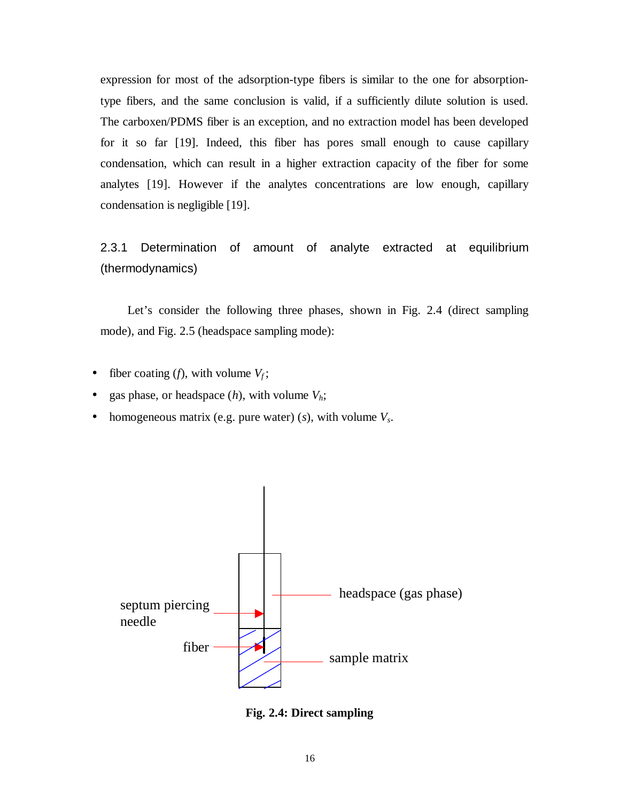<span id="page-24-0"></span>expression for most of the adsorption-type fibers is similar to the one for absorptiontype fibers, and the same conclusion is valid, if a sufficiently dilute solution is used. The carboxen/PDMS fiber is an exception, and no extraction model has been developed for it so far [19]. Indeed, this fiber has pores small enough to cause capillary condensation, which can result in a higher extraction capacity of the fiber for some analytes [19]. However if the analytes concentrations are low enough, capillary condensation is negligible [19].

2.3.1 Determination of amount of analyte extracted at equilibrium (thermodynamics)

 Let's consider the following three phases, shown in Fig. 2.4 (direct sampling mode), and Fig. 2.5 (headspace sampling mode):

- fiber coating  $(f)$ , with volume  $V_f$ ;
- gas phase, or headspace  $(h)$ , with volume  $V_h$ ;
- homogeneous matrix (e.g. pure water) ( $s$ ), with volume  $V_s$ .



**Fig. 2.4: Direct sampling**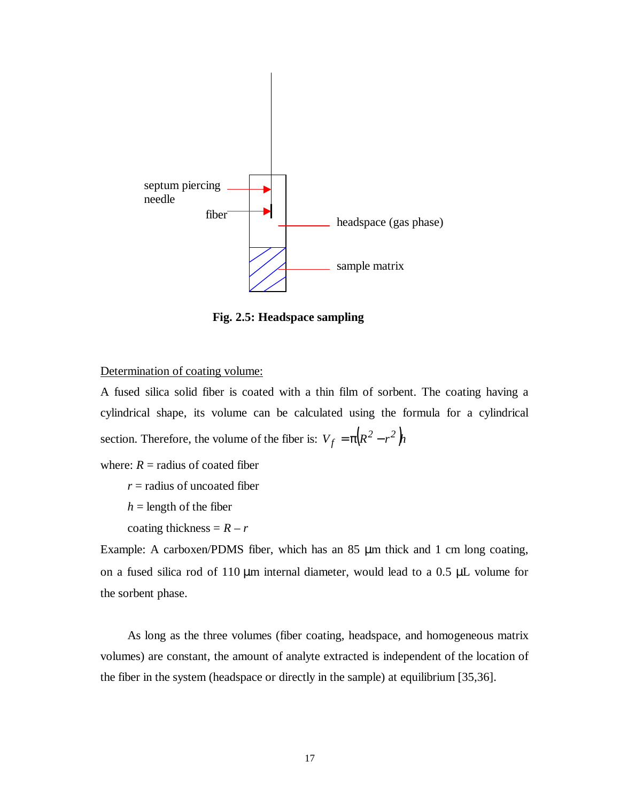<span id="page-25-0"></span>

**Fig. 2.5: Headspace sampling** 

Determination of coating volume:

A fused silica solid fiber is coated with a thin film of sorbent. The coating having a cylindrical shape, its volume can be calculated using the formula for a cylindrical section. Therefore, the volume of the fiber is:  $V_f = \pi (R^2 - r^2)h$ 

where:  $R =$  radius of coated fiber

*r* = radius of uncoated fiber

 $h =$  length of the fiber

coating thickness =  $R - r$ 

Example: A carboxen/PDMS fiber, which has an 85 µm thick and 1 cm long coating, on a fused silica rod of 110 µm internal diameter, would lead to a 0.5 µL volume for the sorbent phase.

As long as the three volumes (fiber coating, headspace, and homogeneous matrix volumes) are constant, the amount of analyte extracted is independent of the location of the fiber in the system (headspace or directly in the sample) at equilibrium [35,36].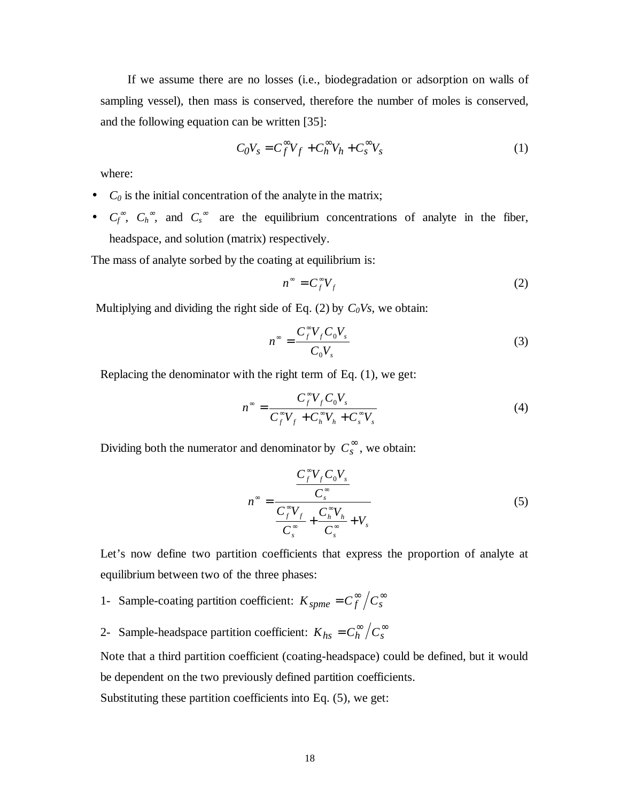If we assume there are no losses (i.e., biodegradation or adsorption on walls of sampling vessel), then mass is conserved, therefore the number of moles is conserved, and the following equation can be written [35]:

$$
C_0 V_s = C_f^{\infty} V_f + C_h^{\infty} V_h + C_s^{\infty} V_s
$$
 (1)

where:

- $\bullet$  *C*<sub>0</sub> is the initial concentration of the analyte in the matrix;
- $C_f^{\infty}$ ,  $C_h^{\infty}$ , and  $C_s^{\infty}$  are the equilibrium concentrations of analyte in the fiber, headspace, and solution (matrix) respectively.

The mass of analyte sorbed by the coating at equilibrium is:

$$
n^{\infty} = C_f^{\infty} V_f \tag{2}
$$

Multiplying and dividing the right side of Eq.  $(2)$  by  $C_0Vs$ , we obtain:

$$
n^{\infty} = \frac{C_f^{\infty} V_f C_0 V_s}{C_0 V_s}
$$
 (3)

Replacing the denominator with the right term of Eq. (1), we get:

$$
n^{\infty} = \frac{C_f^{\infty} V_f C_0 V_s}{C_f^{\infty} V_f + C_h^{\infty} V_h + C_s^{\infty} V_s}
$$
(4)

Dividing both the numerator and denominator by  $C_s^{\infty}$ , we obtain:

$$
n^{\infty} = \frac{\frac{C_f^{\infty} V_f C_0 V_s}{C_s^{\infty}}}{\frac{C_f^{\infty} V_f}{C_s^{\infty}} + \frac{C_h^{\infty} V_h}{C_s^{\infty}} + V_s}
$$
(5)

Let's now define two partition coefficients that express the proportion of analyte at equilibrium between two of the three phases:

- 1- Sample-coating partition coefficient:  $K_{spme} = C_f^{\infty}/C_s^{\infty}$
- 2- Sample-headspace partition coefficient:  $K_{hs} = C_h^{\infty}/C_s^{\infty}$

Note that a third partition coefficient (coating-headspace) could be defined, but it would be dependent on the two previously defined partition coefficients.

Substituting these partition coefficients into Eq. (5), we get: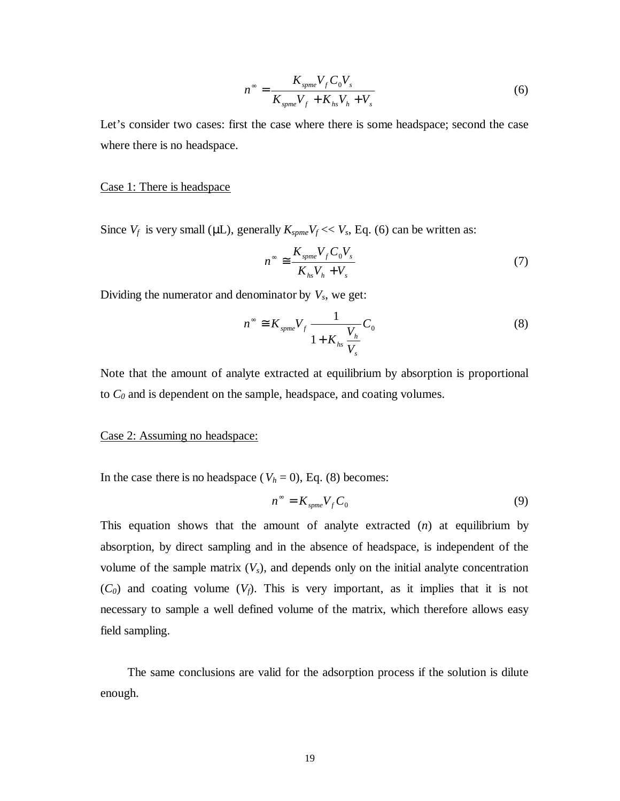$$
n^{\infty} = \frac{K_{spme}V_f C_0 V_s}{K_{spme}V_f + K_{hs}V_h + V_s}
$$
(6)

Let's consider two cases: first the case where there is some headspace; second the case where there is no headspace.

#### Case 1: There is headspace

Since  $V_f$  is very small ( $\mu$ L), generally  $K_{\text{spme}}V_f \ll V_s$ , Eq. (6) can be written as:

$$
n^{\infty} \cong \frac{K_{spme}V_f C_0 V_s}{K_{hs}V_h + V_s} \tag{7}
$$

Dividing the numerator and denominator by  $V_s$ , we get:

$$
n^{\infty} \cong K_{spme} V_f \frac{1}{1 + K_{hs} \frac{V_h}{V_s}} C_0 \tag{8}
$$

Note that the amount of analyte extracted at equilibrium by absorption is proportional to *C0* and is dependent on the sample, headspace, and coating volumes.

### Case 2: Assuming no headspace:

In the case there is no headspace ( $V_h = 0$ ), Eq. (8) becomes:

$$
n^{\infty} = K_{spme} V_f C_0 \tag{9}
$$

This equation shows that the amount of analyte extracted (*n*) at equilibrium by absorption, by direct sampling and in the absence of headspace, is independent of the volume of the sample matrix  $(V_s)$ , and depends only on the initial analyte concentration  $(C_0)$  and coating volume  $(V_f)$ . This is very important, as it implies that it is not necessary to sample a well defined volume of the matrix, which therefore allows easy field sampling.

 The same conclusions are valid for the adsorption process if the solution is dilute enough.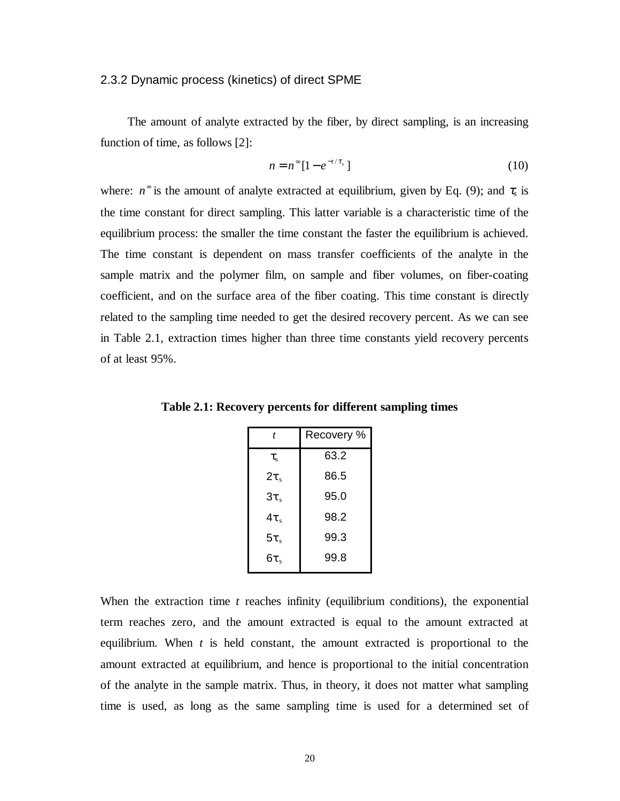#### <span id="page-28-0"></span>2.3.2 Dynamic process (kinetics) of direct SPME

The amount of analyte extracted by the fiber, by direct sampling, is an increasing function of time, as follows [2]:

$$
n = n^{\infty} \left[ 1 - e^{-t/\tau_s} \right] \tag{10}
$$

where:  $n^{\infty}$  is the amount of analyte extracted at equilibrium, given by Eq. (9); and  $\tau_s$  is the time constant for direct sampling. This latter variable is a characteristic time of the equilibrium process: the smaller the time constant the faster the equilibrium is achieved. The time constant is dependent on mass transfer coefficients of the analyte in the sample matrix and the polymer film, on sample and fiber volumes, on fiber-coating coefficient, and on the surface area of the fiber coating. This time constant is directly related to the sampling time needed to get the desired recovery percent. As we can see in Table 2.1, extraction times higher than three time constants yield recovery percents of at least 95%.

| t              | Recovery % |
|----------------|------------|
| $\tau_{\rm s}$ | 63.2       |
| $2\tau$        | 86.5       |
| $3\tau_s$      | 95.0       |
| $4\tau$        | 98.2       |
| $5\tau_s$      | 99.3       |
| $6\tau$        | 99.8       |

**Table 2.1: Recovery percents for different sampling times** 

When the extraction time *t* reaches infinity (equilibrium conditions), the exponential term reaches zero, and the amount extracted is equal to the amount extracted at equilibrium. When *t* is held constant, the amount extracted is proportional to the amount extracted at equilibrium, and hence is proportional to the initial concentration of the analyte in the sample matrix. Thus, in theory, it does not matter what sampling time is used, as long as the same sampling time is used for a determined set of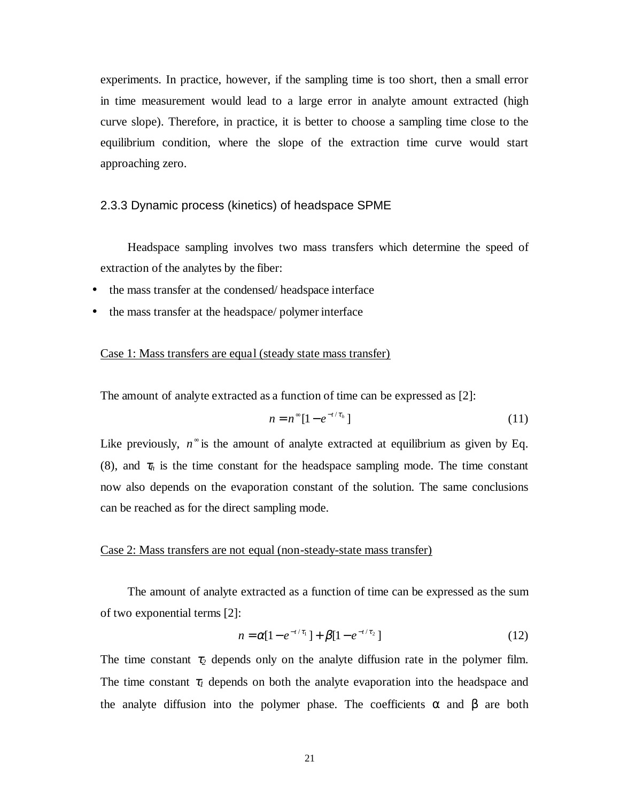<span id="page-29-0"></span>experiments. In practice, however, if the sampling time is too short, then a small error in time measurement would lead to a large error in analyte amount extracted (high curve slope). Therefore, in practice, it is better to choose a sampling time close to the equilibrium condition, where the slope of the extraction time curve would start approaching zero.

### 2.3.3 Dynamic process (kinetics) of headspace SPME

 Headspace sampling involves two mass transfers which determine the speed of extraction of the analytes by the fiber:

- the mass transfer at the condensed/ headspace interface
- the mass transfer at the headspace/ polymer interface

### Case 1: Mass transfers are equal (steady state mass transfer)

The amount of analyte extracted as a function of time can be expressed as [2]:

$$
n = n^{\infty} \left[ 1 - e^{-t/\tau_h} \right] \tag{11}
$$

Like previously,  $n^{\infty}$  is the amount of analyte extracted at equilibrium as given by Eq. (8), and  $\tau_h$  is the time constant for the headspace sampling mode. The time constant now also depends on the evaporation constant of the solution. The same conclusions can be reached as for the direct sampling mode.

#### Case 2: Mass transfers are not equal (non-steady-state mass transfer)

The amount of analyte extracted as a function of time can be expressed as the sum of two exponential terms [2]:

$$
n = \alpha [1 - e^{-t/\tau_1}] + \beta [1 - e^{-t/\tau_2}] \tag{12}
$$

The time constant  $\tau_2$  depends only on the analyte diffusion rate in the polymer film. The time constant  $\tau_l$  depends on both the analyte evaporation into the headspace and the analyte diffusion into the polymer phase. The coefficients  $\alpha$  and  $\beta$  are both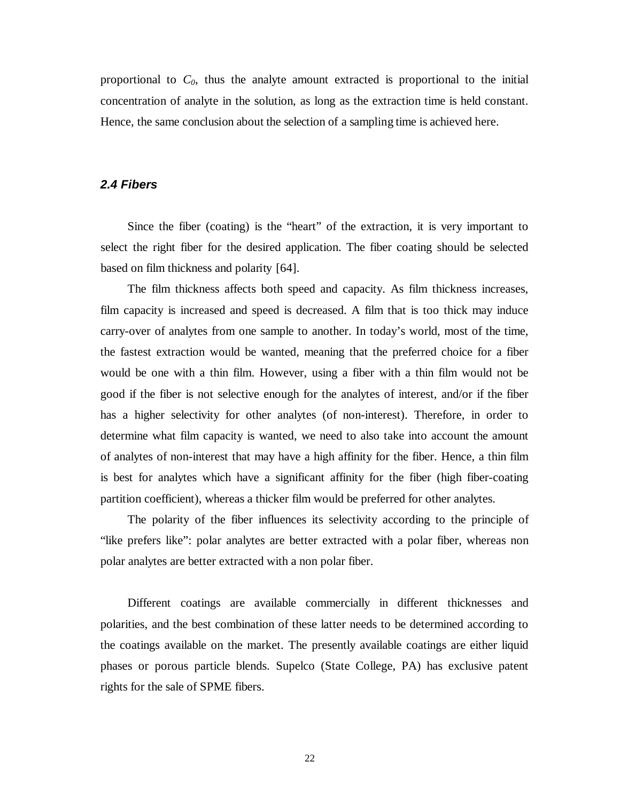<span id="page-30-0"></span>proportional to  $C_0$ , thus the analyte amount extracted is proportional to the initial concentration of analyte in the solution, as long as the extraction time is held constant. Hence, the same conclusion about the selection of a sampling time is achieved here.

### **2.4 Fibers**

Since the fiber (coating) is the "heart" of the extraction, it is very important to select the right fiber for the desired application. The fiber coating should be selected based on film thickness and polarity [64].

 The film thickness affects both speed and capacity. As film thickness increases, film capacity is increased and speed is decreased. A film that is too thick may induce carry-over of analytes from one sample to another. In today's world, most of the time, the fastest extraction would be wanted, meaning that the preferred choice for a fiber would be one with a thin film. However, using a fiber with a thin film would not be good if the fiber is not selective enough for the analytes of interest, and/or if the fiber has a higher selectivity for other analytes (of non-interest). Therefore, in order to determine what film capacity is wanted, we need to also take into account the amount of analytes of non-interest that may have a high affinity for the fiber. Hence, a thin film is best for analytes which have a significant affinity for the fiber (high fiber-coating partition coefficient), whereas a thicker film would be preferred for other analytes.

 The polarity of the fiber influences its selectivity according to the principle of "like prefers like": polar analytes are better extracted with a polar fiber, whereas non polar analytes are better extracted with a non polar fiber.

 Different coatings are available commercially in different thicknesses and polarities, and the best combination of these latter needs to be determined according to the coatings available on the market. The presently available coatings are either liquid phases or porous particle blends. Supelco (State College, PA) has exclusive patent rights for the sale of SPME fibers.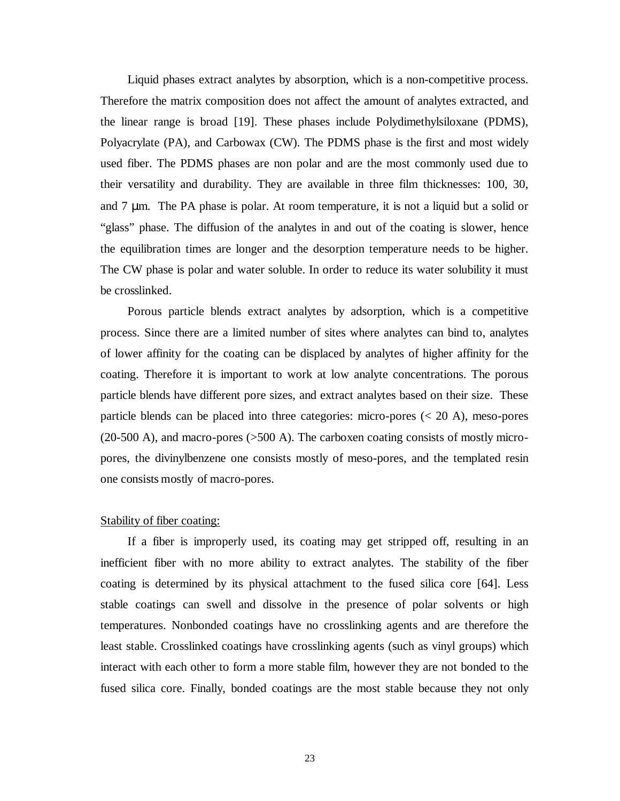Liquid phases extract analytes by absorption, which is a non-competitive process. Therefore the matrix composition does not affect the amount of analytes extracted, and the linear range is broad [19]. These phases include Polydimethylsiloxane (PDMS), Polyacrylate (PA), and Carbowax (CW). The PDMS phase is the first and most widely used fiber. The PDMS phases are non polar and are the most commonly used due to their versatility and durability. They are available in three film thicknesses: 100, 30, and 7 µm. The PA phase is polar. At room temperature, it is not a liquid but a solid or "glass" phase. The diffusion of the analytes in and out of the coating is slower, hence the equilibration times are longer and the desorption temperature needs to be higher. The CW phase is polar and water soluble. In order to reduce its water solubility it must be crosslinked.

 Porous particle blends extract analytes by adsorption, which is a competitive process. Since there are a limited number of sites where analytes can bind to, analytes of lower affinity for the coating can be displaced by analytes of higher affinity for the coating. Therefore it is important to work at low analyte concentrations. The porous particle blends have different pore sizes, and extract analytes based on their size. These particle blends can be placed into three categories: micro-pores (< 20 A), meso-pores (20-500 A), and macro-pores (>500 A). The carboxen coating consists of mostly micropores, the divinylbenzene one consists mostly of meso-pores, and the templated resin one consists mostly of macro-pores.

### Stability of fiber coating:

If a fiber is improperly used, its coating may get stripped off, resulting in an inefficient fiber with no more ability to extract analytes. The stability of the fiber coating is determined by its physical attachment to the fused silica core [64]. Less stable coatings can swell and dissolve in the presence of polar solvents or high temperatures. Nonbonded coatings have no crosslinking agents and are therefore the least stable. Crosslinked coatings have crosslinking agents (such as vinyl groups) which interact with each other to form a more stable film, however they are not bonded to the fused silica core. Finally, bonded coatings are the most stable because they not only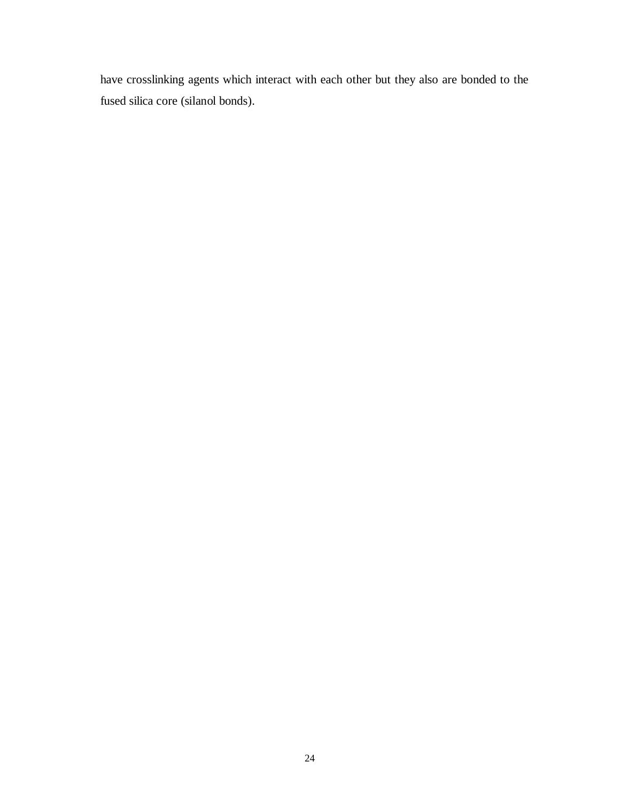have crosslinking agents which interact with each other but they also are bonded to the fused silica core (silanol bonds).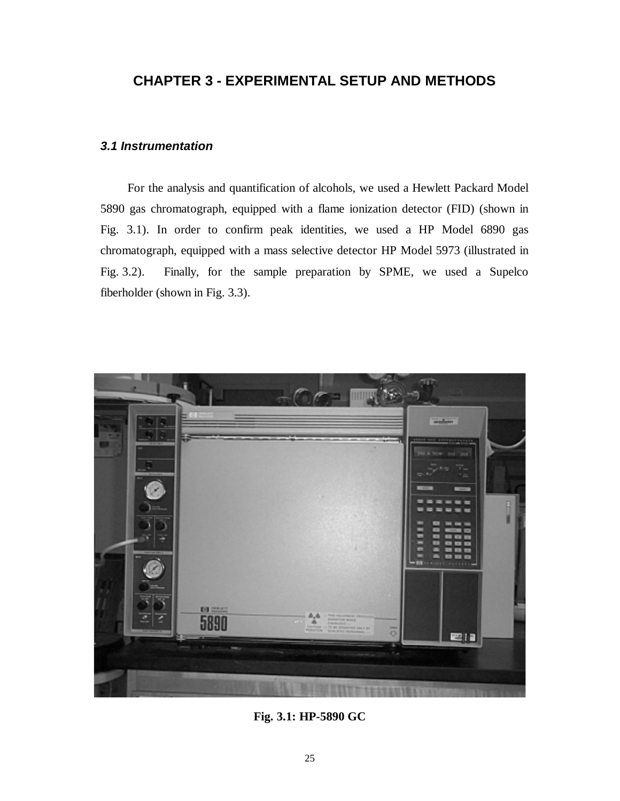### <span id="page-33-0"></span>**CHAPTER 3 - EXPERIMENTAL SETUP AND METHODS**

### **3.1 Instrumentation**

For the analysis and quantification of alcohols, we used a Hewlett Packard Model 5890 gas chromatograph, equipped with a flame ionization detector (FID) (shown in Fig. 3.1). In order to confirm peak identities, we used a HP Model 6890 gas chromatograph, equipped with a mass selective detector HP Model 5973 (illustrated in Fig. 3.2). Finally, for the sample preparation by SPME, we used a Supelco fiberholder (shown in Fig. 3.3).



**Fig. 3.1: HP-5890 GC**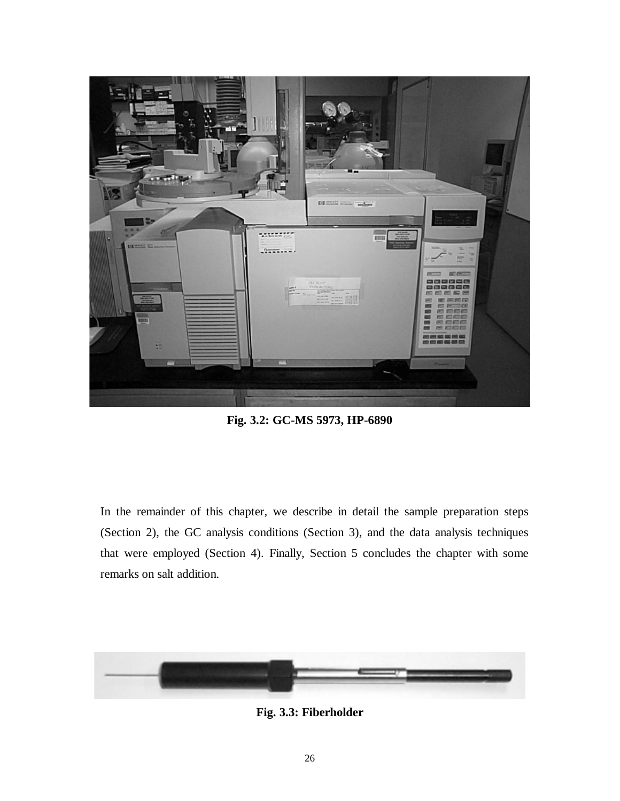<span id="page-34-0"></span>

**Fig. 3.2: GC-MS 5973, HP-6890** 

In the remainder of this chapter, we describe in detail the sample preparation steps (Section 2), the GC analysis conditions (Section 3), and the data analysis techniques that were employed (Section 4). Finally, Section 5 concludes the chapter with some remarks on salt addition.



**Fig. 3.3: Fiberholder**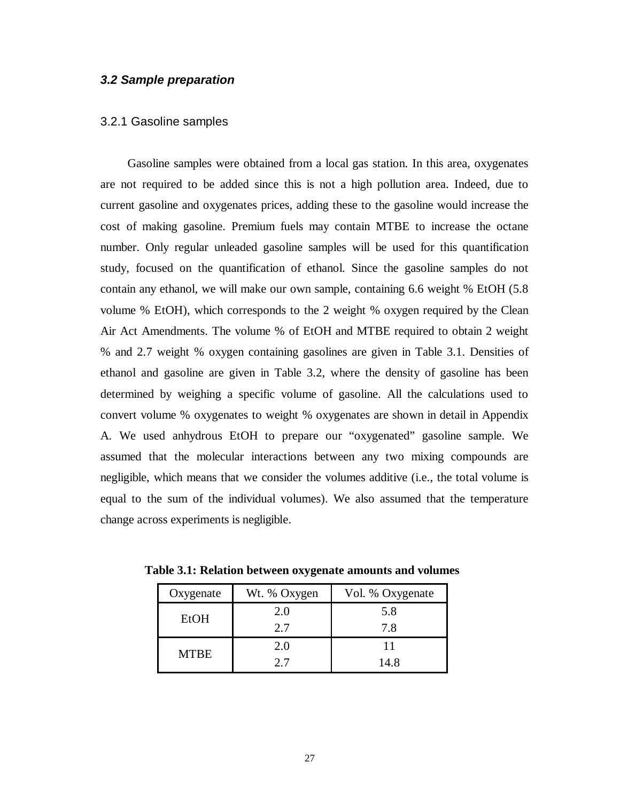### <span id="page-35-0"></span>**3.2 Sample preparation**

### 3.2.1 Gasoline samples

Gasoline samples were obtained from a local gas station. In this area, oxygenates are not required to be added since this is not a high pollution area. Indeed, due to current gasoline and oxygenates prices, adding these to the gasoline would increase the cost of making gasoline. Premium fuels may contain MTBE to increase the octane number. Only regular unleaded gasoline samples will be used for this quantification study, focused on the quantification of ethanol. Since the gasoline samples do not contain any ethanol, we will make our own sample, containing 6.6 weight % EtOH (5.8 volume % EtOH), which corresponds to the 2 weight % oxygen required by the Clean Air Act Amendments. The volume % of EtOH and MTBE required to obtain 2 weight % and 2.7 weight % oxygen containing gasolines are given in Table 3.1. Densities of ethanol and gasoline are given in Table 3.2, where the density of gasoline has been determined by weighing a specific volume of gasoline. All the calculations used to convert volume % oxygenates to weight % oxygenates are shown in detail in Appendix A. We used anhydrous EtOH to prepare our "oxygenated" gasoline sample. We assumed that the molecular interactions between any two mixing compounds are negligible, which means that we consider the volumes additive (i.e., the total volume is equal to the sum of the individual volumes). We also assumed that the temperature change across experiments is negligible.

| Oxygenate   | Wt. % Oxygen | Vol. % Oxygenate |
|-------------|--------------|------------------|
| EtOH        | 2.0          | 5.8              |
|             | 2.7          | 7.8              |
| <b>MTBE</b> | 2.0          |                  |
|             | 27           | 14.8             |

**Table 3.1: Relation between oxygenate amounts and volumes**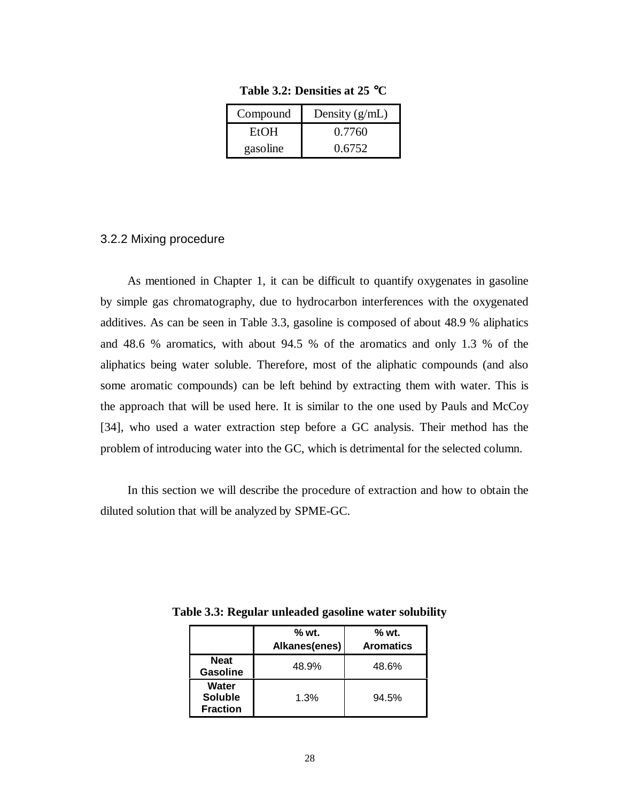| Compound    | Density $(g/mL)$ |
|-------------|------------------|
| <b>EtOH</b> | 0.7760           |
| gasoline    | 0.6752           |

**Table 3.2: Densities at 25** °**C**

#### 3.2.2 Mixing procedure

As mentioned in Chapter 1, it can be difficult to quantify oxygenates in gasoline by simple gas chromatography, due to hydrocarbon interferences with the oxygenated additives. As can be seen in Table 3.3, gasoline is composed of about 48.9 % aliphatics and 48.6 % aromatics, with about 94.5 % of the aromatics and only 1.3 % of the aliphatics being water soluble. Therefore, most of the aliphatic compounds (and also some aromatic compounds) can be left behind by extracting them with water. This is the approach that will be used here. It is similar to the one used by Pauls and McCoy [34], who used a water extraction step before a GC analysis. Their method has the problem of introducing water into the GC, which is detrimental for the selected column.

In this section we will describe the procedure of extraction and how to obtain the diluted solution that will be analyzed by SPME-GC.

|                                            | $%$ wt.       | % wt.            |  |
|--------------------------------------------|---------------|------------------|--|
|                                            | Alkanes(enes) | <b>Aromatics</b> |  |
| <b>Neat</b><br><b>Gasoline</b>             | 48.9%         | 48.6%            |  |
| Water<br><b>Soluble</b><br><b>Fraction</b> | 1.3%          | 94.5%            |  |

**Table 3.3: Regular unleaded gasoline water solubility**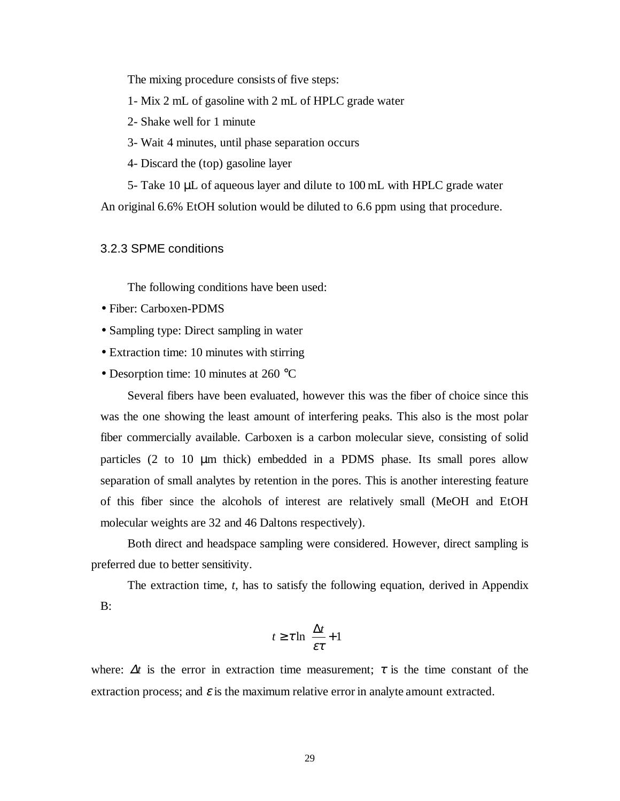The mixing procedure consists of five steps:

1- Mix 2 mL of gasoline with 2 mL of HPLC grade water

- 2- Shake well for 1 minute
- 3- Wait 4 minutes, until phase separation occurs
- 4- Discard the (top) gasoline layer

 5- Take 10 µL of aqueous layer and dilute to 100 mL with HPLC grade water An original 6.6% EtOH solution would be diluted to 6.6 ppm using that procedure.

3.2.3 SPME conditions

The following conditions have been used:

- Fiber: Carboxen-PDMS
- Sampling type: Direct sampling in water
- Extraction time: 10 minutes with stirring
- Desorption time: 10 minutes at 260 °C

Several fibers have been evaluated, however this was the fiber of choice since this was the one showing the least amount of interfering peaks. This also is the most polar fiber commercially available. Carboxen is a carbon molecular sieve, consisting of solid particles (2 to 10 µm thick) embedded in a PDMS phase. Its small pores allow separation of small analytes by retention in the pores. This is another interesting feature of this fiber since the alcohols of interest are relatively small (MeOH and EtOH molecular weights are 32 and 46 Daltons respectively).

 Both direct and headspace sampling were considered. However, direct sampling is preferred due to better sensitivity.

The extraction time, *t*, has to satisfy the following equation, derived in Appendix B:

$$
t \geq \tau \ln \left( \frac{\Delta t}{\varepsilon \tau} + 1 \right)
$$

where:  $\Delta t$  is the error in extraction time measurement;  $\tau$  is the time constant of the extraction process; and  $\varepsilon$  is the maximum relative error in analyte amount extracted.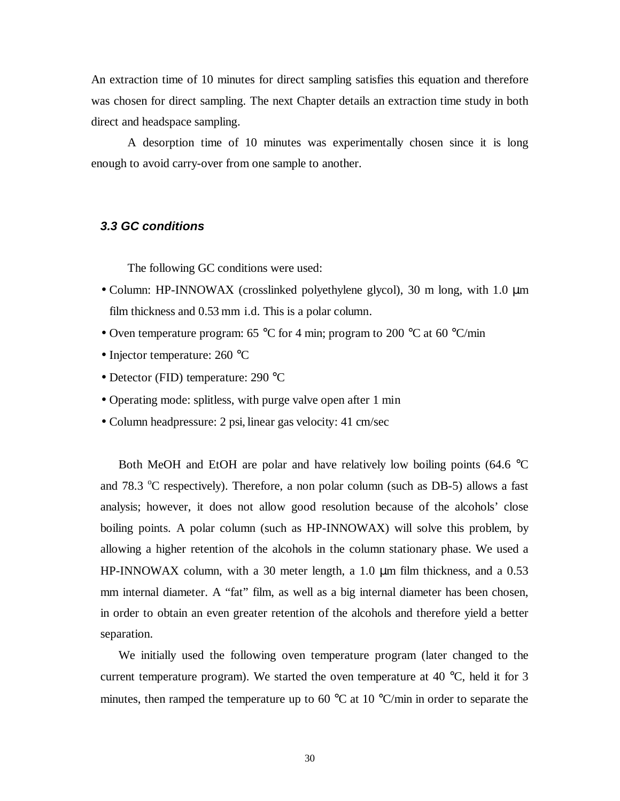An extraction time of 10 minutes for direct sampling satisfies this equation and therefore was chosen for direct sampling. The next Chapter details an extraction time study in both direct and headspace sampling.

 A desorption time of 10 minutes was experimentally chosen since it is long enough to avoid carry-over from one sample to another.

#### **3.3 GC conditions**

The following GC conditions were used:

- Column: HP-INNOWAX (crosslinked polyethylene glycol), 30 m long, with 1.0 µm film thickness and  $0.53$  mm i.d. This is a polar column.
- Oven temperature program: 65 °C for 4 min; program to 200 °C at 60 °C/min
- Injector temperature: 260 °C
- Detector (FID) temperature: 290 °C
- Operating mode: splitless, with purge valve open after 1 min
- Column headpressure: 2 psi, linear gas velocity: 41 cm/sec

Both MeOH and EtOH are polar and have relatively low boiling points (64.6  $\degree$ C and 78.3 °C respectively). Therefore, a non polar column (such as DB-5) allows a fast analysis; however, it does not allow good resolution because of the alcohols' close boiling points. A polar column (such as HP-INNOWAX) will solve this problem, by allowing a higher retention of the alcohols in the column stationary phase. We used a HP-INNOWAX column, with a 30 meter length, a 1.0 µm film thickness, and a 0.53 mm internal diameter. A "fat" film, as well as a big internal diameter has been chosen, in order to obtain an even greater retention of the alcohols and therefore yield a better separation.

We initially used the following oven temperature program (later changed to the current temperature program). We started the oven temperature at 40  $^{\circ}$ C, held it for 3 minutes, then ramped the temperature up to 60 °C at 10 °C/min in order to separate the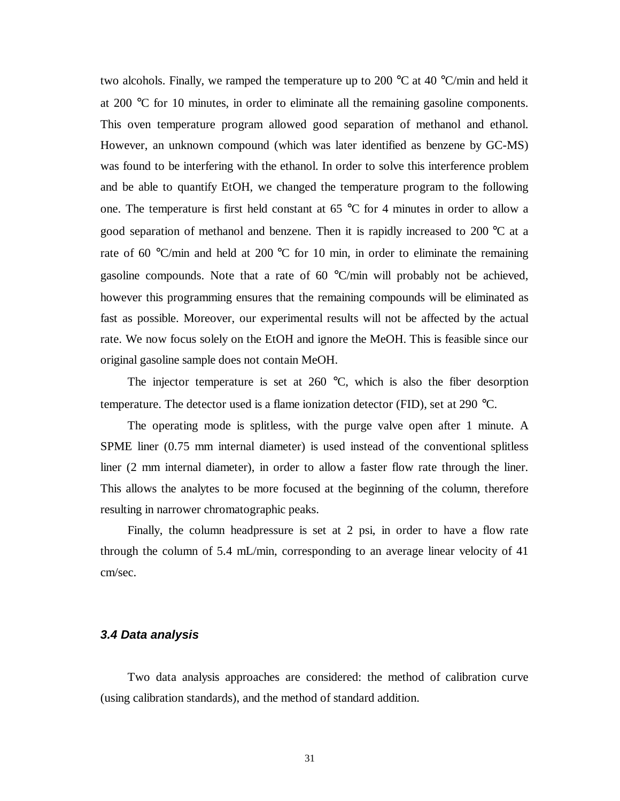two alcohols. Finally, we ramped the temperature up to 200  $\degree$ C at 40  $\degree$ C/min and held it at 200 °C for 10 minutes, in order to eliminate all the remaining gasoline components. This oven temperature program allowed good separation of methanol and ethanol. However, an unknown compound (which was later identified as benzene by GC-MS) was found to be interfering with the ethanol. In order to solve this interference problem and be able to quantify EtOH, we changed the temperature program to the following one. The temperature is first held constant at 65 °C for 4 minutes in order to allow a good separation of methanol and benzene. Then it is rapidly increased to 200 °C at a rate of 60 °C/min and held at 200 °C for 10 min, in order to eliminate the remaining gasoline compounds. Note that a rate of 60 °C/min will probably not be achieved, however this programming ensures that the remaining compounds will be eliminated as fast as possible. Moreover, our experimental results will not be affected by the actual rate. We now focus solely on the EtOH and ignore the MeOH. This is feasible since our original gasoline sample does not contain MeOH.

The injector temperature is set at  $260 \degree C$ , which is also the fiber desorption temperature. The detector used is a flame ionization detector (FID), set at 290 °C.

The operating mode is splitless, with the purge valve open after 1 minute. A SPME liner (0.75 mm internal diameter) is used instead of the conventional splitless liner (2 mm internal diameter), in order to allow a faster flow rate through the liner. This allows the analytes to be more focused at the beginning of the column, therefore resulting in narrower chromatographic peaks.

Finally, the column headpressure is set at 2 psi, in order to have a flow rate through the column of 5.4 mL/min, corresponding to an average linear velocity of 41 cm/sec.

#### **3.4 Data analysis**

 Two data analysis approaches are considered: the method of calibration curve (using calibration standards), and the method of standard addition.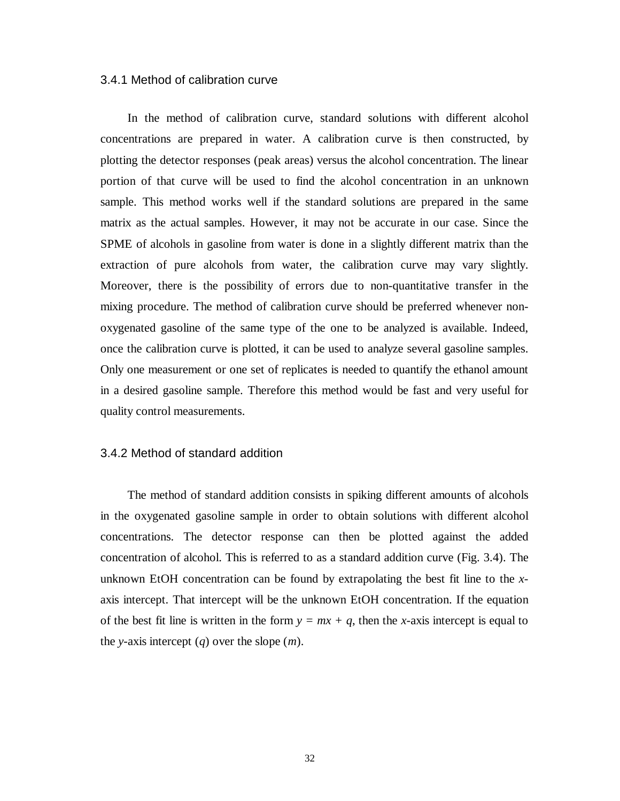#### 3.4.1 Method of calibration curve

 In the method of calibration curve, standard solutions with different alcohol concentrations are prepared in water. A calibration curve is then constructed, by plotting the detector responses (peak areas) versus the alcohol concentration. The linear portion of that curve will be used to find the alcohol concentration in an unknown sample. This method works well if the standard solutions are prepared in the same matrix as the actual samples. However, it may not be accurate in our case. Since the SPME of alcohols in gasoline from water is done in a slightly different matrix than the extraction of pure alcohols from water, the calibration curve may vary slightly. Moreover, there is the possibility of errors due to non-quantitative transfer in the mixing procedure. The method of calibration curve should be preferred whenever nonoxygenated gasoline of the same type of the one to be analyzed is available. Indeed, once the calibration curve is plotted, it can be used to analyze several gasoline samples. Only one measurement or one set of replicates is needed to quantify the ethanol amount in a desired gasoline sample. Therefore this method would be fast and very useful for quality control measurements.

#### 3.4.2 Method of standard addition

The method of standard addition consists in spiking different amounts of alcohols in the oxygenated gasoline sample in order to obtain solutions with different alcohol concentrations. The detector response can then be plotted against the added concentration of alcohol. This is referred to as a standard addition curve (Fig. 3.4). The unknown EtOH concentration can be found by extrapolating the best fit line to the *x*axis intercept. That intercept will be the unknown EtOH concentration. If the equation of the best fit line is written in the form  $y = mx + q$ , then the *x*-axis intercept is equal to the *y*-axis intercept (*q*) over the slope (*m*).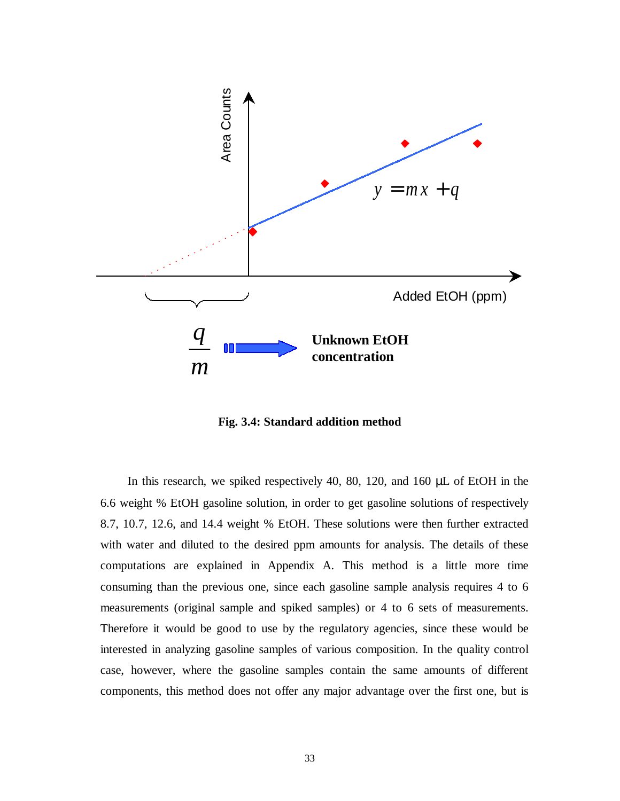

**Fig. 3.4: Standard addition method** 

In this research, we spiked respectively 40, 80, 120, and 160 µL of EtOH in the 6.6 weight % EtOH gasoline solution, in order to get gasoline solutions of respectively 8.7, 10.7, 12.6, and 14.4 weight % EtOH. These solutions were then further extracted with water and diluted to the desired ppm amounts for analysis. The details of these computations are explained in Appendix A. This method is a little more time consuming than the previous one, since each gasoline sample analysis requires 4 to 6 measurements (original sample and spiked samples) or 4 to 6 sets of measurements. Therefore it would be good to use by the regulatory agencies, since these would be interested in analyzing gasoline samples of various composition. In the quality control case, however, where the gasoline samples contain the same amounts of different components, this method does not offer any major advantage over the first one, but is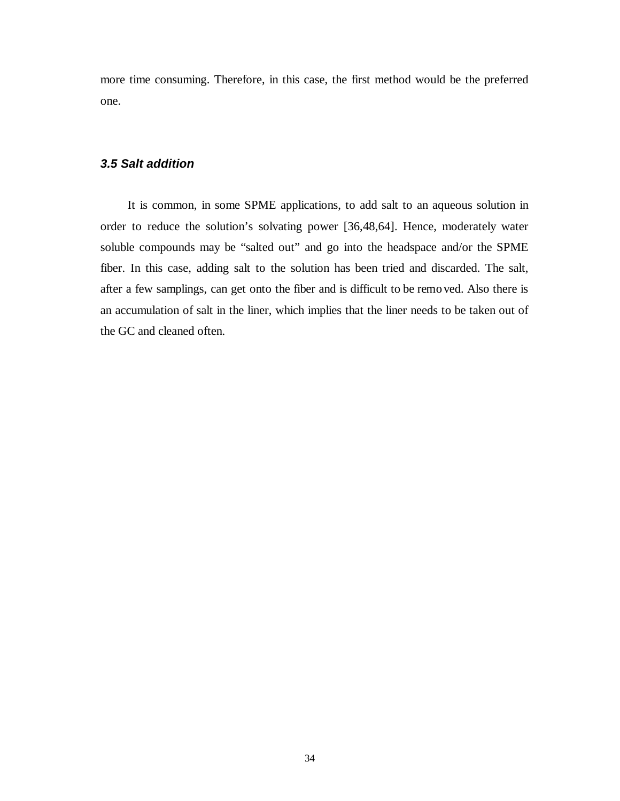more time consuming. Therefore, in this case, the first method would be the preferred one.

#### **3.5 Salt addition**

It is common, in some SPME applications, to add salt to an aqueous solution in order to reduce the solution's solvating power [36,48,64]. Hence, moderately water soluble compounds may be "salted out" and go into the headspace and/or the SPME fiber. In this case, adding salt to the solution has been tried and discarded. The salt, after a few samplings, can get onto the fiber and is difficult to be remo ved. Also there is an accumulation of salt in the liner, which implies that the liner needs to be taken out of the GC and cleaned often.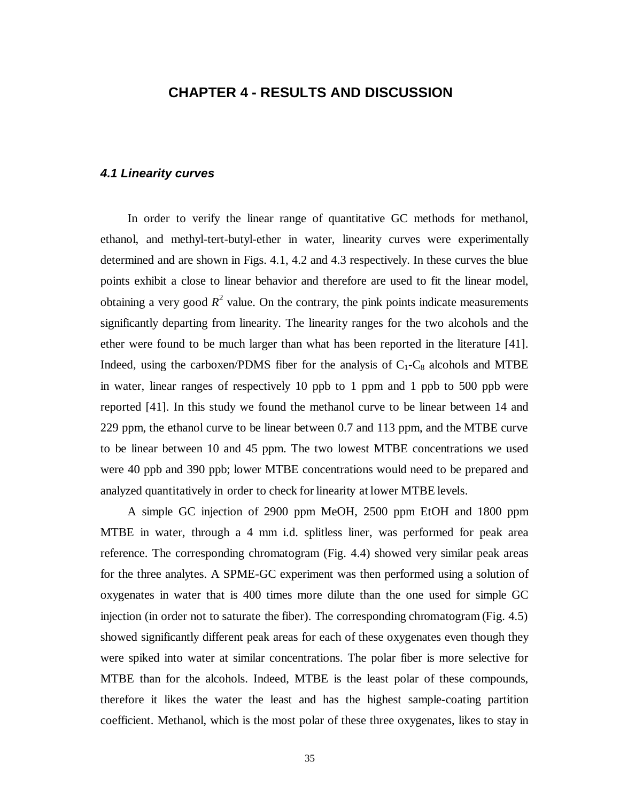## **CHAPTER 4 - RESULTS AND DISCUSSION**

### **4.1 Linearity curves**

In order to verify the linear range of quantitative GC methods for methanol, ethanol, and methyl-tert-butyl-ether in water, linearity curves were experimentally determined and are shown in Figs. 4.1, 4.2 and 4.3 respectively. In these curves the blue points exhibit a close to linear behavior and therefore are used to fit the linear model, obtaining a very good  $R^2$  value. On the contrary, the pink points indicate measurements significantly departing from linearity. The linearity ranges for the two alcohols and the ether were found to be much larger than what has been reported in the literature [41]. Indeed, using the carboxen/PDMS fiber for the analysis of  $C_1-C_8$  alcohols and MTBE in water, linear ranges of respectively 10 ppb to 1 ppm and 1 ppb to 500 ppb were reported [41]. In this study we found the methanol curve to be linear between 14 and 229 ppm, the ethanol curve to be linear between 0.7 and 113 ppm, and the MTBE curve to be linear between 10 and 45 ppm. The two lowest MTBE concentrations we used were 40 ppb and 390 ppb; lower MTBE concentrations would need to be prepared and analyzed quantitatively in order to check for linearity at lower MTBE levels.

A simple GC injection of 2900 ppm MeOH, 2500 ppm EtOH and 1800 ppm MTBE in water, through a 4 mm i.d. splitless liner, was performed for peak area reference. The corresponding chromatogram (Fig. 4.4) showed very similar peak areas for the three analytes. A SPME-GC experiment was then performed using a solution of oxygenates in water that is 400 times more dilute than the one used for simple GC injection (in order not to saturate the fiber). The corresponding chromatogram (Fig. 4.5) showed significantly different peak areas for each of these oxygenates even though they were spiked into water at similar concentrations. The polar fiber is more selective for MTBE than for the alcohols. Indeed, MTBE is the least polar of these compounds, therefore it likes the water the least and has the highest sample-coating partition coefficient. Methanol, which is the most polar of these three oxygenates, likes to stay in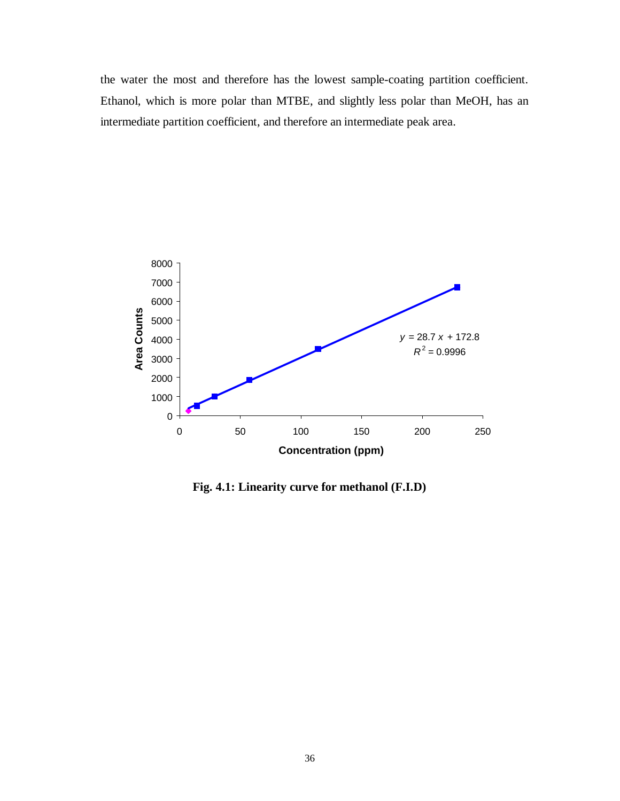the water the most and therefore has the lowest sample-coating partition coefficient. Ethanol, which is more polar than MTBE, and slightly less polar than MeOH, has an intermediate partition coefficient, and therefore an intermediate peak area.



**Fig. 4.1: Linearity curve for methanol (F.I.D)**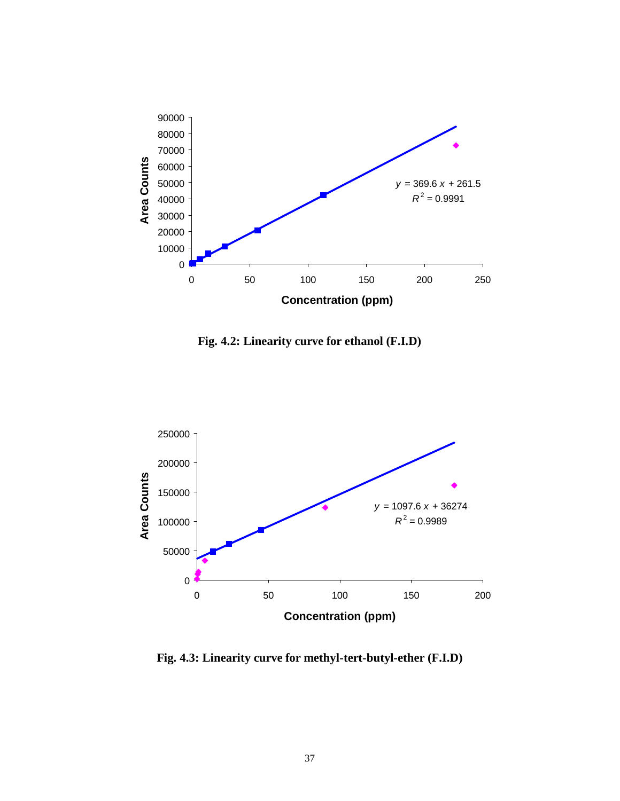

**Fig. 4.2: Linearity curve for ethanol (F.I.D)** 



**Fig. 4.3: Linearity curve for methyl-tert-butyl-ether (F.I.D)**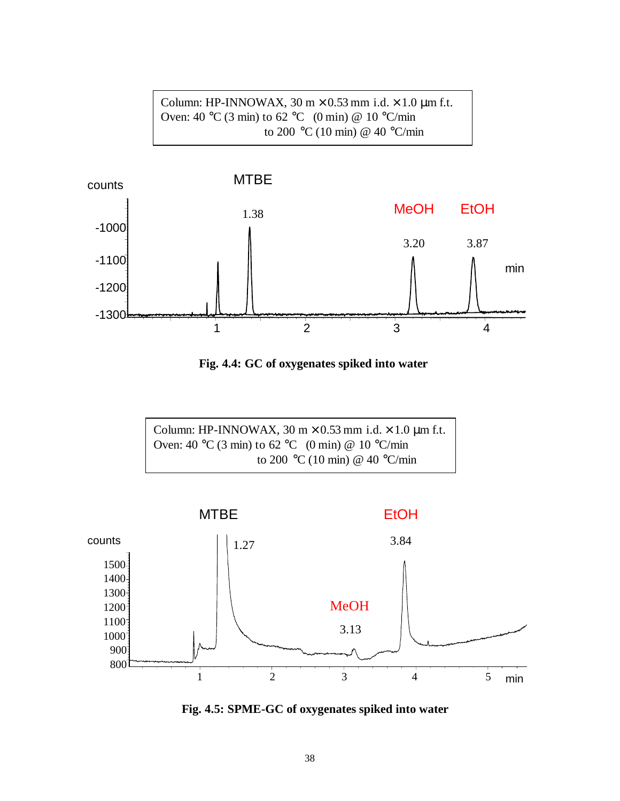Column: HP-INNOWAX,  $30 \text{ m} \times 0.53 \text{ mm}$  i.d.  $\times 1.0 \text{ µm}$  f.t. Oven: 40 °C (3 min) to 62 °C (0 min) @ 10 °C/min to 200 °C (10 min) @ 40 °C/min



**Fig. 4.4: GC of oxygenates spiked into water** 





**Fig. 4.5: SPME-GC of oxygenates spiked into water**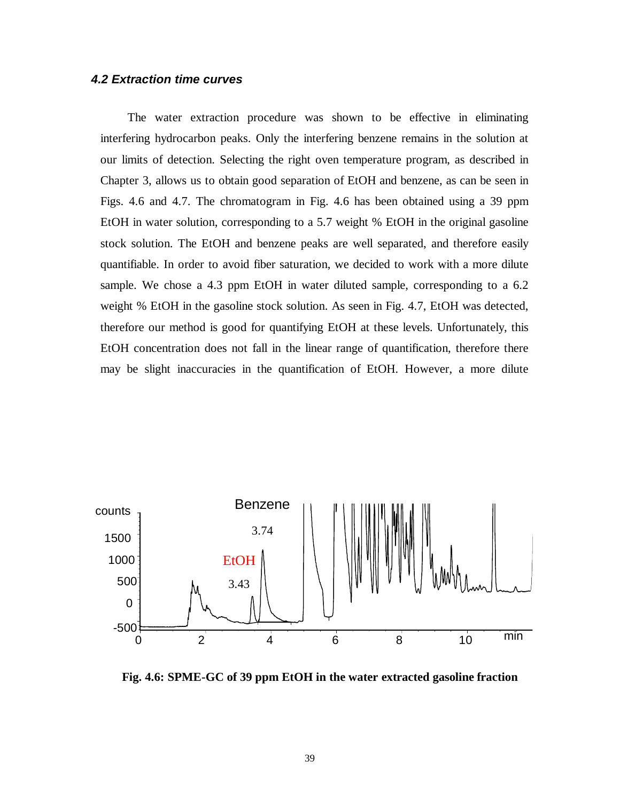### **4.2 Extraction time curves**

The water extraction procedure was shown to be effective in eliminating interfering hydrocarbon peaks. Only the interfering benzene remains in the solution at our limits of detection. Selecting the right oven temperature program, as described in Chapter 3, allows us to obtain good separation of EtOH and benzene, as can be seen in Figs. 4.6 and 4.7. The chromatogram in Fig. 4.6 has been obtained using a 39 ppm EtOH in water solution, corresponding to a 5.7 weight % EtOH in the original gasoline stock solution. The EtOH and benzene peaks are well separated, and therefore easily quantifiable. In order to avoid fiber saturation, we decided to work with a more dilute sample. We chose a 4.3 ppm EtOH in water diluted sample, corresponding to a 6.2 weight % EtOH in the gasoline stock solution. As seen in Fig. 4.7, EtOH was detected, therefore our method is good for quantifying EtOH at these levels. Unfortunately, this EtOH concentration does not fall in the linear range of quantification, therefore there may be slight inaccuracies in the quantification of EtOH. However, a more dilute



**Fig. 4.6: SPME-GC of 39 ppm EtOH in the water extracted gasoline fraction**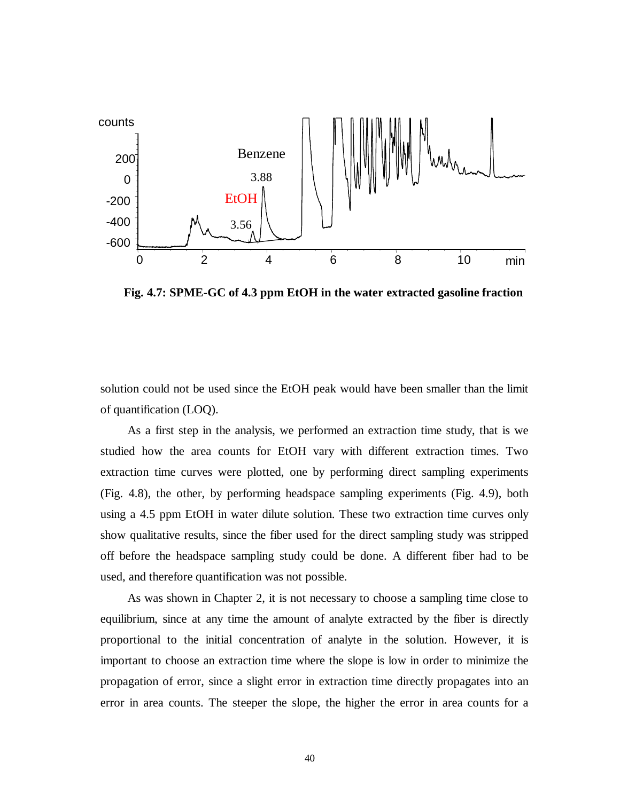

**Fig. 4.7: SPME-GC of 4.3 ppm EtOH in the water extracted gasoline fraction** 

solution could not be used since the EtOH peak would have been smaller than the limit of quantification (LOQ).

As a first step in the analysis, we performed an extraction time study, that is we studied how the area counts for EtOH vary with different extraction times. Two extraction time curves were plotted, one by performing direct sampling experiments (Fig. 4.8), the other, by performing headspace sampling experiments (Fig. 4.9), both using a 4.5 ppm EtOH in water dilute solution. These two extraction time curves only show qualitative results, since the fiber used for the direct sampling study was stripped off before the headspace sampling study could be done. A different fiber had to be used, and therefore quantification was not possible.

As was shown in Chapter 2, it is not necessary to choose a sampling time close to equilibrium, since at any time the amount of analyte extracted by the fiber is directly proportional to the initial concentration of analyte in the solution. However, it is important to choose an extraction time where the slope is low in order to minimize the propagation of error, since a slight error in extraction time directly propagates into an error in area counts. The steeper the slope, the higher the error in area counts for a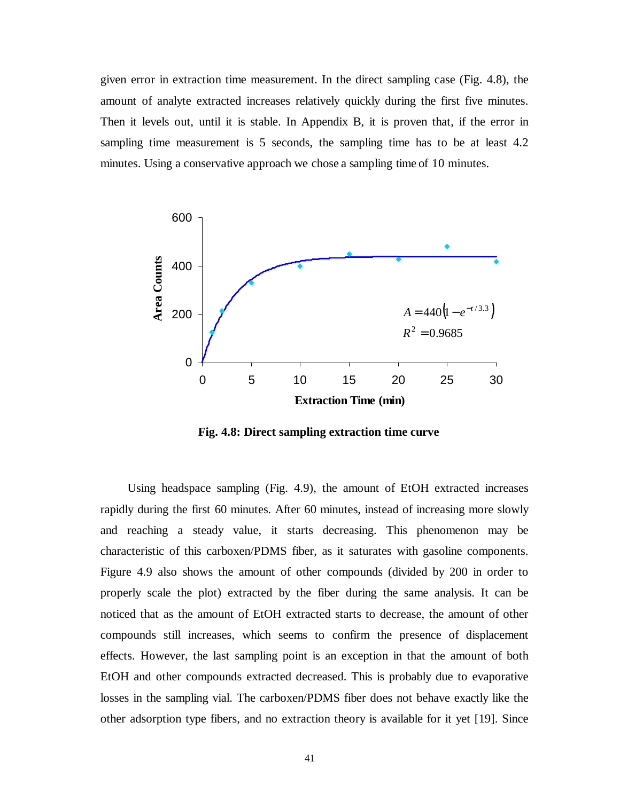given error in extraction time measurement. In the direct sampling case (Fig. 4.8), the amount of analyte extracted increases relatively quickly during the first five minutes. Then it levels out, until it is stable. In Appendix B, it is proven that, if the error in sampling time measurement is 5 seconds, the sampling time has to be at least 4.2 minutes. Using a conservative approach we chose a sampling time of 10 minutes.



**Fig. 4.8: Direct sampling extraction time curve** 

Using headspace sampling (Fig. 4.9), the amount of EtOH extracted increases rapidly during the first 60 minutes. After 60 minutes, instead of increasing more slowly and reaching a steady value, it starts decreasing. This phenomenon may be characteristic of this carboxen/PDMS fiber, as it saturates with gasoline components. Figure 4.9 also shows the amount of other compounds (divided by 200 in order to properly scale the plot) extracted by the fiber during the same analysis. It can be noticed that as the amount of EtOH extracted starts to decrease, the amount of other compounds still increases, which seems to confirm the presence of displacement effects. However, the last sampling point is an exception in that the amount of both EtOH and other compounds extracted decreased. This is probably due to evaporative losses in the sampling vial. The carboxen/PDMS fiber does not behave exactly like the other adsorption type fibers, and no extraction theory is available for it yet [19]. Since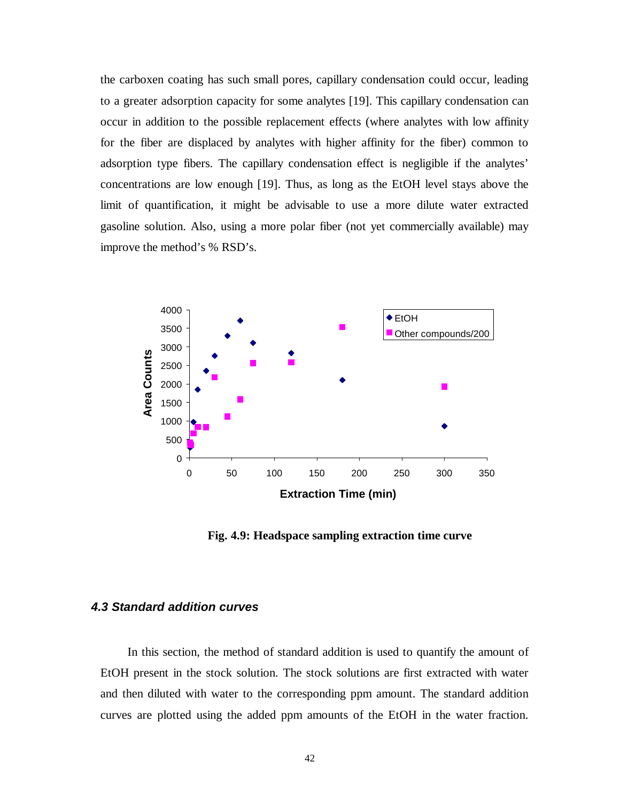the carboxen coating has such small pores, capillary condensation could occur, leading to a greater adsorption capacity for some analytes [19]. This capillary condensation can occur in addition to the possible replacement effects (where analytes with low affinity for the fiber are displaced by analytes with higher affinity for the fiber) common to adsorption type fibers. The capillary condensation effect is negligible if the analytes' concentrations are low enough [19]. Thus, as long as the EtOH level stays above the limit of quantification, it might be advisable to use a more dilute water extracted gasoline solution. Also, using a more polar fiber (not yet commercially available) may improve the method's % RSD's.



**Fig. 4.9: Headspace sampling extraction time curve** 

### **4.3 Standard addition curves**

In this section, the method of standard addition is used to quantify the amount of EtOH present in the stock solution. The stock solutions are first extracted with water and then diluted with water to the corresponding ppm amount. The standard addition curves are plotted using the added ppm amounts of the EtOH in the water fraction.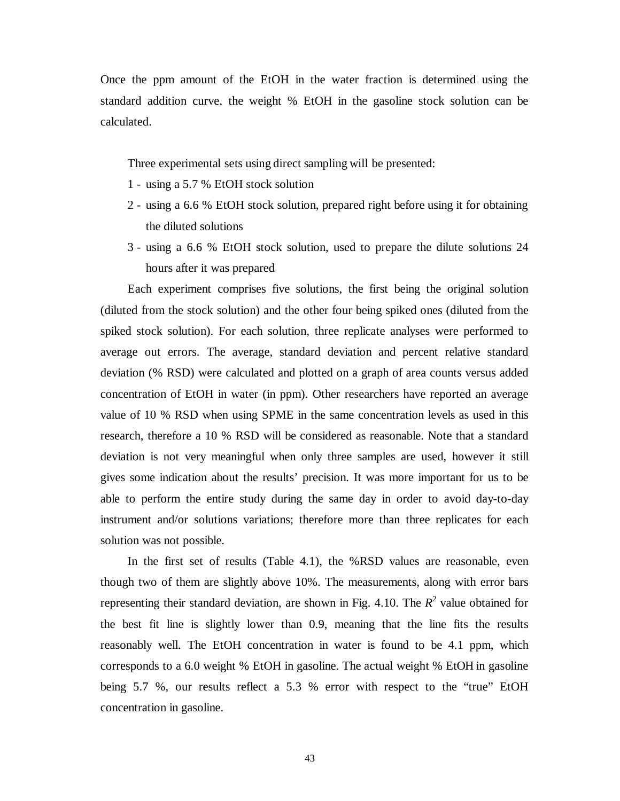Once the ppm amount of the EtOH in the water fraction is determined using the standard addition curve, the weight % EtOH in the gasoline stock solution can be calculated.

Three experimental sets using direct sampling will be presented:

- 1 using a 5.7 % EtOH stock solution
- 2 using a 6.6 % EtOH stock solution, prepared right before using it for obtaining the diluted solutions
- 3 using a 6.6 % EtOH stock solution, used to prepare the dilute solutions 24 hours after it was prepared

Each experiment comprises five solutions, the first being the original solution (diluted from the stock solution) and the other four being spiked ones (diluted from the spiked stock solution). For each solution, three replicate analyses were performed to average out errors. The average, standard deviation and percent relative standard deviation (% RSD) were calculated and plotted on a graph of area counts versus added concentration of EtOH in water (in ppm). Other researchers have reported an average value of 10 % RSD when using SPME in the same concentration levels as used in this research, therefore a 10 % RSD will be considered as reasonable. Note that a standard deviation is not very meaningful when only three samples are used, however it still gives some indication about the results' precision. It was more important for us to be able to perform the entire study during the same day in order to avoid day-to-day instrument and/or solutions variations; therefore more than three replicates for each solution was not possible.

In the first set of results (Table 4.1), the %RSD values are reasonable, even though two of them are slightly above 10%. The measurements, along with error bars representing their standard deviation, are shown in Fig. 4.10. The  $R^2$  value obtained for the best fit line is slightly lower than 0.9, meaning that the line fits the results reasonably well. The EtOH concentration in water is found to be 4.1 ppm, which corresponds to a 6.0 weight % EtOH in gasoline. The actual weight % EtOH in gasoline being 5.7 %, our results reflect a 5.3 % error with respect to the "true" EtOH concentration in gasoline.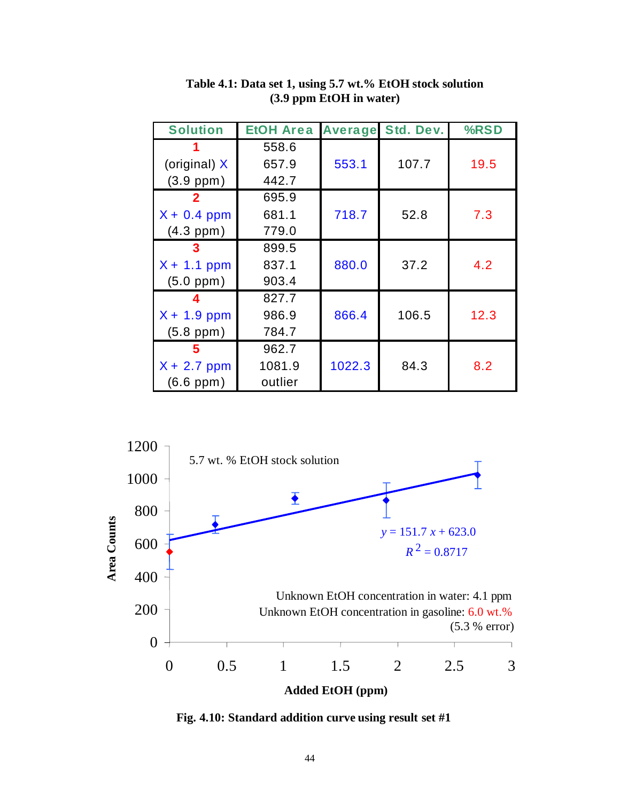| <b>Solution</b> | <b>EtOH Area</b> | <b>Average</b> | Std. Dev. | %RSD |
|-----------------|------------------|----------------|-----------|------|
|                 | 558.6            |                |           |      |
| (original) X    | 657.9            | 553.1          | 107.7     | 19.5 |
| $(3.9$ ppm $)$  | 442.7            |                |           |      |
|                 | 695.9            |                |           |      |
| $X + 0.4$ ppm   | 681.1            | 718.7          | 52.8      | 7.3  |
| $(4.3$ ppm $)$  | 779.0            |                |           |      |
|                 | 899.5            |                |           |      |
| $X + 1.1$ ppm   | 837.1            | 880.0          | 37.2      | 4.2  |
| $(5.0$ ppm $)$  | 903.4            |                |           |      |
|                 | 827.7            |                |           |      |
| $X + 1.9$ ppm   | 986.9            | 866.4          | 106.5     | 12.3 |
| $(5.8$ ppm $)$  | 784.7            |                |           |      |
|                 | 962.7            |                |           |      |
| $X + 2.7$ ppm   | 1081.9           | 1022.3         | 84.3      | 8.2  |
| $(6.6$ ppm $)$  | outlier          |                |           |      |

**Table 4.1: Data set 1, using 5.7 wt.% EtOH stock solution (3.9 ppm EtOH in water)** 



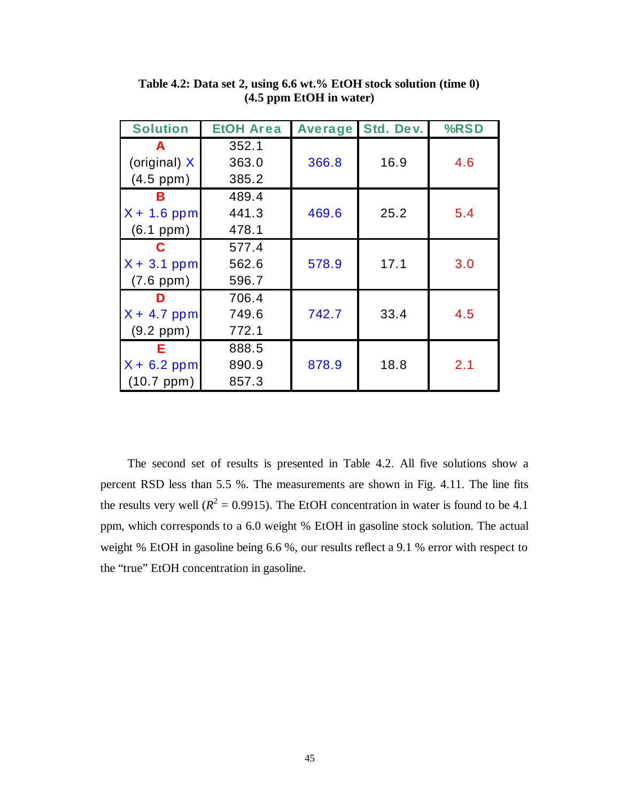| <b>Solution</b> | <b>EtOH Area</b> |       | <b>Average Std. Dev.</b> | %RSD |
|-----------------|------------------|-------|--------------------------|------|
| A               | 352.1            |       |                          |      |
| (original) X    | 363.0            | 366.8 | 16.9                     | 4.6  |
| $(4.5$ ppm $)$  | 385.2            |       |                          |      |
| в               | 489.4            |       |                          |      |
| $X + 1.6$ ppm   | 441.3            | 469.6 | 25.2                     | 5.4  |
| $(6.1$ ppm $)$  | 478.1            |       |                          |      |
| C               | 577.4            |       |                          |      |
| $X + 3.1$ ppm   | 562.6            | 578.9 | 17.1                     | 3.0  |
| $(7.6$ ppm $)$  | 596.7            |       |                          |      |
| D               | 706.4            |       |                          |      |
| $X + 4.7$ ppm   | 749.6            | 742.7 | 33.4                     | 4.5  |
| $(9.2$ ppm $)$  | 772.1            |       |                          |      |
| Е               | 888.5            |       |                          |      |
| $X + 6.2$ ppm   | 890.9            | 878.9 | 18.8                     | 2.1  |
| (10.7 ppm)      | 857.3            |       |                          |      |

**Table 4.2: Data set 2, using 6.6 wt.% EtOH stock solution (time 0) (4.5 ppm EtOH in water)** 

The second set of results is presented in Table 4.2. All five solutions show a percent RSD less than 5.5 %. The measurements are shown in Fig. 4.11. The line fits the results very well ( $R^2 = 0.9915$ ). The EtOH concentration in water is found to be 4.1 ppm, which corresponds to a 6.0 weight % EtOH in gasoline stock solution. The actual weight % EtOH in gasoline being 6.6 %, our results reflect a 9.1 % error with respect to the "true" EtOH concentration in gasoline.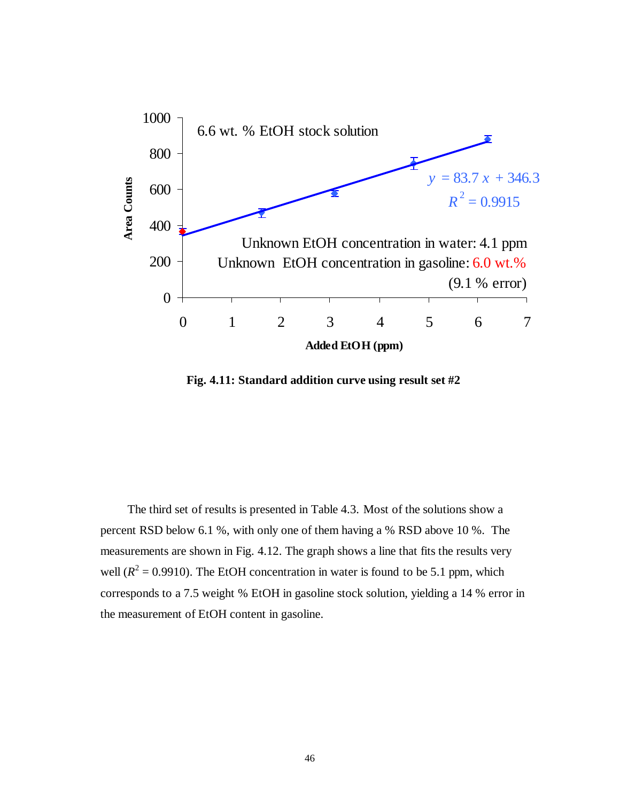

**Fig. 4.11: Standard addition curve using result set #2** 

The third set of results is presented in Table 4.3. Most of the solutions show a percent RSD below 6.1 %, with only one of them having a % RSD above 10 %. The measurements are shown in Fig. 4.12. The graph shows a line that fits the results very well  $(R^2 = 0.9910)$ . The EtOH concentration in water is found to be 5.1 ppm, which corresponds to a 7.5 weight % EtOH in gasoline stock solution, yielding a 14 % error in the measurement of EtOH content in gasoline.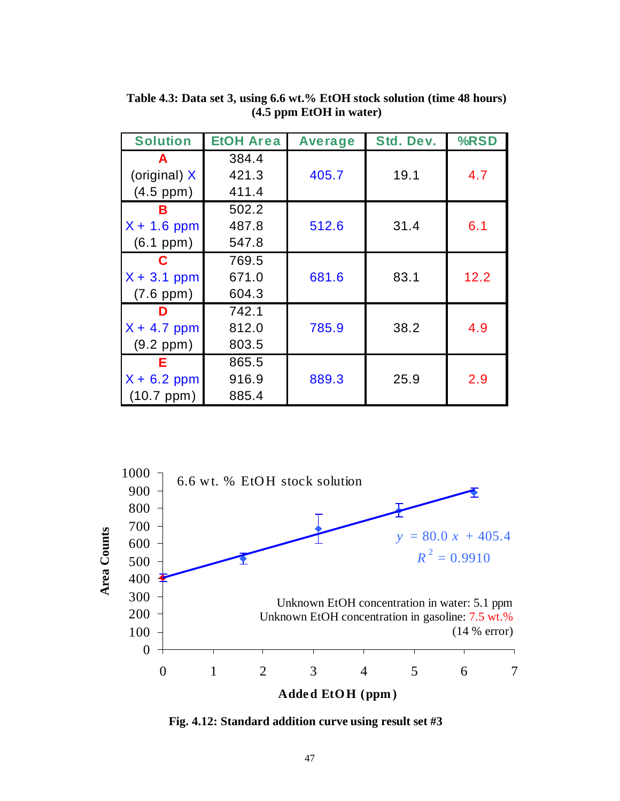| <b>Solution</b>     | <b>EtOH Area</b> | <b>Average</b> | Std. Dev. | %RSD |
|---------------------|------------------|----------------|-----------|------|
| A                   | 384.4            |                |           |      |
| (original) $X$      | 421.3            | 405.7          | 19.1      | 4.7  |
| $(4.5$ ppm $)$      | 411.4            |                |           |      |
| в                   | 502.2            |                |           |      |
| $X + 1.6$ ppm       | 487.8            | 512.6          | 31.4      | 6.1  |
| $(6.1$ ppm $)$      | 547.8            |                |           |      |
| C                   | 769.5            |                |           |      |
| $X + 3.1$ ppm       | 671.0            | 681.6          | 83.1      | 12.2 |
| $(7.6$ ppm $)$      | 604.3            |                |           |      |
| D                   | 742.1            |                |           |      |
| $X + 4.7$ ppm       | 812.0            | 785.9          | 38.2      | 4.9  |
| $(9.2$ ppm $)$      | 803.5            |                |           |      |
| Е                   | 865.5            |                |           |      |
| $X + 6.2$ ppm       | 916.9            | 889.3          | 25.9      | 2.9  |
| $(10.7~\text{ppm})$ | 885.4            |                |           |      |

**Table 4.3: Data set 3, using 6.6 wt.% EtOH stock solution (time 48 hours) (4.5 ppm EtOH in water)** 



**Fig. 4.12: Standard addition curve using result set #3**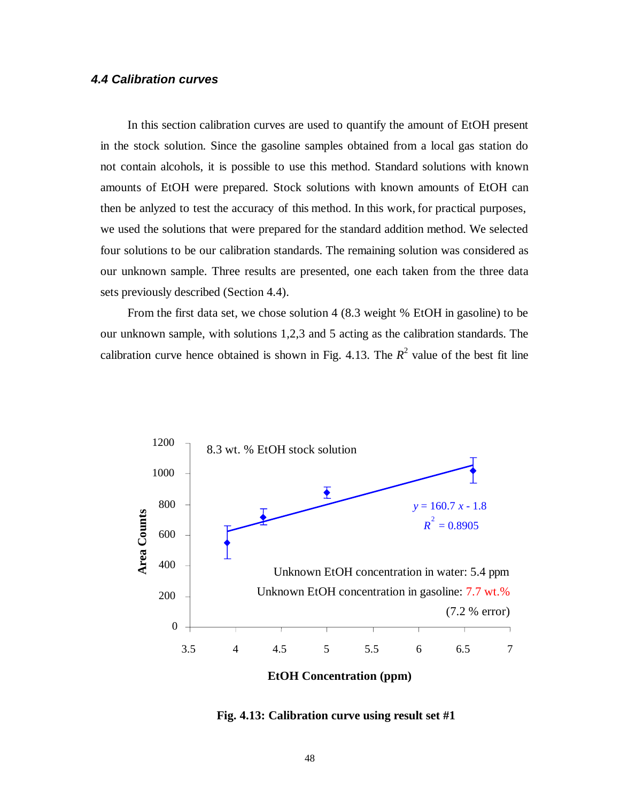### **4.4 Calibration curves**

In this section calibration curves are used to quantify the amount of EtOH present in the stock solution. Since the gasoline samples obtained from a local gas station do not contain alcohols, it is possible to use this method. Standard solutions with known amounts of EtOH were prepared. Stock solutions with known amounts of EtOH can then be anlyzed to test the accuracy of this method. In this work, for practical purposes, we used the solutions that were prepared for the standard addition method. We selected four solutions to be our calibration standards. The remaining solution was considered as our unknown sample. Three results are presented, one each taken from the three data sets previously described (Section 4.4).

From the first data set, we chose solution 4 (8.3 weight % EtOH in gasoline) to be our unknown sample, with solutions 1,2,3 and 5 acting as the calibration standards. The calibration curve hence obtained is shown in Fig. 4.13. The  $R^2$  value of the best fit line



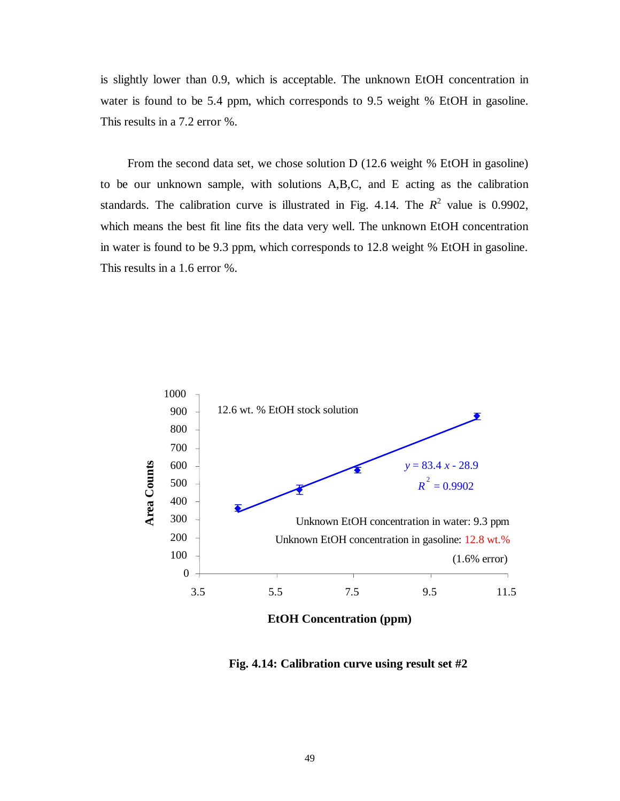is slightly lower than 0.9, which is acceptable. The unknown EtOH concentration in water is found to be 5.4 ppm, which corresponds to 9.5 weight % EtOH in gasoline. This results in a 7.2 error %.

From the second data set, we chose solution D (12.6 weight % EtOH in gasoline) to be our unknown sample, with solutions A,B,C, and E acting as the calibration standards. The calibration curve is illustrated in Fig. 4.14. The  $R^2$  value is 0.9902, which means the best fit line fits the data very well. The unknown EtOH concentration in water is found to be 9.3 ppm, which corresponds to 12.8 weight % EtOH in gasoline. This results in a 1.6 error %.



**EtOH Concentration (ppm)**

**Fig. 4.14: Calibration curve using result set #2**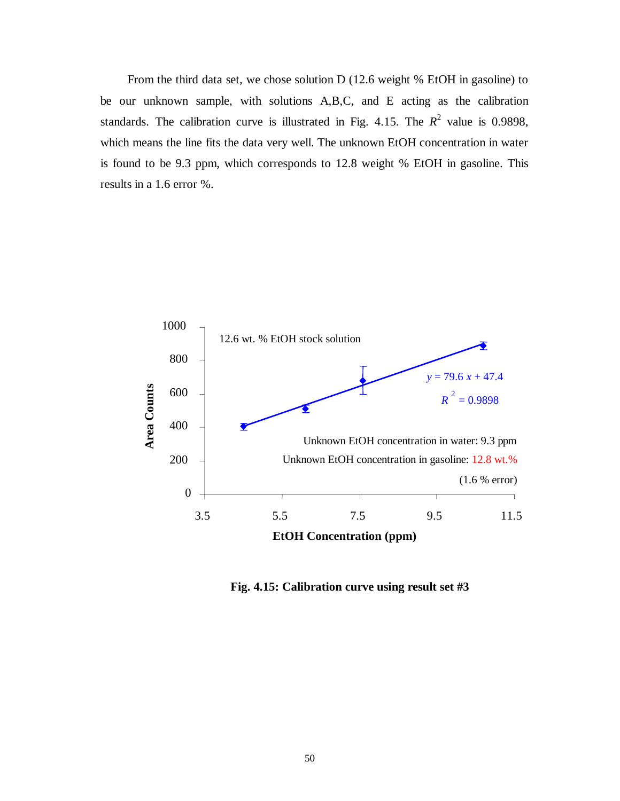From the third data set, we chose solution D (12.6 weight % EtOH in gasoline) to be our unknown sample, with solutions A,B,C, and E acting as the calibration standards. The calibration curve is illustrated in Fig. 4.15. The  $R^2$  value is 0.9898, which means the line fits the data very well. The unknown EtOH concentration in water is found to be 9.3 ppm, which corresponds to 12.8 weight % EtOH in gasoline. This results in a 1.6 error %.



**Fig. 4.15: Calibration curve using result set #3**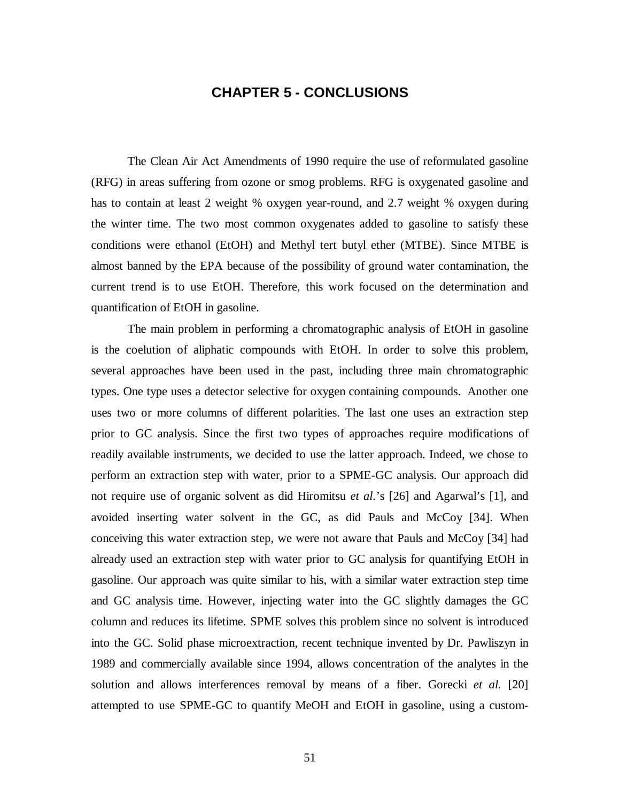## **CHAPTER 5 - CONCLUSIONS**

 The Clean Air Act Amendments of 1990 require the use of reformulated gasoline (RFG) in areas suffering from ozone or smog problems. RFG is oxygenated gasoline and has to contain at least 2 weight % oxygen year-round, and 2.7 weight % oxygen during the winter time. The two most common oxygenates added to gasoline to satisfy these conditions were ethanol (EtOH) and Methyl tert butyl ether (MTBE). Since MTBE is almost banned by the EPA because of the possibility of ground water contamination, the current trend is to use EtOH. Therefore, this work focused on the determination and quantification of EtOH in gasoline.

The main problem in performing a chromatographic analysis of EtOH in gasoline is the coelution of aliphatic compounds with EtOH. In order to solve this problem, several approaches have been used in the past, including three main chromatographic types. One type uses a detector selective for oxygen containing compounds. Another one uses two or more columns of different polarities. The last one uses an extraction step prior to GC analysis. Since the first two types of approaches require modifications of readily available instruments, we decided to use the latter approach. Indeed, we chose to perform an extraction step with water, prior to a SPME-GC analysis. Our approach did not require use of organic solvent as did Hiromitsu *et al.*'s [26] and Agarwal's [1], and avoided inserting water solvent in the GC, as did Pauls and McCoy [34]. When conceiving this water extraction step, we were not aware that Pauls and McCoy [34] had already used an extraction step with water prior to GC analysis for quantifying EtOH in gasoline. Our approach was quite similar to his, with a similar water extraction step time and GC analysis time. However, injecting water into the GC slightly damages the GC column and reduces its lifetime. SPME solves this problem since no solvent is introduced into the GC. Solid phase microextraction, recent technique invented by Dr. Pawliszyn in 1989 and commercially available since 1994, allows concentration of the analytes in the solution and allows interferences removal by means of a fiber. Gorecki *et al.* [20] attempted to use SPME-GC to quantify MeOH and EtOH in gasoline, using a custom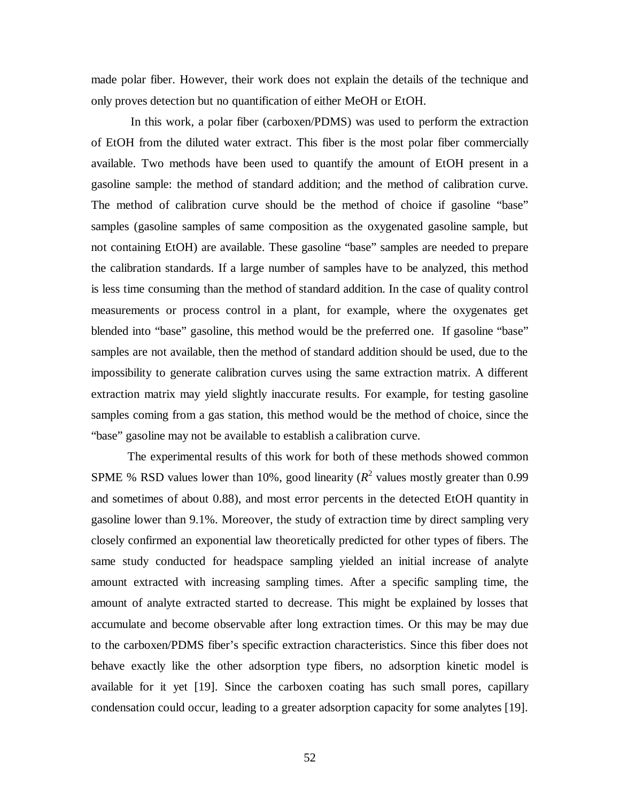made polar fiber. However, their work does not explain the details of the technique and only proves detection but no quantification of either MeOH or EtOH.

 In this work, a polar fiber (carboxen/PDMS) was used to perform the extraction of EtOH from the diluted water extract. This fiber is the most polar fiber commercially available. Two methods have been used to quantify the amount of EtOH present in a gasoline sample: the method of standard addition; and the method of calibration curve. The method of calibration curve should be the method of choice if gasoline "base" samples (gasoline samples of same composition as the oxygenated gasoline sample, but not containing EtOH) are available. These gasoline "base" samples are needed to prepare the calibration standards. If a large number of samples have to be analyzed, this method is less time consuming than the method of standard addition. In the case of quality control measurements or process control in a plant, for example, where the oxygenates get blended into "base" gasoline, this method would be the preferred one. If gasoline "base" samples are not available, then the method of standard addition should be used, due to the impossibility to generate calibration curves using the same extraction matrix. A different extraction matrix may yield slightly inaccurate results. For example, for testing gasoline samples coming from a gas station, this method would be the method of choice, since the "base" gasoline may not be available to establish a calibration curve.

The experimental results of this work for both of these methods showed common SPME % RSD values lower than 10%, good linearity  $(R^2$  values mostly greater than 0.99 and sometimes of about 0.88), and most error percents in the detected EtOH quantity in gasoline lower than 9.1%. Moreover, the study of extraction time by direct sampling very closely confirmed an exponential law theoretically predicted for other types of fibers. The same study conducted for headspace sampling yielded an initial increase of analyte amount extracted with increasing sampling times. After a specific sampling time, the amount of analyte extracted started to decrease. This might be explained by losses that accumulate and become observable after long extraction times. Or this may be may due to the carboxen/PDMS fiber's specific extraction characteristics. Since this fiber does not behave exactly like the other adsorption type fibers, no adsorption kinetic model is available for it yet [19]. Since the carboxen coating has such small pores, capillary condensation could occur, leading to a greater adsorption capacity for some analytes [19].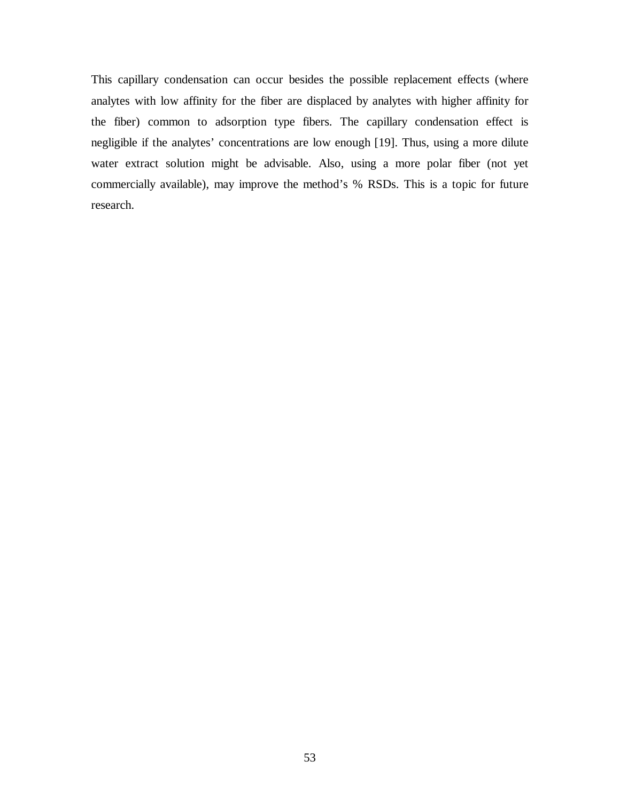This capillary condensation can occur besides the possible replacement effects (where analytes with low affinity for the fiber are displaced by analytes with higher affinity for the fiber) common to adsorption type fibers. The capillary condensation effect is negligible if the analytes' concentrations are low enough [19]. Thus, using a more dilute water extract solution might be advisable. Also, using a more polar fiber (not yet commercially available), may improve the method's % RSDs. This is a topic for future research.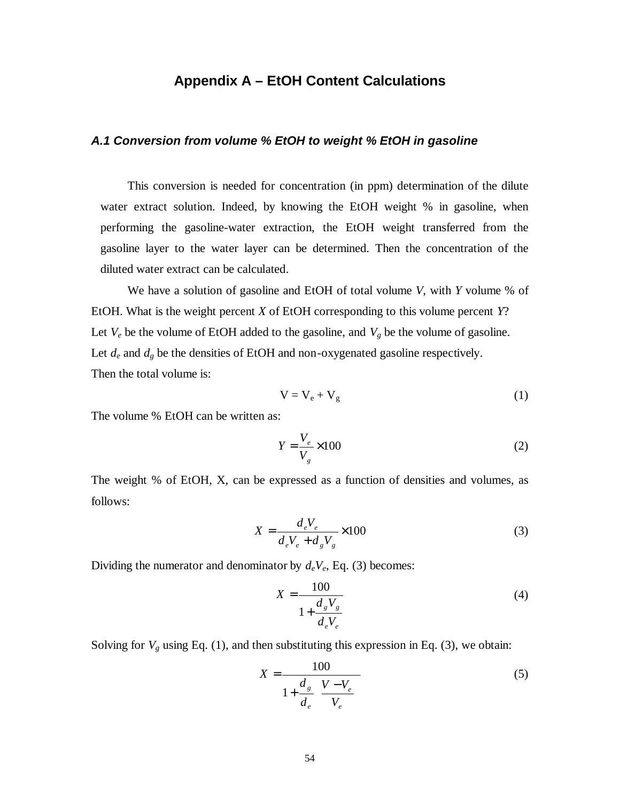## **Appendix A – EtOH Content Calculations**

#### **A.1 Conversion from volume % EtOH to weight % EtOH in gasoline**

This conversion is needed for concentration (in ppm) determination of the dilute water extract solution. Indeed, by knowing the EtOH weight % in gasoline, when performing the gasoline-water extraction, the EtOH weight transferred from the gasoline layer to the water layer can be determined. Then the concentration of the diluted water extract can be calculated.

We have a solution of gasoline and EtOH of total volume *V*, with *Y* volume % of EtOH. What is the weight percent *X* of EtOH corresponding to this volume percent *Y*? Let  $V_e$  be the volume of EtOH added to the gasoline, and  $V_g$  be the volume of gasoline. Let  $d_e$  and  $d_g$  be the densities of EtOH and non-oxygenated gasoline respectively. Then the total volume is:

$$
V = V_e + V_g \tag{1}
$$

The volume % EtOH can be written as:

$$
Y = \frac{V_e}{V_g} \times 100\tag{2}
$$

The weight % of EtOH, X, can be expressed as a function of densities and volumes, as follows:

$$
X = \frac{d_e V_e}{d_e V_e + d_g V_g} \times 100
$$
 (3)

Dividing the numerator and denominator by *deVe*, Eq. (3) becomes:

$$
X = \frac{100}{1 + \frac{d_s V_s}{d_e V_e}}
$$
(4)

Solving for  $V_g$  using Eq. (1), and then substituting this expression in Eq. (3), we obtain:

$$
X = \frac{100}{1 + \frac{d_s}{d_e} \left(\frac{V - V_e}{V_e}\right)}
$$
(5)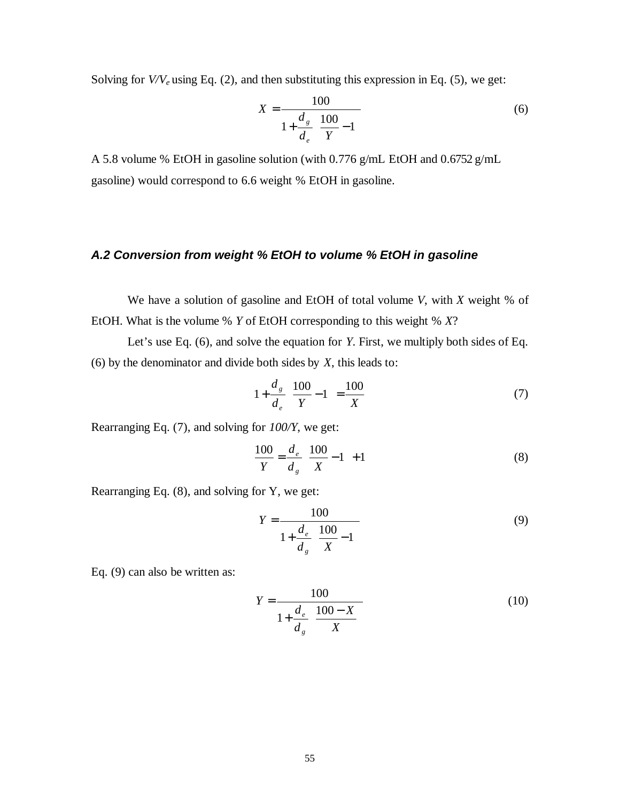Solving for *V/Ve* using Eq. (2), and then substituting this expression in Eq. (5), we get:

$$
X = \frac{100}{1 + \frac{d_s}{d_e} \left(\frac{100}{Y} - 1\right)}
$$
(6)

A 5.8 volume % EtOH in gasoline solution (with 0.776 g/mL EtOH and 0.6752 g/mL gasoline) would correspond to 6.6 weight % EtOH in gasoline.

### **A.2 Conversion from weight % EtOH to volume % EtOH in gasoline**

We have a solution of gasoline and EtOH of total volume *V*, with *X* weight % of EtOH. What is the volume % *Y* of EtOH corresponding to this weight % *X*?

Let's use Eq. (6), and solve the equation for *Y*. First, we multiply both sides of Eq. (6) by the denominator and divide both sides by *X*, this leads to:

$$
1 + \frac{d_s}{d_e} \left( \frac{100}{Y} - 1 \right) = \frac{100}{X}
$$
 (7)

Rearranging Eq. (7), and solving for *100/Y*, we get:

$$
\frac{100}{Y} = \frac{d_e}{d_g} \left( \frac{100}{X} - 1 \right) + 1
$$
 (8)

Rearranging Eq. (8), and solving for Y, we get:

$$
Y = \frac{100}{1 + \frac{d_e}{d_g} \left(\frac{100}{X} - 1\right)}
$$
(9)

Eq. (9) can also be written as:

$$
Y = \frac{100}{1 + \frac{d_e}{d_s} \left(\frac{100 - X}{X}\right)}
$$
(10)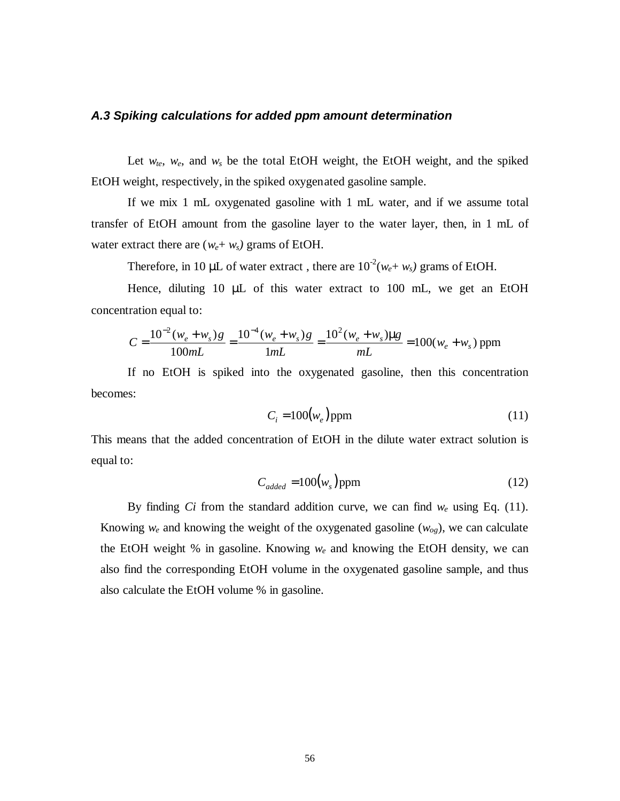#### **A.3 Spiking calculations for added ppm amount determination**

Let  $w_{te}$ ,  $w_{e}$ , and  $w_s$  be the total EtOH weight, the EtOH weight, and the spiked EtOH weight, respectively, in the spiked oxygenated gasoline sample.

If we mix 1 mL oxygenated gasoline with 1 mL water, and if we assume total transfer of EtOH amount from the gasoline layer to the water layer, then, in 1 mL of water extract there are  $(w_e + w_s)$  grams of EtOH.

Therefore, in 10  $\mu$ L of water extract, there are  $10^{-2}(w_e + w_s)$  grams of EtOH.

Hence, diluting 10 µL of this water extract to 100 mL, we get an EtOH concentration equal to:

$$
C = \frac{10^{-2}(w_e + w_s)g}{100mL} = \frac{10^{-4}(w_e + w_s)g}{1mL} = \frac{10^2(w_e + w_s)\mu g}{mL} = 100(w_e + w_s) \text{ ppm}
$$

If no EtOH is spiked into the oxygenated gasoline, then this concentration becomes:

$$
C_i = 100(w_e) \text{ppm}
$$
 (11)

This means that the added concentration of EtOH in the dilute water extract solution is equal to:

$$
C_{added} = 100(w_s) \text{ppm} \tag{12}
$$

By finding *Ci* from the standard addition curve, we can find  $w_e$  using Eq. (11). Knowing  $w_e$  and knowing the weight of the oxygenated gasoline  $(w_{og})$ , we can calculate the EtOH weight % in gasoline. Knowing *we* and knowing the EtOH density, we can also find the corresponding EtOH volume in the oxygenated gasoline sample, and thus also calculate the EtOH volume % in gasoline.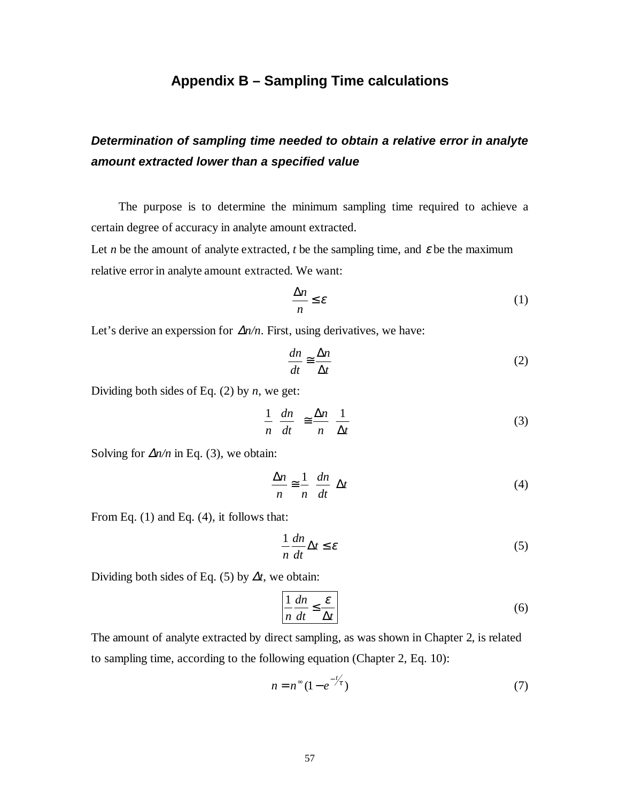## **Appendix B – Sampling Time calculations**

# **Determination of sampling time needed to obtain a relative error in analyte amount extracted lower than a specified value**

The purpose is to determine the minimum sampling time required to achieve a certain degree of accuracy in analyte amount extracted.

Let *n* be the amount of analyte extracted, *t* be the sampling time, and  $\varepsilon$  be the maximum relative error in analyte amount extracted. We want:

$$
\frac{\Delta n}{n} \le \varepsilon \tag{1}
$$

Let's derive an experssion for ∆*n/n*. First, using derivatives, we have:

$$
\frac{dn}{dt} \approx \frac{\Delta n}{\Delta t} \tag{2}
$$

Dividing both sides of Eq. (2) by *n*, we get:

$$
\frac{1}{n} \left( \frac{dn}{dt} \right) \cong \frac{\Delta n}{n} \left( \frac{1}{\Delta t} \right)
$$
\n(3)

Solving for  $\Delta n/n$  in Eq. (3), we obtain:

$$
\frac{\Delta n}{n} \approx \frac{1}{n} \left( \frac{dn}{dt} \right) \Delta t \tag{4}
$$

From Eq. (1) and Eq. (4), it follows that:

$$
\frac{1}{n}\frac{dn}{dt}\Delta t \le \varepsilon\tag{5}
$$

Dividing both sides of Eq. (5) by ∆*t*, we obtain:

$$
\frac{1}{n}\frac{dn}{dt} \le \frac{\varepsilon}{\Delta t}
$$
 (6)

The amount of analyte extracted by direct sampling, as was shown in Chapter 2, is related to sampling time, according to the following equation (Chapter 2, Eq. 10):

$$
n = n^{\infty} (1 - e^{-\frac{t}{\tau}})
$$
 (7)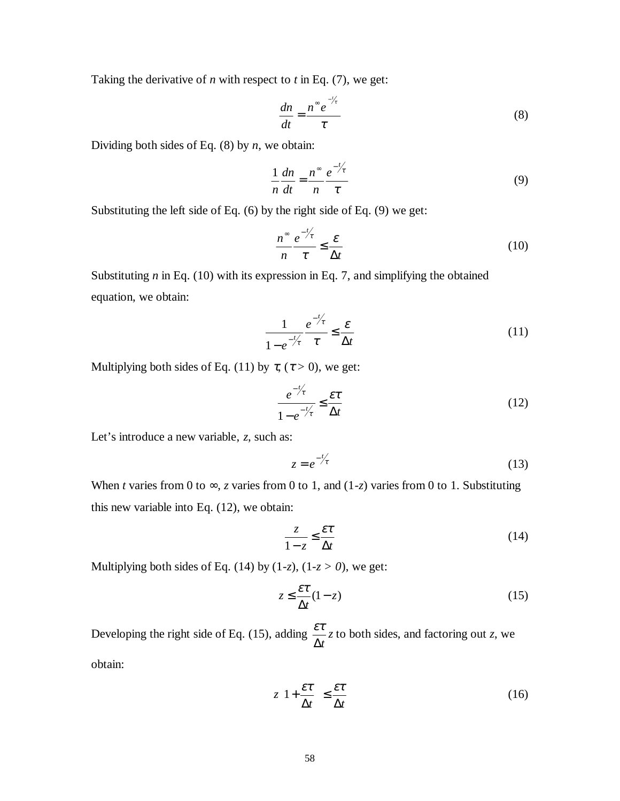Taking the derivative of *n* with respect to *t* in Eq. (7), we get:

$$
\frac{dn}{dt} = \frac{n^{\infty}e^{-\frac{t}{\tau}}}{\tau} \tag{8}
$$

Dividing both sides of Eq. (8) by *n*, we obtain:

$$
\frac{1}{n}\frac{dn}{dt} = \frac{n^{\infty}}{n}\frac{e^{-\frac{t}{\tau}}}{\tau}
$$
(9)

Substituting the left side of Eq. (6) by the right side of Eq. (9) we get:

$$
\frac{n^{\infty}}{n} \frac{e^{-\frac{t}{\ell}}}{\tau} \le \frac{\varepsilon}{\Delta t}
$$
\n(10)

Substituting *n* in Eq. (10) with its expression in Eq. 7, and simplifying the obtained equation, we obtain:

$$
\frac{1}{1 - e^{-\frac{t}{\tau}}} \frac{e^{-\frac{t}{\tau}}}{\tau} \le \frac{\varepsilon}{\Delta t}
$$
\n(11)

Multiplying both sides of Eq. (11) by  $\tau$ , ( $\tau > 0$ ), we get:

$$
\frac{e^{-\frac{t}{\tau}}}{1 - e^{-\frac{t}{\tau}}} \le \frac{\varepsilon \tau}{\Delta t}
$$
\n(12)

Let's introduce a new variable, *z*, such as:

$$
z = e^{-t/\tau} \tag{13}
$$

When *t* varies from 0 to  $\infty$ , *z* varies from 0 to 1, and (1-*z*) varies from 0 to 1. Substituting this new variable into Eq. (12), we obtain:

$$
\frac{z}{1-z} \le \frac{\varepsilon \tau}{\Delta t} \tag{14}
$$

Multiplying both sides of Eq. (14) by  $(1-z)$ ,  $(1-z > 0)$ , we get:

$$
z \le \frac{\varepsilon \tau}{\Delta t} (1 - z) \tag{15}
$$

Developing the right side of Eq. (15), adding  $\frac{\partial u}{\partial x}$ ∆*t*  $\frac{\varepsilon \tau}{\tau}$  *z* to both sides, and factoring out *z*, we obtain:

> *t t*  $z\left(1+\frac{\epsilon}{\Delta t}\right) \leq \frac{\epsilon}{\Delta t}$  $\left(1+\frac{\varepsilon\tau}{\sqrt{2}}\right)$ l ſ ∆  $1 + \frac{\varepsilon \tau}{\cdot}$   $\leq \frac{\varepsilon \tau}{\cdot}$  (16)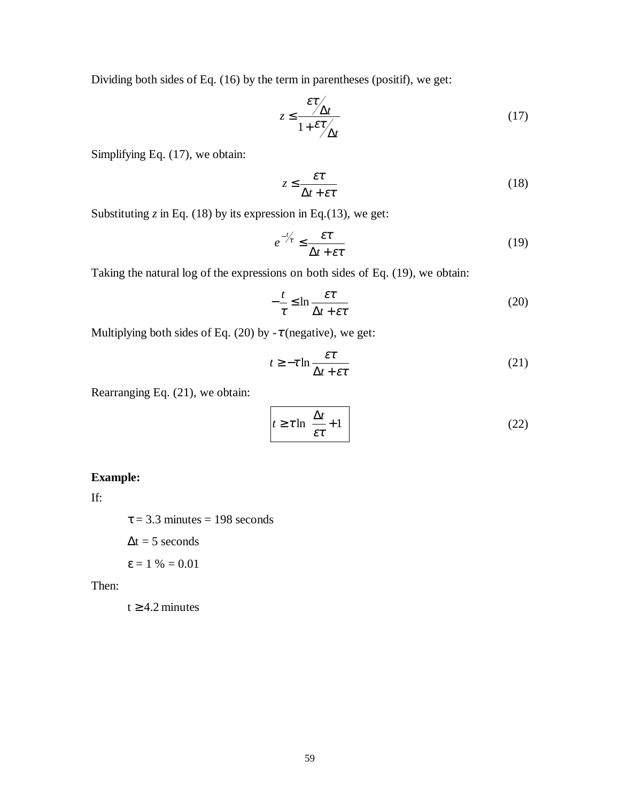Dividing both sides of Eq. (16) by the term in parentheses (positif), we get:

$$
z \le \frac{\varepsilon \tau}{1 + \varepsilon \tau / \Delta t} \tag{17}
$$

Simplifying Eq. (17), we obtain:

$$
z \le \frac{\varepsilon \tau}{\Delta t + \varepsilon \tau} \tag{18}
$$

Substituting  $z$  in Eq. (18) by its expression in Eq. (13), we get:

$$
e^{-\frac{t}{\tau}} \le \frac{\varepsilon \tau}{\Delta t + \varepsilon \tau} \tag{19}
$$

Taking the natural log of the expressions on both sides of Eq. (19), we obtain:

$$
-\frac{t}{\tau} \le \ln \frac{\varepsilon \tau}{\Delta t + \varepsilon \tau}
$$
 (20)

Multiplying both sides of Eq. (20) by *-*τ (negative), we get:

$$
t \ge -\tau \ln \frac{\varepsilon \tau}{\Delta t + \varepsilon \tau} \tag{21}
$$

Rearranging Eq. (21), we obtain:

$$
t \ge \tau \ln\left(\frac{\Delta t}{\varepsilon \tau} + 1\right) \tag{22}
$$

### **Example:**

If:

 $\tau$  = 3.3 minutes = 198 seconds

 $\Delta t = 5$  seconds

$$
\epsilon = 1\% = 0.01
$$

Then:

 $t \geq 4.2$  minutes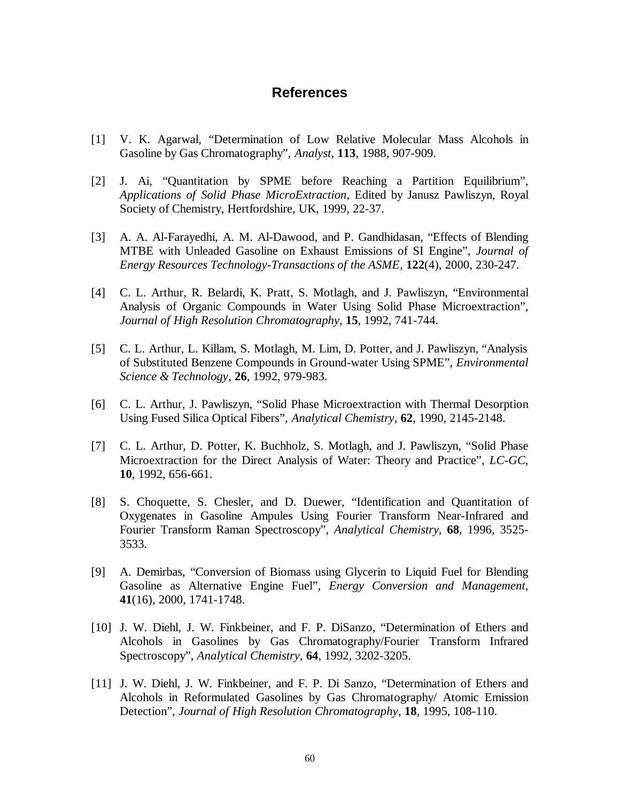## **References**

- [1] V. K. Agarwal, "Determination of Low Relative Molecular Mass Alcohols in Gasoline by Gas Chromatography", *Analyst*, **113**, 1988, 907-909.
- [2] J. Ai, "Quantitation by SPME before Reaching a Partition Equilibrium", *Applications of Solid Phase MicroExtraction*, Edited by Janusz Pawliszyn, Royal Society of Chemistry, Hertfordshire, UK, 1999, 22-37.
- [3] A. A. Al-Farayedhi, A. M. Al-Dawood, and P. Gandhidasan, "Effects of Blending MTBE with Unleaded Gasoline on Exhaust Emissions of SI Engine", *Journal of Energy Resources Technology-Transactions of the ASME*, **122**(4), 2000, 230-247.
- [4] C. L. Arthur, R. Belardi, K. Pratt, S. Motlagh, and J. Pawliszyn, "Environmental Analysis of Organic Compounds in Water Using Solid Phase Microextraction", *Journal of High Resolution Chromatography*, **15**, 1992, 741-744.
- [5] C. L. Arthur, L. Killam, S. Motlagh, M. Lim, D. Potter, and J. Pawliszyn, "Analysis of Substituted Benzene Compounds in Ground-water Using SPME", *Environmental Science & Technology*, **26**, 1992, 979-983.
- [6] C. L. Arthur, J. Pawliszyn, "Solid Phase Microextraction with Thermal Desorption Using Fused Silica Optical Fibers", *Analytical Chemistry*, **62**, 1990, 2145-2148.
- [7] C. L. Arthur, D. Potter, K. Buchholz, S. Motlagh, and J. Pawliszyn, "Solid Phase Microextraction for the Direct Analysis of Water: Theory and Practice", *LC-GC*, **10**, 1992, 656-661.
- [8] S. Choquette, S. Chesler, and D. Duewer, "Identification and Quantitation of Oxygenates in Gasoline Ampules Using Fourier Transform Near-Infrared and Fourier Transform Raman Spectroscopy", *Analytical Chemistry*, **68**, 1996, 3525- 3533.
- [9] A. Demirbas, "Conversion of Biomass using Glycerin to Liquid Fuel for Blending Gasoline as Alternative Engine Fuel", *Energy Conversion and Management*, **41**(16), 2000, 1741-1748.
- [10] J. W. Diehl, J. W. Finkbeiner, and F. P. DiSanzo, "Determination of Ethers and Alcohols in Gasolines by Gas Chromatography/Fourier Transform Infrared Spectroscopy", *Analytical Chemistry*, **64**, 1992, 3202-3205.
- [11] J. W. Diehl, J. W. Finkbeiner, and F. P. Di Sanzo, "Determination of Ethers and Alcohols in Reformulated Gasolines by Gas Chromatography/ Atomic Emission Detection", *Journal of High Resolution Chromatography*, **18**, 1995, 108-110.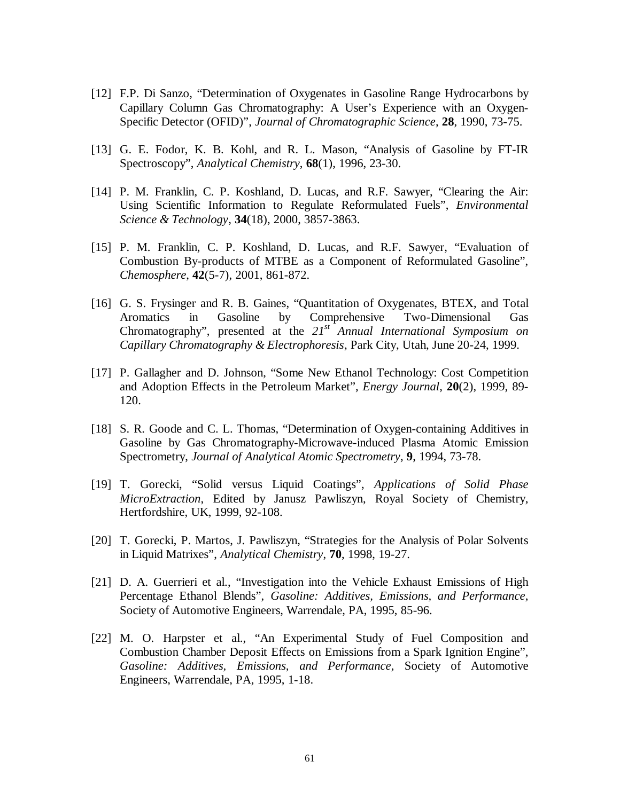- [12] F.P. Di Sanzo, "Determination of Oxygenates in Gasoline Range Hydrocarbons by Capillary Column Gas Chromatography: A User's Experience with an Oxygen-Specific Detector (OFID)", *Journal of Chromatographic Science*, **28**, 1990, 73-75.
- [13] G. E. Fodor, K. B. Kohl, and R. L. Mason, "Analysis of Gasoline by FT-IR Spectroscopy", *Analytical Chemistry*, **68**(1), 1996, 23-30.
- [14] P. M. Franklin, C. P. Koshland, D. Lucas, and R.F. Sawyer, "Clearing the Air: Using Scientific Information to Regulate Reformulated Fuels", *Environmental Science & Technology*, **34**(18), 2000, 3857-3863.
- [15] P. M. Franklin, C. P. Koshland, D. Lucas, and R.F. Sawyer, "Evaluation of Combustion By-products of MTBE as a Component of Reformulated Gasoline", *Chemosphere*, **42**(5-7), 2001, 861-872.
- [16] G. S. Frysinger and R. B. Gaines, "Quantitation of Oxygenates, BTEX, and Total Aromatics in Gasoline by Comprehensive Two-Dimensional Gas Chromatography", presented at the *21st Annual International Symposium on Capillary Chromatography & Electrophoresis*, Park City, Utah, June 20-24, 1999.
- [17] P. Gallagher and D. Johnson, "Some New Ethanol Technology: Cost Competition and Adoption Effects in the Petroleum Market", *Energy Journal*, **20**(2), 1999, 89- 120.
- [18] S. R. Goode and C. L. Thomas, "Determination of Oxygen-containing Additives in Gasoline by Gas Chromatography-Microwave-induced Plasma Atomic Emission Spectrometry, *Journal of Analytical Atomic Spectrometry*, **9**, 1994, 73-78.
- [19] T. Gorecki, "Solid versus Liquid Coatings", *Applications of Solid Phase MicroExtraction*, Edited by Janusz Pawliszyn, Royal Society of Chemistry, Hertfordshire, UK, 1999, 92-108.
- [20] T. Gorecki, P. Martos, J. Pawliszyn, "Strategies for the Analysis of Polar Solvents in Liquid Matrixes", *Analytical Chemistry*, **70**, 1998, 19-27.
- [21] D. A. Guerrieri et al., "Investigation into the Vehicle Exhaust Emissions of High Percentage Ethanol Blends", *Gasoline: Additives, Emissions, and Performance*, Society of Automotive Engineers, Warrendale, PA, 1995, 85-96.
- [22] M. O. Harpster et al., "An Experimental Study of Fuel Composition and Combustion Chamber Deposit Effects on Emissions from a Spark Ignition Engine", *Gasoline: Additives, Emissions, and Performance*, Society of Automotive Engineers, Warrendale, PA, 1995, 1-18.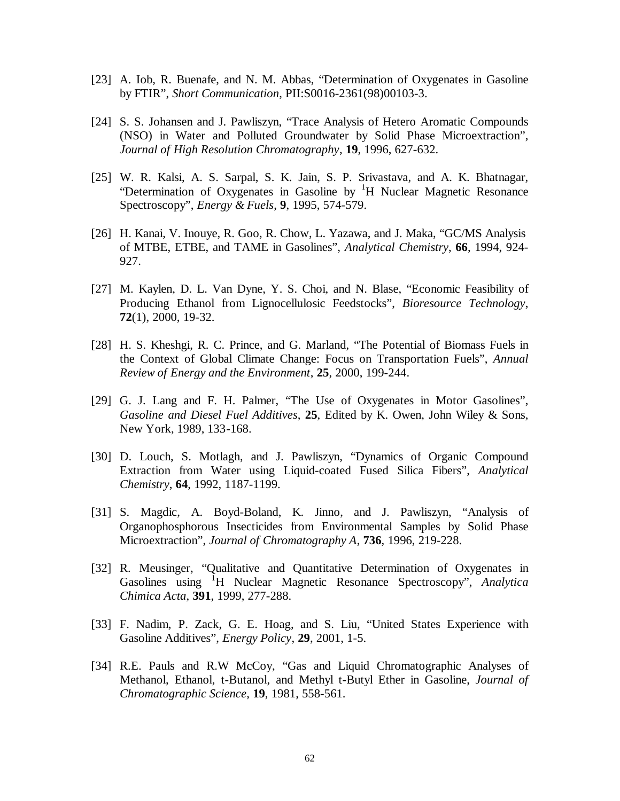- [23] A. Iob, R. Buenafe, and N. M. Abbas, "Determination of Oxygenates in Gasoline by FTIR", *Short Communication*, PII:S0016-2361(98)00103-3.
- [24] S. S. Johansen and J. Pawliszyn, "Trace Analysis of Hetero Aromatic Compounds (NSO) in Water and Polluted Groundwater by Solid Phase Microextraction", *Journal of High Resolution Chromatography*, **19**, 1996, 627-632.
- [25] W. R. Kalsi, A. S. Sarpal, S. K. Jain, S. P. Srivastava, and A. K. Bhatnagar, "Determination of Oxygenates in Gasoline by <sup>1</sup>H Nuclear Magnetic Resonance Spectroscopy", *Energy & Fuels*, **9**, 1995, 574-579.
- [26] H. Kanai, V. Inouye, R. Goo, R. Chow, L. Yazawa, and J. Maka, "GC/MS Analysis of MTBE, ETBE, and TAME in Gasolines", *Analytical Chemistry*, **66**, 1994, 924- 927.
- [27] M. Kaylen, D. L. Van Dyne, Y. S. Choi, and N. Blase, "Economic Feasibility of Producing Ethanol from Lignocellulosic Feedstocks", *Bioresource Technology*, **72**(1), 2000, 19-32.
- [28] H. S. Kheshgi, R. C. Prince, and G. Marland, "The Potential of Biomass Fuels in the Context of Global Climate Change: Focus on Transportation Fuels", *Annual Review of Energy and the Environment*, **25**, 2000, 199-244.
- [29] G. J. Lang and F. H. Palmer, "The Use of Oxygenates in Motor Gasolines", *Gasoline and Diesel Fuel Additives*, **25**, Edited by K. Owen, John Wiley & Sons, New York, 1989, 133-168.
- [30] D. Louch, S. Motlagh, and J. Pawliszyn, "Dynamics of Organic Compound Extraction from Water using Liquid-coated Fused Silica Fibers", *Analytical Chemistry*, **64**, 1992, 1187-1199.
- [31] S. Magdic, A. Boyd-Boland, K. Jinno, and J. Pawliszyn, "Analysis of Organophosphorous Insecticides from Environmental Samples by Solid Phase Microextraction", *Journal of Chromatography A*, **736**, 1996, 219-228.
- [32] R. Meusinger, "Qualitative and Quantitative Determination of Oxygenates in Gasolines using <sup>I</sup>H Nuclear Magnetic Resonance Spectroscopy", *Analytica Chimica Acta*, **391**, 1999, 277-288.
- [33] F. Nadim, P. Zack, G. E. Hoag, and S. Liu, "United States Experience with Gasoline Additives", *Energy Policy*, **29**, 2001, 1-5.
- [34] R.E. Pauls and R.W McCoy, "Gas and Liquid Chromatographic Analyses of Methanol, Ethanol, t-Butanol, and Methyl t-Butyl Ether in Gasoline, *Journal of Chromatographic Science*, **19**, 1981, 558-561.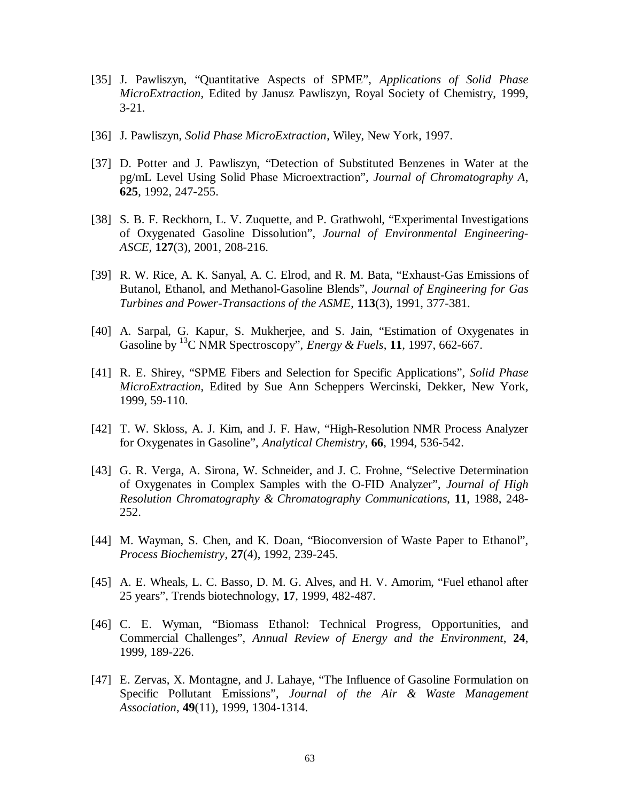- [35] J. Pawliszyn, "Quantitative Aspects of SPME", *Applications of Solid Phase MicroExtraction*, Edited by Janusz Pawliszyn, Royal Society of Chemistry, 1999, 3-21.
- [36] J. Pawliszyn, *Solid Phase MicroExtraction*, Wiley, New York, 1997.
- [37] D. Potter and J. Pawliszyn, "Detection of Substituted Benzenes in Water at the pg/mL Level Using Solid Phase Microextraction", *Journal of Chromatography A*, **625**, 1992, 247-255.
- [38] S. B. F. Reckhorn, L. V. Zuquette, and P. Grathwohl, "Experimental Investigations of Oxygenated Gasoline Dissolution", *Journal of Environmental Engineering-ASCE*, **127**(3), 2001, 208-216.
- [39] R. W. Rice, A. K. Sanyal, A. C. Elrod, and R. M. Bata, "Exhaust-Gas Emissions of Butanol, Ethanol, and Methanol-Gasoline Blends", *Journal of Engineering for Gas Turbines and Power-Transactions of the ASME*, **113**(3), 1991, 377-381.
- [40] A. Sarpal, G. Kapur, S. Mukherjee, and S. Jain, "Estimation of Oxygenates in Gasoline by <sup>13</sup>C NMR Spectroscopy", *Energy & Fuels*, **11**, 1997, 662-667.
- [41] R. E. Shirey, "SPME Fibers and Selection for Specific Applications", *Solid Phase MicroExtraction*, Edited by Sue Ann Scheppers Wercinski, Dekker, New York, 1999, 59-110.
- [42] T. W. Skloss, A. J. Kim, and J. F. Haw, "High-Resolution NMR Process Analyzer for Oxygenates in Gasoline", *Analytical Chemistry*, **66**, 1994, 536-542.
- [43] G. R. Verga, A. Sirona, W. Schneider, and J. C. Frohne, "Selective Determination of Oxygenates in Complex Samples with the O-FID Analyzer", *Journal of High Resolution Chromatography & Chromatography Communications*, **11**, 1988, 248- 252.
- [44] M. Wayman, S. Chen, and K. Doan, "Bioconversion of Waste Paper to Ethanol", *Process Biochemistry*, **27**(4), 1992, 239-245.
- [45] A. E. Wheals, L. C. Basso, D. M. G. Alves, and H. V. Amorim, "Fuel ethanol after 25 years", Trends biotechnology, **17**, 1999, 482-487.
- [46] C. E. Wyman, "Biomass Ethanol: Technical Progress, Opportunities, and Commercial Challenges", *Annual Review of Energy and the Environment*, **24**, 1999, 189-226.
- [47] E. Zervas, X. Montagne, and J. Lahaye, "The Influence of Gasoline Formulation on Specific Pollutant Emissions", *Journal of the Air & Waste Management Association*, **49**(11), 1999, 1304-1314.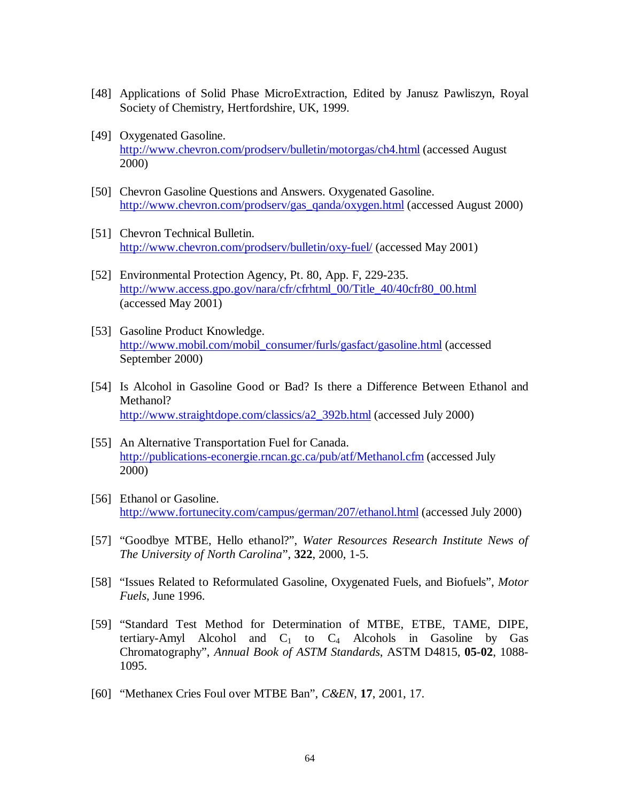- [48] Applications of Solid Phase MicroExtraction, Edited by Janusz Pawliszyn, Royal Society of Chemistry, Hertfordshire, UK, 1999.
- [49] Oxygenated Gasoline. http://www.chevron.com/prodserv/bulletin/motorgas/ch4.html (accessed August 2000)
- [50] Chevron Gasoline Questions and Answers. Oxygenated Gasoline. http://www.chevron.com/prodserv/gas\_qanda/oxygen.html (accessed August 2000)
- [51] Chevron Technical Bulletin. http://www.chevron.com/prodserv/bulletin/oxy-fuel/ (accessed May 2001)
- [52] Environmental Protection Agency, Pt. 80, App. F, 229-235. http://www.access.gpo.gov/nara/cfr/cfrhtml\_00/Title\_40/40cfr80\_00.html (accessed May 2001)
- [53] Gasoline Product Knowledge. http://www.mobil.com/mobil\_consumer/furls/gasfact/gasoline.html (accessed September 2000)
- [54] Is Alcohol in Gasoline Good or Bad? Is there a Difference Between Ethanol and Methanol? http://www.straightdope.com/classics/a2\_392b.html (accessed July 2000)
- [55] An Alternative Transportation Fuel for Canada. http://publications-econergie.rncan.gc.ca/pub/atf/Methanol.cfm (accessed July 2000)
- [56] Ethanol or Gasoline. http://www.fortunecity.com/campus/german/207/ethanol.html (accessed July 2000)
- [57] "Goodbye MTBE, Hello ethanol?", *Water Resources Research Institute News of The University of North Carolina*", **322**, 2000, 1-5.
- [58] "Issues Related to Reformulated Gasoline, Oxygenated Fuels, and Biofuels", *Motor Fuels*, June 1996.
- [59] "Standard Test Method for Determination of MTBE, ETBE, TAME, DIPE, tertiary-Amyl Alcohol and  $C_1$  to  $C_4$  Alcohols in Gasoline by Gas Chromatography", *Annual Book of ASTM Standards*, ASTM D4815, **05-02**, 1088- 1095.
- [60] "Methanex Cries Foul over MTBE Ban", *C&EN*, **17**, 2001, 17.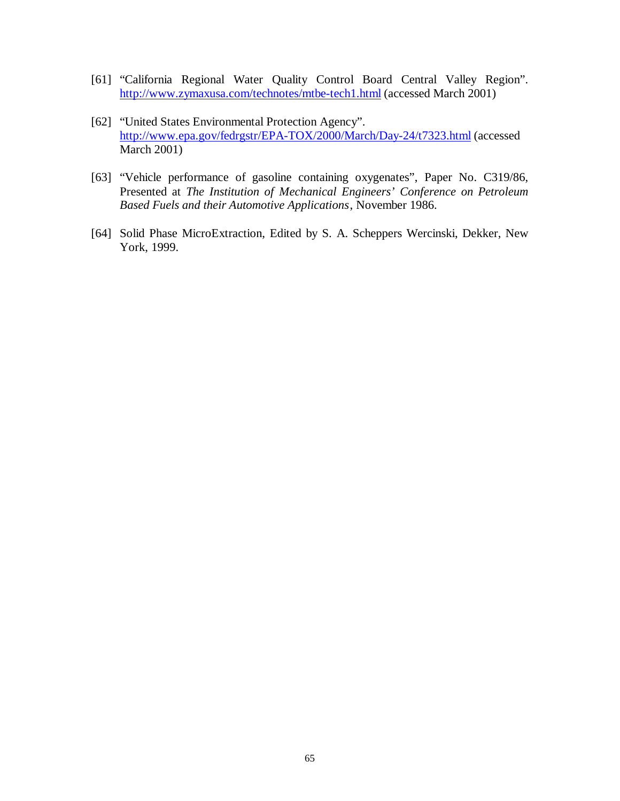- [61] "California Regional Water Quality Control Board Central Valley Region". http://www.zymaxusa.com/technotes/mtbe-tech1.html (accessed March 2001)
- [62] "United States Environmental Protection Agency". http://www.epa.gov/fedrgstr/EPA-TOX/2000/March/Day-24/t7323.html (accessed March 2001)
- [63] "Vehicle performance of gasoline containing oxygenates", Paper No. C319/86, Presented at *The Institution of Mechanical Engineers' Conference on Petroleum Based Fuels and their Automotive Applications*, November 1986.
- [64] Solid Phase MicroExtraction, Edited by S. A. Scheppers Wercinski, Dekker, New York, 1999.